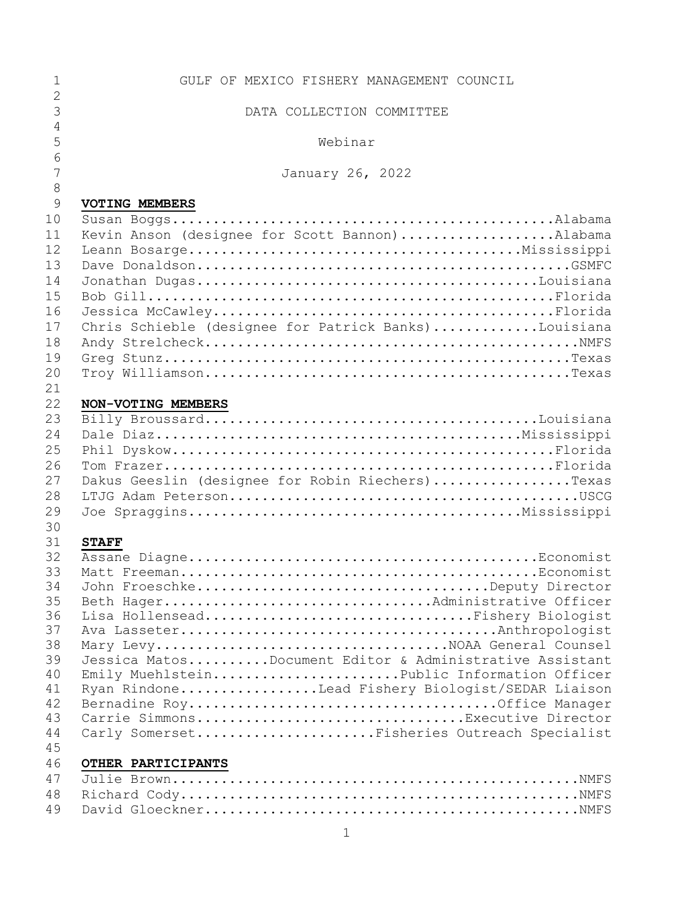| 1              | GULF OF MEXICO FISHERY MANAGEMENT COUNCIL               |
|----------------|---------------------------------------------------------|
| $\overline{2}$ |                                                         |
| 3              | DATA COLLECTION COMMITTEE                               |
| $\overline{4}$ |                                                         |
| 5              | Webinar                                                 |
| 6              |                                                         |
| $\overline{7}$ | January 26, 2022                                        |
| $\,8\,$        |                                                         |
| 9              | <b>VOTING MEMBERS</b>                                   |
| 10             |                                                         |
| 11             | Kevin Anson (designee for Scott Bannon)Alabama          |
| 12             |                                                         |
| 13             |                                                         |
| 14             |                                                         |
| 15             |                                                         |
| 16             |                                                         |
| 17             | Chris Schieble (designee for Patrick Banks)Louisiana    |
| 18             |                                                         |
| 19             |                                                         |
| 20             |                                                         |
| 21             |                                                         |
| 22             | NON-VOTING MEMBERS                                      |
| 23             |                                                         |
| 24             |                                                         |
| 25             |                                                         |
| 26             |                                                         |
| 27             | Dakus Geeslin (designee for Robin Riechers)Texas        |
| 28             |                                                         |
| 29             |                                                         |
| 30             |                                                         |
| 31             | <b>STAFF</b>                                            |
| 32             |                                                         |
| 33<br>34       | John FroeschkeDeputy Director                           |
| 35             | Beth HagerAdministrative Officer                        |
| 36             | Lisa HollenseadFishery Biologist                        |
| 37             |                                                         |
| 38             |                                                         |
| 39             | Jessica MatosDocument Editor & Administrative Assistant |
| 40             | Emily MuehlsteinPublic Information Officer              |
| 41             | Ryan RindoneLead Fishery Biologist/SEDAR Liaison        |
| 42             |                                                         |
| 43             | Carrie SimmonsExecutive Director                        |
| 44             | Carly SomersetFisheries Outreach Specialist             |
| 45             |                                                         |
| 46             | OTHER PARTICIPANTS                                      |
| 47             |                                                         |
| 48             |                                                         |
| 49             |                                                         |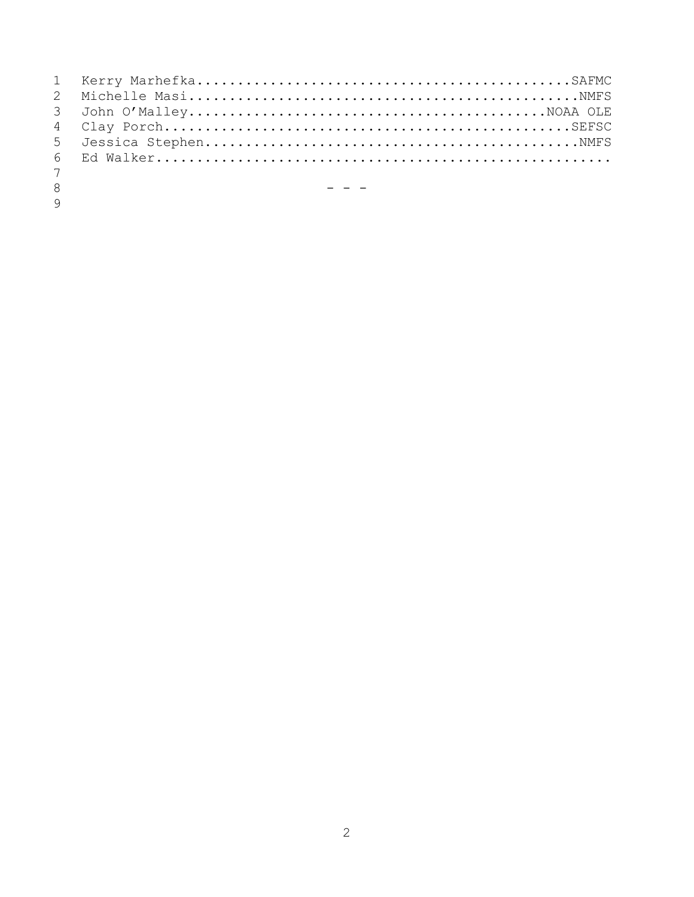| $7\overline{ }$ |                                                                 |
|-----------------|-----------------------------------------------------------------|
| 8               | the contract of the contract of the contract of the contract of |
| $\mathsf{Q}$    |                                                                 |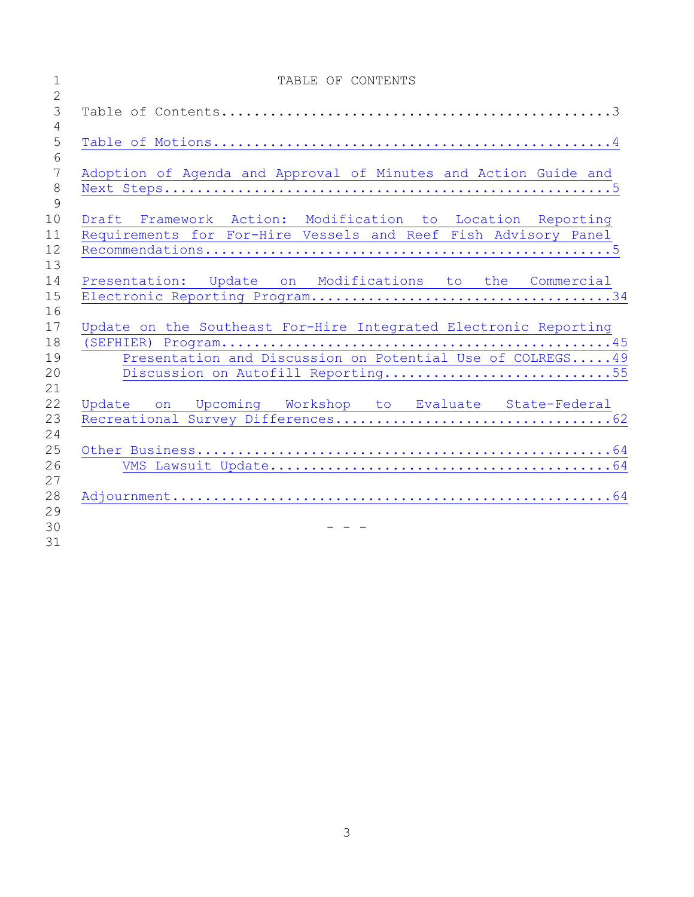| $\mathbf 1$                     | TABLE OF CONTENTS                                                |
|---------------------------------|------------------------------------------------------------------|
| $\overline{2}$<br>$\mathcal{S}$ |                                                                  |
| $\overline{4}$<br>5             |                                                                  |
| 6                               |                                                                  |
| $\overline{7}$                  | Adoption of Agenda and Approval of Minutes and Action Guide and  |
| $8\,$                           |                                                                  |
| 9                               |                                                                  |
| 10<br>11                        | Draft Framework Action: Modification to Location Reporting       |
| 12                              | Requirements for For-Hire Vessels and Reef Fish Advisory Panel   |
| 13                              |                                                                  |
| 14                              | Presentation: Update on Modifications to the Commercial          |
| 15                              |                                                                  |
| 16                              |                                                                  |
| 17                              | Update on the Southeast For-Hire Integrated Electronic Reporting |
| 18                              |                                                                  |
| 19                              | Presentation and Discussion on Potential Use of COLREGS 49       |
| 20                              | Discussion on Autofill Reporting55                               |
| 21<br>22                        | Update on Upcoming Workshop to Evaluate State-Federal            |
| 23                              |                                                                  |
| 24                              |                                                                  |
| 25                              |                                                                  |
| 26                              |                                                                  |
| 27                              |                                                                  |
| 28                              |                                                                  |
| 29                              |                                                                  |
| 30                              |                                                                  |
| 31                              |                                                                  |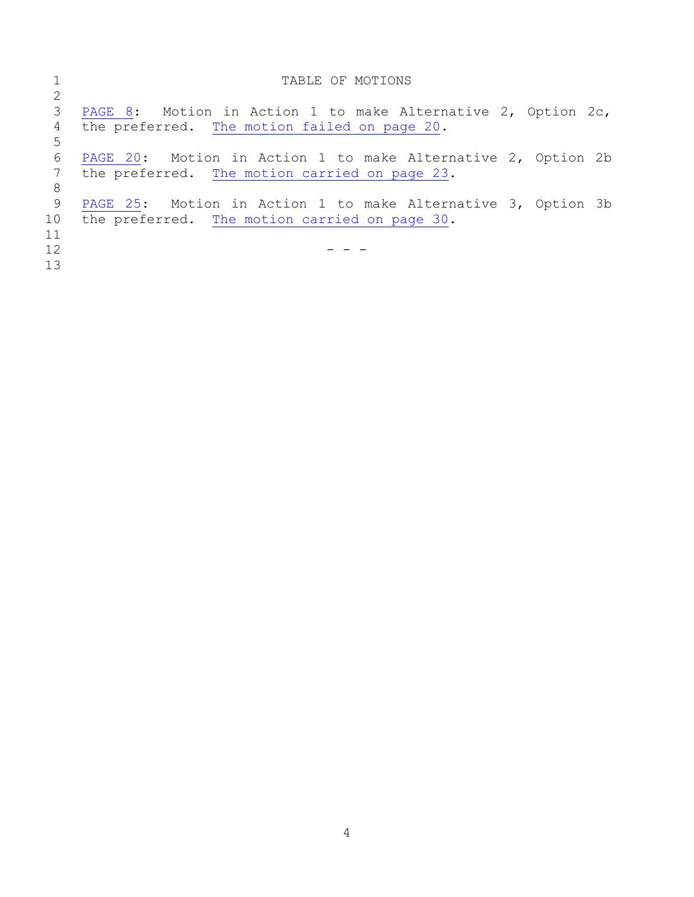<span id="page-3-0"></span>

|    | TABLE OF MOTIONS                                                |
|----|-----------------------------------------------------------------|
| 2  |                                                                 |
| 3  | PAGE 8: Motion in Action 1 to make Alternative 2, Option $2c$ , |
| 4  | the preferred. The motion failed on page 20.                    |
| 5  |                                                                 |
| 6  | PAGE 20: Motion in Action 1 to make Alternative 2, Option 2b    |
|    | the preferred. The motion carried on page 23.                   |
| 8  |                                                                 |
| -9 | PAGE 25: Motion in Action 1 to make Alternative 3, Option 3b    |
| 10 | the preferred. The motion carried on page 30.                   |
| 11 |                                                                 |
| 12 |                                                                 |
| 13 |                                                                 |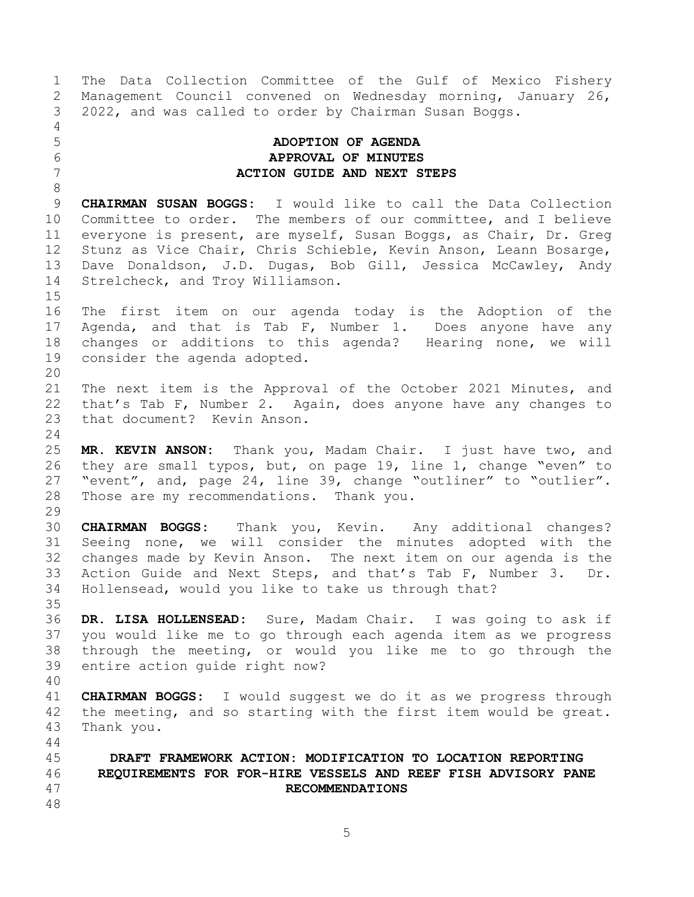<span id="page-4-1"></span><span id="page-4-0"></span>1 The Data Collection Committee of the Gulf of Mexico Fishery<br>2 Management Council convened on Wednesday morning, January 26, 2 Management Council convened on Wednesday morning, January 26,<br>3 2022, and was called to order by Chairman Susan Boggs. 3 2022, and was called to order by Chairman Susan Boggs.  $\frac{4}{5}$ 5 **ADOPTION OF AGENDA** 6 **APPROVAL OF MINUTES** 7 **ACTION GUIDE AND NEXT STEPS** 8 9 **CHAIRMAN SUSAN BOGGS:** I would like to call the Data Collection<br>10 Committee to order. The members of our committee, and I believe 10 Committee to order. The members of our committee, and I believe<br>11 everyone is present, are myself, Susan Boggs, as Chair, Dr. Greg 11 everyone is present, are myself, Susan Boggs, as Chair, Dr. Greg<br>12 Stunz as Vice Chair, Chris Schieble, Kevin Anson, Leann Bosarge, 12 Stunz as Vice Chair, Chris Schieble, Kevin Anson, Leann Bosarge,<br>13 Dave Donaldson, J.D. Dugas, Bob Gill, Jessica McCawlev, Andv 13 Dave Donaldson, J.D. Dugas, Bob Gill, Jessica McCawley, Andy<br>14 Strelcheck, and Trov Williamson. Strelcheck, and Troy Williamson.  $\frac{15}{16}$ The first item on our agenda today is the Adoption of the 17 Agenda, and that is Tab F, Number 1. Does anyone have any<br>18 changes or additions to this agenda? Hearing none, we will 18 changes or additions to this agenda? Hearing none, we will<br>19 consider the agenda adopted. consider the agenda adopted. 20<br>21 21 The next item is the Approval of the October 2021 Minutes, and<br>22 that's Tab F. Number 2. Again, does anvone have any changes to 22 that's Tab F, Number 2. Again, does anyone have any changes to 23 that document? Kevin Anson. that document? Kevin Anson.  $\frac{24}{25}$ 25 **MR. KEVIN ANSON:** Thank you, Madam Chair. I just have two, and 26 they are small typos, but, on page 19, line 1, change "even" to<br>27 "event", and, page 24, line 39, change "outliner" to "outlier". 27 "event", and, page 24, line 39, change "outliner" to "outlier".<br>28 Those are my recommendations. Thank you. Those are my recommendations. Thank you. 29<br>30 30 **CHAIRMAN BOGGS:** Thank you, Kevin. Any additional changes? Seeing none, we will consider the minutes adopted with the 32 changes made by Kevin Anson. The next item on our agenda is the<br>33 Action Guide and Next Steps, and that's Tab F, Number 3. Dr. 33 Action Guide and Next Steps, and that's Tab F, Number 3. Dr.<br>34 Hollensead, would vou like to take us through that? Hollensead, would you like to take us through that? 35<br>36 36 **DR. LISA HOLLENSEAD:** Sure, Madam Chair. I was going to ask if 37 you would like me to go through each agenda item as we progress<br>38 through the meeting, or would you like me to go through the 38 through the meeting, or would you like me to go through the<br>39 entire action quide right now? entire action quide right now? 40 41 **CHAIRMAN BOGGS:** I would suggest we do it as we progress through<br>42 the meeting, and so starting with the first item would be great. 42 the meeting, and so starting with the first item would be great.<br>43 Thank vou. Thank you. 44<br>45 45 **DRAFT FRAMEWORK ACTION: MODIFICATION TO LOCATION REPORTING**  46 **REQUIREMENTS FOR FOR-HIRE VESSELS AND REEF FISH ADVISORY PANE**  47 **RECOMMENDATIONS** 48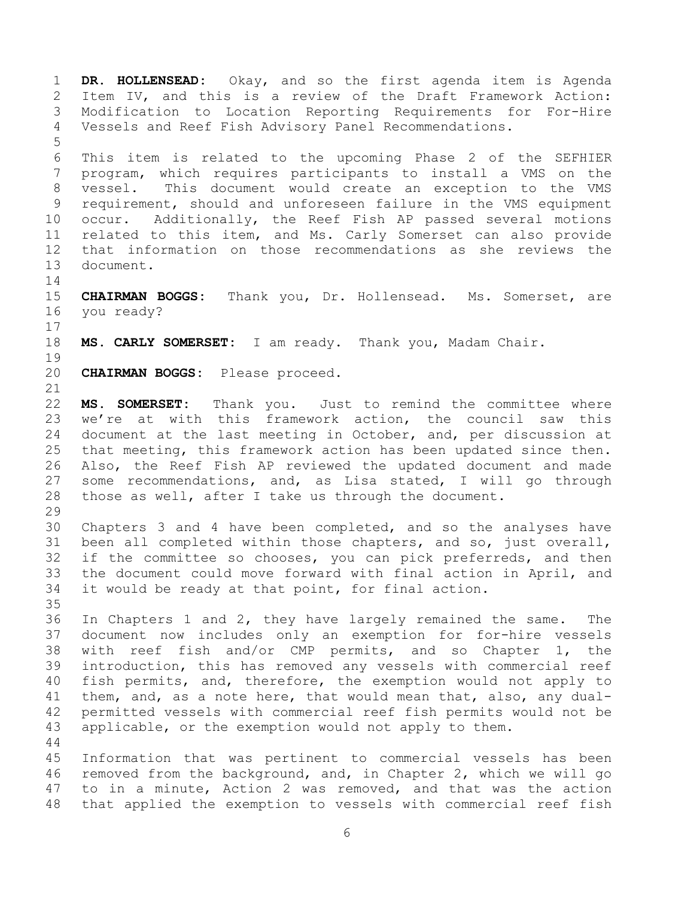1 **DR. HOLLENSEAD:** Okay, and so the first agenda item is Agenda 2 Item IV, and this is a review of the Draft Framework Action:<br>3 Modification to Location Reporting Requirements for For-Hire 3 Modification to Location Reporting Requirements for For-Hire<br>4 Vessels and Reef Fish Advisory Panel Recommendations. Vessels and Reef Fish Advisory Panel Recommendations. 5 6 This item is related to the upcoming Phase 2 of the SEFHIER program, which requires participants to install a VMS on the 8 vessel. This document would create an exception to the VMS 9 requirement, should and unforeseen failure in the VMS equipment<br>10 occur. Additionally, the Reef Fish AP passed several motions 10 occur. Additionally, the Reef Fish AP passed several motions<br>11 related to this item, and Ms. Carly Somerset can also provide 11 related to this item, and Ms. Carly Somerset can also provide<br>12 that information on those recommendations as she reviews the 12 that information on those recommendations as she reviews the<br>13 document. document.  $\frac{14}{15}$ 15 **CHAIRMAN BOGGS:** Thank you, Dr. Hollensead. Ms. Somerset, are you ready?  $\begin{array}{c} 17 \\ 18 \end{array}$ MS. CARLY SOMERSET: I am ready. Thank you, Madam Chair. 19<br>20 CHAIRMAN BOGGS: Please proceed. 21<br>22 22 **MS. SOMERSET:** Thank you. Just to remind the committee where<br>23 we're at with this framework action, the council saw this we're at with this framework action, the council saw this 24 document at the last meeting in October, and, per discussion at<br>25 that meeting, this framework action has been updated since then. 25 that meeting, this framework action has been updated since then.<br>26 Also, the Reef Fish AP reviewed the updated document and made 26 Also, the Reef Fish AP reviewed the updated document and made<br>27 some recommendations, and, as Lisa stated, I will go through 27 some recommendations, and, as Lisa stated, I will go through<br>28 those as well, after I take us through the document. those as well, after I take us through the document. 29<br>30 30 Chapters 3 and 4 have been completed, and so the analyses have<br>31 been all completed within those chapters, and so, just overall, been all completed within those chapters, and so, just overall, 32 if the committee so chooses, you can pick preferreds, and then<br>33 the document could move forward with final action in April, and 33 the document could move forward with final action in April, and<br>34 it would be ready at that point, for final action. it would be ready at that point, for final action. 35<br>36 36 In Chapters 1 and 2, they have largely remained the same. The<br>37 document now includes only an exemption for for-hire vessels 37 document now includes only an exemption for for-hire vessels<br>38 with reef fish and/or CMP permits, and so Chapter 1, the 38 with reef fish and/or CMP permits, and so Chapter 1, the<br>39 introduction, this has removed any vessels with commercial reef introduction, this has removed any vessels with commercial reef 40 fish permits, and, therefore, the exemption would not apply to 41 them, and, as a note here, that would mean that, also, any dual-<br>42 permitted vessels with commercial reef fish permits would not be 42 permitted vessels with commercial reef fish permits would not be<br>43 applicable, or the exemption would not apply to them. applicable, or the exemption would not apply to them.  $\begin{array}{c} 44 \\ 45 \end{array}$ 45 Information that was pertinent to commercial vessels has been<br>46 removed from the background, and, in Chapter 2, which we will go 46 removed from the background, and, in Chapter 2, which we will go<br>47 to in a minute, Action 2 was removed, and that was the action to in a minute, Action 2 was removed, and that was the action 48 that applied the exemption to vessels with commercial reef fish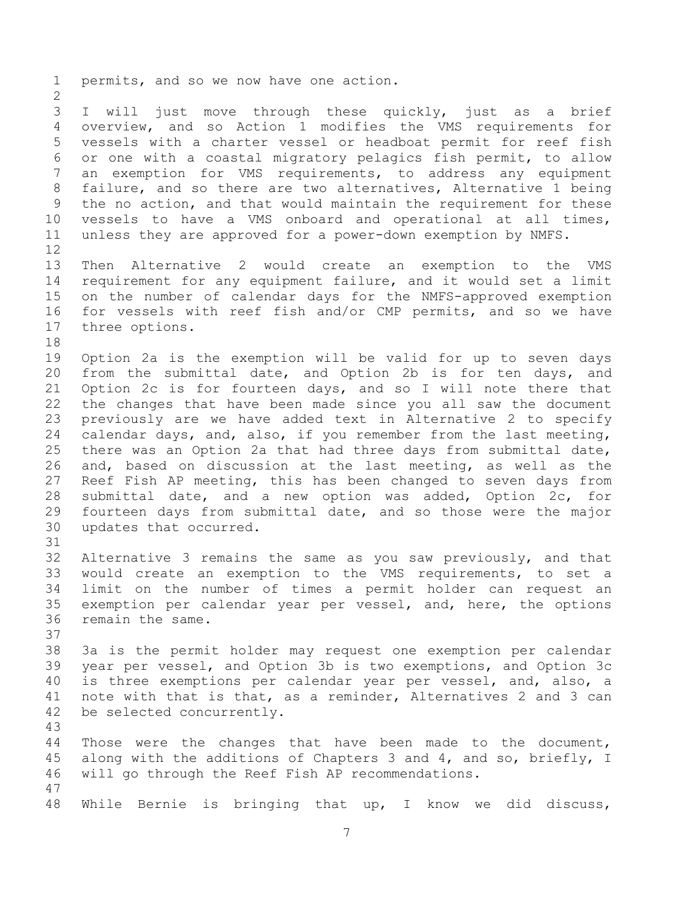1 permits, and so we now have one action.  $\frac{2}{3}$ 3 I will just move through these quickly, just as a brief<br>4 overview, and so Action 1 modifies the VMS requirements for 4 overview, and so Action 1 modifies the VMS requirements for<br>5 vessels with a charter vessel or headboat permit for reef fish 5 vessels with a charter vessel or headboat permit for reef fish 6 or one with a coastal migratory pelagics fish permit, to allow<br>7 an exemption for VMS requirements, to address any equipment an exemption for VMS requirements, to address any equipment 8 failure, and so there are two alternatives, Alternative 1 being 9 the no action, and that would maintain the requirement for these<br>10 vessels to have a VMS onboard and operational at all times, 10 vessels to have a VMS onboard and operational at all times,<br>11 unless they are approved for a power-down exemption by NMFS. unless they are approved for a power-down exemption by NMFS. 12<br>13 13 Then Alternative 2 would create an exemption to the VMS<br>14 requirement for any equipment failure, and it would set a limit 14 requirement for any equipment failure, and it would set a limit<br>15 on the number of calendar days for the NMFS-approved exemption 15 on the number of calendar days for the NMFS-approved exemption<br>16 for vessels with reef fish and/or CMP permits, and so we have for vessels with reef fish and/or CMP permits, and so we have 17 three options. 18<br>19 19 Option 2a is the exemption will be valid for up to seven days<br>20 from the submittal date, and Option 2b is for ten days, and 20 from the submittal date, and Option 2b is for ten days, and<br>21 Option 2c is for fourteen days, and so I will note there that 21 Option 2c is for fourteen days, and so I will note there that<br>22 the changes that have been made since you all saw the document 22 the changes that have been made since you all saw the document<br>23 previously are we have added text in Alternative 2 to specify 23 previously are we have added text in Alternative 2 to specify<br>24 calendar days, and, also, if you remember from the last meeting, 24 calendar days, and, also, if you remember from the last meeting,<br>25 there was an Option 2a that had three days from submittal date, 25 there was an Option 2a that had three days from submittal date,<br>26 and, based on discussion at the last meeting, as well as the 26 and, based on discussion at the last meeting, as well as the<br>27 Reef Fish AP meeting, this has been changed to seven days from 27 Reef Fish AP meeting, this has been changed to seven days from<br>28 submittal date, and a new option was added, Option 2c, for 28 submittal date, and a new option was added, Option 2c, for<br>29 fourteen days from submittal date, and so those were the major 29 fourteen days from submittal date, and so those were the major<br>30 updates that occurred. updates that occurred. 31 32 Alternative 3 remains the same as you saw previously, and that<br>33 would create an exemption to the VMS requirements, to set a 33 would create an exemption to the VMS requirements, to set a<br>34 limit on the number of times a permit holder can request an 34 limit on the number of times a permit holder can request an<br>35 exemption per calendar year per vessel, and, here, the options 35 exemption per calendar year per vessel, and, here, the options<br>36 remain the same. remain the same. 37<br>38 38 3a is the permit holder may request one exemption per calendar<br>39 vear per vessel, and Option 3b is two exemptions, and Option 3c year per vessel, and Option 3b is two exemptions, and Option 3c 40 is three exemptions per calendar year per vessel, and, also, a 41 note with that is that, as a reminder, Alternatives 2 and 3 can<br>42 be selected concurrently. be selected concurrently. 43 44 Those were the changes that have been made to the document,<br>45 along with the additions of Chapters 3 and 4, and so, briefly, I 45 along with the additions of Chapters 3 and 4, and so, briefly, I<br>46 will go through the Reef Fish AP recommendations. will go through the Reef Fish AP recommendations. 47 48 While Bernie is bringing that up, I know we did discuss,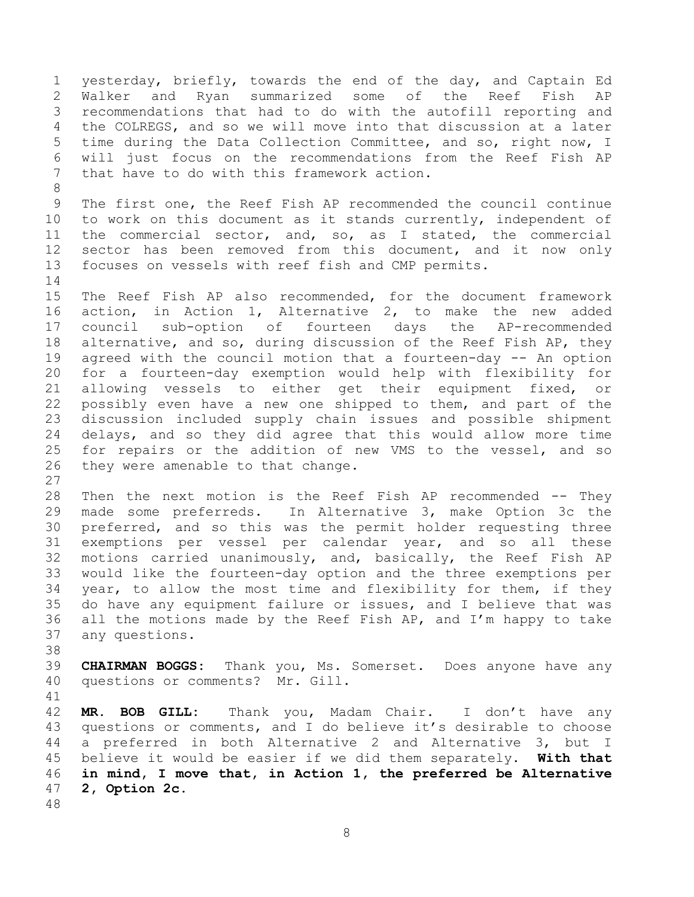<span id="page-7-0"></span>1 yesterday, briefly, towards the end of the day, and Captain Ed<br>2 Walker and Ryan summarized some of the Reef Fish AP 2 Walker and Ryan summarized some of the Reef Fish AP<br>3 recommendations that had to do with the autofill reporting and 3 recommendations that had to do with the autofill reporting and<br>4 the COLREGS, and so we will move into that discussion at a later 4 the COLREGS, and so we will move into that discussion at a later<br>5 time during the Data Collection Committee, and so, right now, I 5 time during the Data Collection Committee, and so, right now, I<br>6 will just focus on the recommendations from the Reef Fish AP 6 will just focus on the recommendations from the Reef Fish AP<br>7 that have to do with this framework action. that have to do with this framework action. 8 9 The first one, the Reef Fish AP recommended the council continue<br>10 to work on this document as it stands currently, independent of 10 to work on this document as it stands currently, independent of<br>11 the commercial sector, and, so, as I stated, the commercial 11 the commercial sector, and, so, as I stated, the commercial<br>12 sector has been removed from this document, and it now only 12 sector has been removed from this document, and it now only<br>13 focuses on vessels with reef fish and CMP permits. focuses on vessels with reef fish and CMP permits.  $\begin{array}{c} 14 \\ 15 \end{array}$ 15 The Reef Fish AP also recommended, for the document framework<br>16 action, in Action 1, Alternative 2, to make the new added action, in Action 1, Alternative 2, to make the new added 17 council sub-option of fourteen days the AP-recommended<br>18 alternative, and so, during discussion of the Reef Fish AP, they 18 alternative, and so, during discussion of the Reef Fish AP, they<br>19 agreed with the council motion that a fourteen-day -- An option 19 agreed with the council motion that a fourteen-day -- An option<br>20 for a fourteen-day exemption would help with flexibility for 20 for a fourteen-day exemption would help with flexibility for<br>21 allowing vessels to either get their equipment fixed, or 21 allowing vessels to either get their equipment fixed, or<br>22 possibly even have a new one shipped to them, and part of the 22 possibly even have a new one shipped to them, and part of the<br>23 discussion included supply chain issues and possible shipment 23 discussion included supply chain issues and possible shipment<br>24 delays, and so they did agree that this would allow more time 24 delays, and so they did agree that this would allow more time<br>25 for repairs or the addition of new VMS to the vessel, and so 25 for repairs or the addition of new VMS to the vessel, and so<br>26 they were amenable to that change. they were amenable to that change.  $\frac{27}{28}$ 28 Then the next motion is the Reef Fish AP recommended -- They<br>29 made some preferreds. In Alternative 3, make Option 3c the 29 made some preferreds. In Alternative 3, make Option 3c the<br>30 preferred, and so this was the permit holder requesting three 30 preferred, and so this was the permit holder requesting three<br>31 exemptions per vessel per calendar year, and so all these exemptions per vessel per calendar year, and so all these 32 motions carried unanimously, and, basically, the Reef Fish AP<br>33 would like the fourteen-day option and the three exemptions per 33 would like the fourteen-day option and the three exemptions per<br>34 vear, to allow the most time and flexibility for them, if they 34 year, to allow the most time and flexibility for them, if they<br>35 do have any equipment failure or issues, and I believe that was 35 do have any equipment failure or issues, and I believe that was<br>36 all the motions made by the Reef Fish AP, and I'm happy to take 36 all the motions made by the Reef Fish AP, and I'm happy to take  $37$  any questions. any questions. 38<br>39 39 **CHAIRMAN BOGGS:** Thank you, Ms. Somerset. Does anyone have any 40 questions or comments? Mr. Gill. 41<br>42 42 **MR. BOB GILL:** Thank you, Madam Chair. I don't have any 43 questions or comments, and I do believe it's desirable to choose<br>44 a preferred in both Alternative 2 and Alternative 3, but I 44 a preferred in both Alternative 2 and Alternative 3, but I<br>45 believe it would be easier if we did them separately. With that 45 believe it would be easier if we did them separately. **With that**  46 **in mind, I move that, in Action 1, the preferred be Alternative**  47 **2, Option 2c.** 48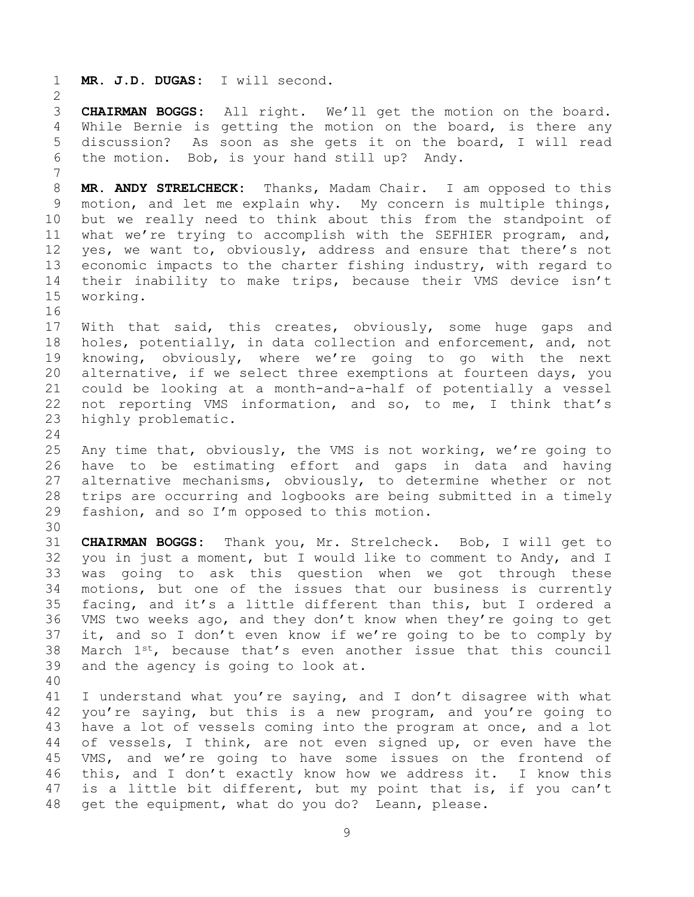1 **MR. J.D. DUGAS:** I will second.

 $\frac{2}{3}$ 3 **CHAIRMAN BOGGS:** All right. We'll get the motion on the board. 4 While Bernie is getting the motion on the board, is there any<br>5 discussion? As soon as she gets it on the board, I will read 5 discussion? As soon as she gets it on the board, I will read<br>6 the motion. Bob, is vour hand still up? Andv. the motion. Bob, is your hand still up? Andy. 7 8 **MR. ANDY STRELCHECK:** Thanks, Madam Chair. I am opposed to this 9 motion, and let me explain why. My concern is multiple things,<br>10 but we really need to think about this from the standpoint of 10 but we really need to think about this from the standpoint of<br>11 what we're trying to accomplish with the SEFHIER program, and, 11 what we're trying to accomplish with the SEFHIER program, and,<br>12 yes, we want to, obviously, address and ensure that there's not 12 yes, we want to, obviously, address and ensure that there's not<br>13 economic impacts to the charter fishing industry, with regard to 13 economic impacts to the charter fishing industry, with regard to<br>14 their inability to make trips, because their VMS device isn't 14 their inability to make trips, because their VMS device isn't<br>15 working. working. 16<br>17 17 With that said, this creates, obviously, some huge gaps and<br>18 holes, potentially, in data collection and enforcement, and, not 18 holes, potentially, in data collection and enforcement, and, not<br>19 knowing, obviously, where we're going to go with the next 19 knowing, obviously, where we're going to go with the next<br>20 alternative, if we select three exemptions at fourteen days, you 20 alternative, if we select three exemptions at fourteen days, you<br>21 could be looking at a month-and-a-half of potentially a vessel 21 could be looking at a month-and-a-half of potentially a vessel<br>22 not reporting VMS information, and so, to me, I think that's 22 not reporting VMS information, and so, to me, I think that's 23 highly problematic. highly problematic.  $\frac{24}{25}$ 25 Any time that, obviously, the VMS is not working, we're going to<br>26 have to be estimating effort and gaps in data and having 26 have to be estimating effort and gaps in data and having<br>27 alternative mechanisms, obviously, to determine whether or not 27 alternative mechanisms, obviously, to determine whether or not<br>28 trips are occurring and logbooks are being submitted in a timely 28 trips are occurring and logbooks are being submitted in a timely<br>29 fashion, and so I'm opposed to this motion. fashion, and so  $I'm$  opposed to this motion. 30<br>31 31 **CHAIRMAN BOGGS:** Thank you, Mr. Strelcheck. Bob, I will get to 32 you in just a moment, but I would like to comment to Andy, and I<br>33 was going to ask this question when we got through these 33 was going to ask this question when we got through these<br>34 motions, but one of the issues that our business is currently 34 motions, but one of the issues that our business is currently<br>35 facing, and it's a little different than this, but I ordered a 35 facing, and it's a little different than this, but I ordered a<br>36 VMS two weeks ago, and they don't know when they're going to get 36 VMS two weeks ago, and they don't know when they're going to get<br>37 it, and so I don't even know if we're going to be to comply by 37 it, and so I don't even know if we're going to be to comply by 38 March  $1^{st}$ , because that's even another issue that this council 38 March  $1^{st}$ , because that's even another issue that this council<br>39 and the agency is going to look at. and the agency is going to look at. 40 41 I understand what you're saying, and I don't disagree with what<br>42 vou're saving, but this is a new program, and you're going to 42 you're saying, but this is a new program, and you're going to<br>43 have a lot of vessels coming into the program at once, and a lot

43 have a lot of vessels coming into the program at once, and a lot<br>44 of vessels, I think, are not even signed up, or even have the 44 of vessels, I think, are not even signed up, or even have the<br>45 VMS, and we're going to have some issues on the frontend of 45 VMS, and we're going to have some issues on the frontend of<br>46 this, and I don't exactly know how we address it. I know this 46 this, and I don't exactly know how we address it.<br>47 is a little bit different, but my point that is, i is a little bit different, but my point that is, if you can't 48 get the equipment, what do you do? Leann, please.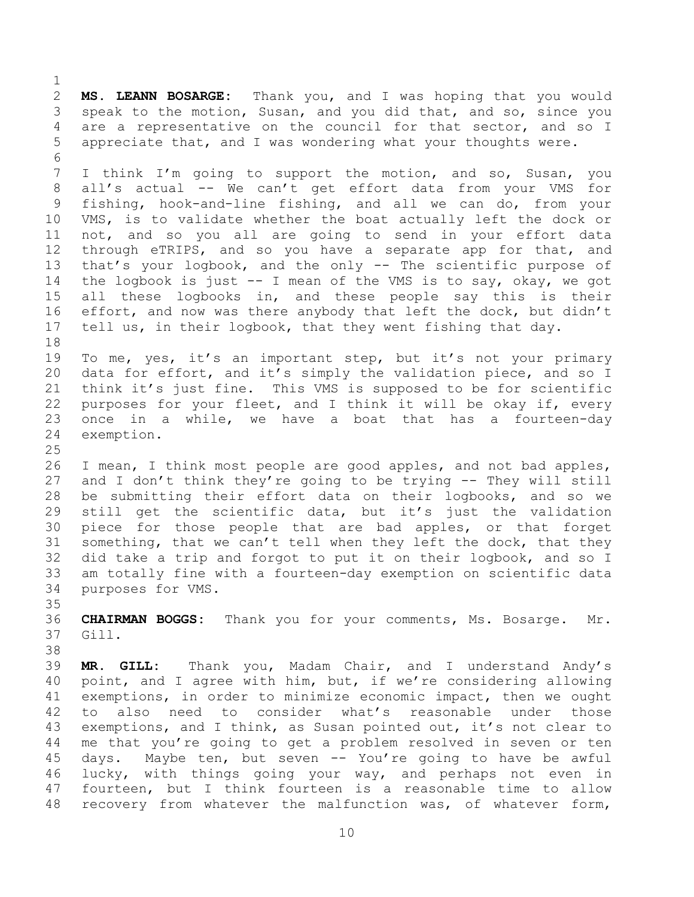$\frac{1}{2}$ 2 **MS. LEANN BOSARGE:** Thank you, and I was hoping that you would 3 speak to the motion, Susan, and you did that, and so, since you<br>4 are a representative on the council for that sector, and so I 4 are a representative on the council for that sector, and so I<br>5 appreciate that, and I was wondering what your thoughts were. appreciate that, and I was wondering what your thoughts were. 6<br>7 I think I'm going to support the motion, and so, Susan, you 8 all's actual -- We can't get effort data from your VMS for 9 fishing, hook-and-line fishing, and all we can do, from your<br>10 VMS, is to validate whether the boat actually left the dock or 10 VMS, is to validate whether the boat actually left the dock or<br>11 not, and so you all are going to send in your effort data 11 not, and so you all are going to send in your effort data<br>12 through eTRIPS, and so you have a separate app for that, and 12 through eTRIPS, and so you have a separate app for that, and<br>13 that's your logbook, and the only -- The scientific purpose of 13 that's your logbook, and the only -- The scientific purpose of<br>14 the logbook is just -- I mean of the VMS is to say, okay, we got 14 the logbook is just -- I mean of the VMS is to say, okay, we got<br>15 all these logbooks in, and these people say this is their 15 all these logbooks in, and these people say this is their<br>16 effort, and now was there anybody that left the dock, but didn't effort, and now was there anybody that left the dock, but didn't 17 tell us, in their logbook, that they went fishing that day. 18<br>19 19 To me, yes, it's an important step, but it's not your primary<br>20 data for effort, and it's simply the validation piece, and so I 20 data for effort, and it's simply the validation piece, and so I<br>21 think it's just fine. This VMS is supposed to be for scientific 21 think it's just fine. This VMS is supposed to be for scientific<br>22 purposes for your fleet, and I think it will be okay if, every 22 purposes for your fleet, and I think it will be okay if, every<br>23 once in a while, we have a boat that has a fourteen-day 23 once in a while, we have a boat that has a fourteen-day<br>24 exemption. exemption.  $\frac{25}{26}$ 26 I mean, I think most people are good apples, and not bad apples,<br>27 and I don't think they're going to be trying -- They will still 27 and I don't think they're going to be trying -- They will still<br>28 be submitting their effort data on their logbooks, and so we 28 be submitting their effort data on their logbooks, and so we<br>29 still get the scientific data, but it's just the validation 29 still get the scientific data, but it's just the validation<br>30 piece for those people that are bad apples, or that forget 30 piece for those people that are bad apples, or that forget<br>31 something, that we can't tell when they left the dock, that they something, that we can't tell when they left the dock, that they 32 did take a trip and forgot to put it on their logbook, and so I<br>33 am totally fine with a fourteen-day exemption on scientific data 33 am totally fine with a fourteen-day exemption on scientific data<br>34 purposes for VMS. purposes for VMS. 35<br>36 36 **CHAIRMAN BOGGS:** Thank you for your comments, Ms. Bosarge. Mr. Gill. 38<br>39 MR. GILL: Thank you, Madam Chair, and I understand Andy's 40 point, and I agree with him, but, if we're considering allowing 41 exemptions, in order to minimize economic impact, then we ought<br>42 to also need to consider what's reasonable under those 42 to also need to consider what's reasonable under those<br>43 exemptions, and I think, as Susan pointed out, it's not clear to 43 exemptions, and I think, as Susan pointed out, it's not clear to<br>44 me that you're going to get a problem resolved in seven or ten 44 me that you're going to get a problem resolved in seven or ten<br>45 days. Maybe ten, but seven -- You're going to have be awful 45 days. Maybe ten, but seven -- You're going to have be awful<br>46 lucky, with things going your way, and perhaps not even in 46 lucky, with things going your way, and perhaps not even in<br>47 fourteen, but I think fourteen is a reasonable time to allow fourteen, but I think fourteen is a reasonable time to allow

10

48 recovery from whatever the malfunction was, of whatever form,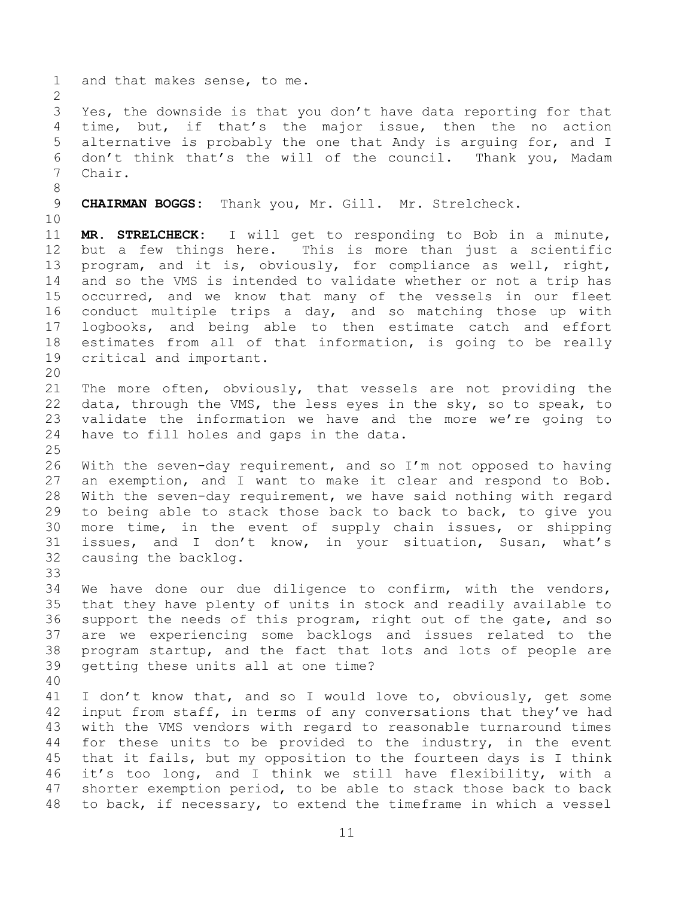1 and that makes sense, to me.

 $\frac{2}{3}$ 3 Yes, the downside is that you don't have data reporting for that<br>4 time, but, if that's the major issue, then the no action 4 time, but, if that's the major issue, then the no action<br>5 alternative is probably the one that Andy is arquing for, and I 5 alternative is probably the one that Andy is arguing for, and I<br>6 don't think that's the will of the council. Thank vou, Madam 6 don't think that's the will of the council. Thank you, Madam<br>7 Chair. Chair.

8

9 **CHAIRMAN BOGGS:** Thank you, Mr. Gill. Mr. Strelcheck.

10<br>11 11 **MR. STRELCHECK:** I will get to responding to Bob in a minute, 12 but a few things here. This is more than just a scientific<br>13 program, and it is, obviously, for compliance as well, right, 13 program, and it is, obviously, for compliance as well, right,<br>14 and so the VMS is intended to validate whether or not a trip has 14 and so the VMS is intended to validate whether or not a trip has<br>15 occurred, and we know that many of the vessels in our fleet 15 occurred, and we know that many of the vessels in our fleet<br>16 conduct multiple trips a day, and so matching those up with conduct multiple trips a day, and so matching those up with 17 logbooks, and being able to then estimate catch and effort<br>18 estimates from all of that information, is going to be really 18 estimates from all of that information, is going to be really<br>19 critical and important. critical and important.

20<br>21 21 The more often, obviously, that vessels are not providing the<br>22 data, through the VMS, the less eves in the sky, so to speak, to 22 data, through the VMS, the less eyes in the sky, so to speak, to<br>23 validate the information we have and the more we're going to 23 validate the information we have and the more we're going to<br>24 have to fill holes and gaps in the data. have to fill holes and gaps in the data.

 $\frac{25}{26}$ 26 With the seven-day requirement, and so I'm not opposed to having<br>27 an exemption, and I want to make it clear and respond to Bob. 27 an exemption, and I want to make it clear and respond to Bob.<br>28 With the seven-day requirement, we have said nothing with regard 28 With the seven-day requirement, we have said nothing with regard<br>29 to being able to stack those back to back to back, to give you 29 to being able to stack those back to back to back, to give you<br>30 more time, in the event of supply chain issues, or shipping 30 more time, in the event of supply chain issues, or shipping<br>31 issues, and I don't know, in your situation, Susan, what's issues, and I don't know, in your situation, Susan, what's 32 causing the backlog.

33<br>34

34 We have done our due diligence to confirm, with the vendors,<br>35 that they have plenty of units in stock and readily available to 35 that they have plenty of units in stock and readily available to<br>36 support the needs of this program, right out of the gate, and so 36 support the needs of this program, right out of the gate, and so<br>37 are we experiencing some backlogs and issues related to the 37 are we experiencing some backlogs and issues related to the<br>38 program startup, and the fact that lots and lots of people are 38 program startup, and the fact that lots and lots of people are<br>39 qetting these units all at one time? getting these units all at one time?

40

41 I don't know that, and so I would love to, obviously, get some<br>42 input from staff, in terms of anv conversations that thev've had 42 input from staff, in terms of any conversations that they've had<br>43 with the VMS vendors with regard to reasonable turnaround times 43 with the VMS vendors with regard to reasonable turnaround times<br>44 for these units to be provided to the industry, in the event 44 for these units to be provided to the industry, in the event<br>45 that it fails, but my opposition to the fourteen days is I think 45 that it fails, but my opposition to the fourteen days is I think<br>46 it's too long, and I think we still have flexibility, with a 46 it's too long, and I think we still have flexibility, with a<br>47 shorter exemption period, to be able to stack those back to back shorter exemption period, to be able to stack those back to back 48 to back, if necessary, to extend the timeframe in which a vessel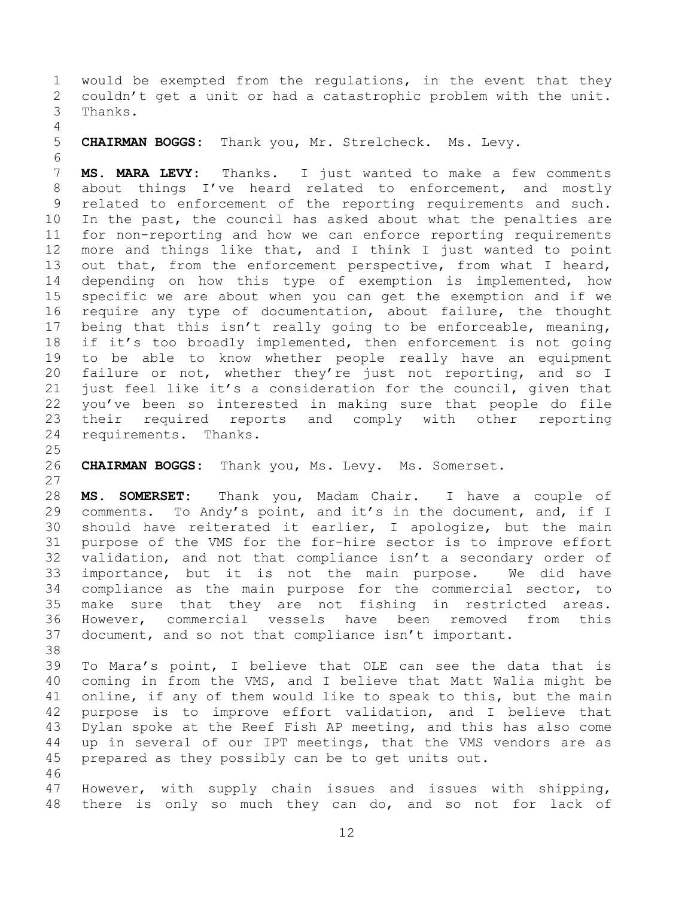1 would be exempted from the regulations, in the event that they<br>2 couldn't get a unit or had a catastrophic problem with the unit. 2 couldn't get a unit or had a catastrophic problem with the unit.<br>3 Thanks. Thanks.

 $\frac{4}{5}$ 

5 **CHAIRMAN BOGGS:** Thank you, Mr. Strelcheck. Ms. Levy.

6<br>7 MS. MARA LEVY: Thanks. I just wanted to make a few comments 8 about things I've heard related to enforcement, and mostly 9 related to enforcement of the reporting requirements and such.<br>10 In the past, the council has asked about what the penalties are 10 In the past, the council has asked about what the penalties are<br>11 for non-reporting and how we can enforce reporting requirements 11 for non-reporting and how we can enforce reporting requirements<br>12 more and things like that, and I think I just wanted to point 12 more and things like that, and I think I just wanted to point<br>13 out that, from the enforcement perspective, from what I heard, 13 out that, from the enforcement perspective, from what I heard,<br>14 depending on how this type of exemption is implemented, how 14 depending on how this type of exemption is implemented, how<br>15 specific we are about when you can get the exemption and if we 15 specific we are about when you can get the exemption and if we<br>16 require any type of documentation, about failure, the thought require any type of documentation, about failure, the thought 17 being that this isn't really going to be enforceable, meaning,<br>18 if it's too broadly implemented, then enforcement is not going 18 if it's too broadly implemented, then enforcement is not going<br>19 to be able to know whether people really have an equipment 19 to be able to know whether people really have an equipment<br>20 failure or not, whether they're just not reporting, and so I 20 failure or not, whether they're just not reporting, and so I<br>21 just feel like it's a consideration for the council, given that 21 just feel like it's a consideration for the council, given that<br>22 vou've been so interested in making sure that people do file 22 you've been so interested in making sure that people do file<br>23 their required reports and comply with other reporting 23 their required reports and comply with other reporting<br>24 requirements. Thanks. requirements. Thanks.

 $\frac{25}{26}$ 26 **CHAIRMAN BOGGS:** Thank you, Ms. Levy. Ms. Somerset.

27<br>28 28 **MS. SOMERSET:** Thank you, Madam Chair. I have a couple of 29 comments. To Andy's point, and it's in the document, and, if I<br>30 should have reiterated it earlier, I apologize, but the main 30 should have reiterated it earlier, I apologize, but the main<br>31 purpose of the VMS for the for-hire sector is to improve effort purpose of the VMS for the for-hire sector is to improve effort 32 validation, and not that compliance isn't a secondary order of<br>33 importance, but it is not the main purpose. We did have 33 importance, but it is not the main purpose.<br>34 compliance as the main purpose for the commerc 34 compliance as the main purpose for the commercial sector, to<br>35 make sure that they are not fishing in restricted areas. 35 make sure that they are not fishing in restricted areas.<br>36 However, commercial vessels have been removed from this 36 However, commercial vessels have been removed from this<br>37 document, and so not that compliance isn't important. document, and so not that compliance isn't important.

38<br>39 To Mara's point, I believe that OLE can see the data that is 40 coming in from the VMS, and I believe that Matt Walia might be 41 online, if any of them would like to speak to this, but the main<br>42 purpose is to improve effort validation, and I believe that 42 purpose is to improve effort validation, and I believe that<br>43 Dylan spoke at the Reef Fish AP meeting, and this has also come 43 Dylan spoke at the Reef Fish AP meeting, and this has also come<br>44 up in several of our IPT meetings, that the VMS vendors are as 44 up in several of our IPT meetings, that the VMS vendors are as<br>45 prepared as they possibly can be to get units out. prepared as they possibly can be to get units out.

46<br>47 However, with supply chain issues and issues with shipping, 48 there is only so much they can do, and so not for lack of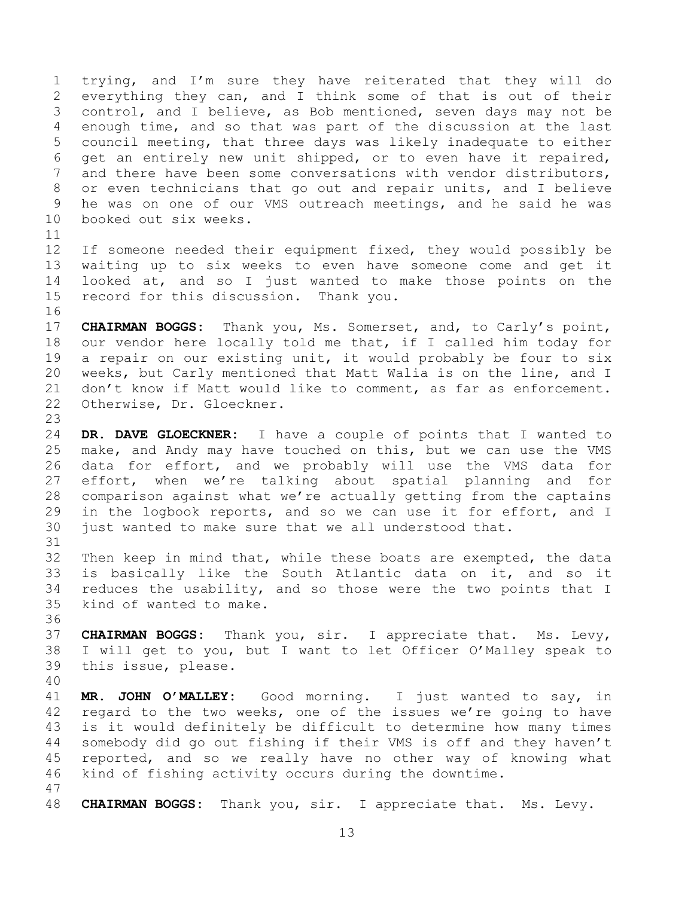1 trying, and I'm sure they have reiterated that they will do<br>2 everything they can, and I think some of that is out of their 2 everything they can, and I think some of that is out of their<br>3 control, and I believe, as Bob mentioned, seven days may not be 3 control, and I believe, as Bob mentioned, seven days may not be<br>4 enough time, and so that was part of the discussion at the last 4 enough time, and so that was part of the discussion at the last<br>5 council meeting, that three days was likely inadequate to either 5 council meeting, that three days was likely inadequate to either<br>6 qet an entirely new unit shipped, or to even have it repaired, 6 get an entirely new unit shipped, or to even have it repaired,<br>7 and there have been some conversations with vendor distributors. and there have been some conversations with vendor distributors, 8 or even technicians that go out and repair units, and I believe 9 he was on one of our VMS outreach meetings, and he said he was<br>10 booked out six weeks. booked out six weeks.

16

11<br>12 12 If someone needed their equipment fixed, they would possibly be<br>13 waiting up to six weeks to even have someone come and get it 13 waiting up to six weeks to even have someone come and get it<br>14 looked at, and so I just wanted to make those points on the 14 looked at, and so I just wanted to make those points on the<br>15 record for this discussion. Thank you. record for this discussion. Thank you.

17 **CHAIRMAN BOGGS:** Thank you, Ms. Somerset, and, to Carly's point,<br>18 our vendor here locally told me that, if I called him today for 18 our vendor here locally told me that, if I called him today for<br>19 a repair on our existing unit, it would probably be four to six 19 a repair on our existing unit, it would probably be four to six<br>20 weeks, but Carly mentioned that Matt Walia is on the line, and I 20 weeks, but Carly mentioned that Matt Walia is on the line, and I<br>21 don't know if Matt would like to comment, as far as enforcement. 21 don't know if Matt would like to comment, as far as enforcement.<br>22 Otherwise, Dr. Gloeckner. Otherwise, Dr. Gloeckner.

23 24 **DR. DAVE GLOECKNER:** I have a couple of points that I wanted to<br>25 make, and Andy may have touched on this, but we can use the VMS 25 make, and Andy may have touched on this, but we can use the VMS<br>26 data for effort, and we probably will use the VMS data for 26 data for effort, and we probably will use the VMS data for<br>27 effort, when we're talking about spatial planning and for 27 effort, when we're talking about spatial planning and for<br>28 comparison against what we're actually getting from the captains 28 comparison against what we're actually getting from the captains<br>29 in the logbook reports, and so we can use it for effort, and I 29 in the logbook reports, and so we can use it for effort, and I<br>30 just wanted to make sure that we all understood that. just wanted to make sure that we all understood that.

32 Then keep in mind that, while these boats are exempted, the data<br>33 is basically like the South Atlantic data on it, and so it 33 is basically like the South Atlantic data on it, and so it<br>34 reduces the usability, and so those were the two points that I 34 reduces the usability, and so those were the two points that I<br>35 kind of wanted to make. kind of wanted to make.

36<br>37 37 **CHAIRMAN BOGGS:** Thank you, sir. I appreciate that. Ms. Levy, 38 I will get to you, but I want to let Officer O'Malley speak to this issue, please.

40

31

41 **MR. JOHN O'MALLEY:** Good morning. I just wanted to say, in 42 regard to the two weeks, one of the issues we're going to have<br>43 is it would definitely be difficult to determine how many times 43 is it would definitely be difficult to determine how many times<br>44 somebody did go out fishing if their VMS is off and they haven't 44 somebody did go out fishing if their VMS is off and they haven't<br>45 reported, and so we really have no other way of knowing what 45 reported, and so we really have no other way of knowing what<br>46 kind of fishing activity occurs during the downtime. kind of fishing activity occurs during the downtime.

47

48 **CHAIRMAN BOGGS:** Thank you, sir. I appreciate that. Ms. Levy.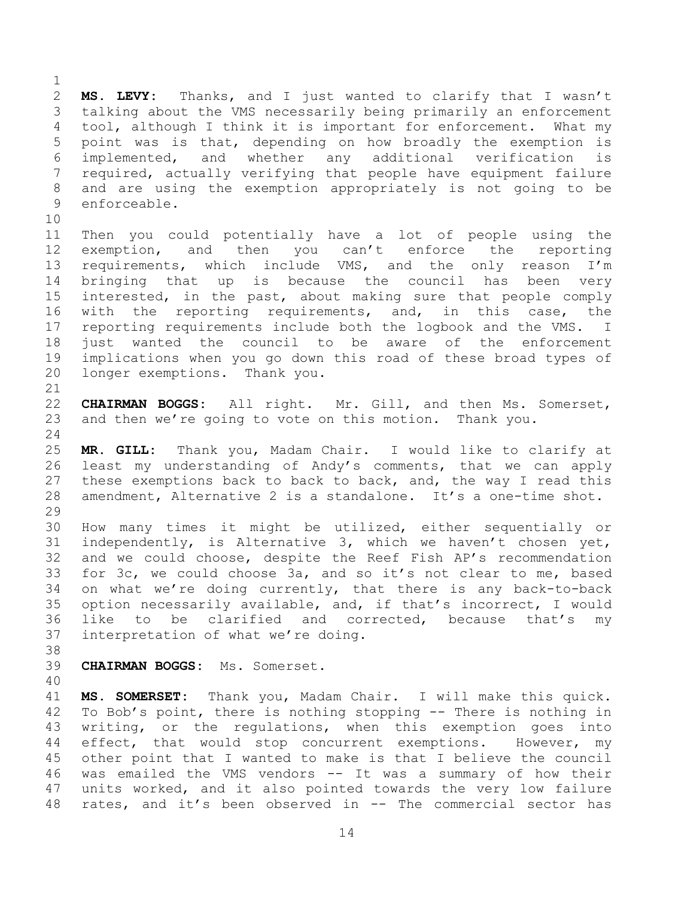$\frac{1}{2}$ 2 **MS. LEVY:** Thanks, and I just wanted to clarify that I wasn't<br>3 talking about the VMS necessarily being primarily an enforcement 3 talking about the VMS necessarily being primarily an enforcement<br>4 tool, although I think it is important for enforcement. What my 4 tool, although I think it is important for enforcement. What my<br>5 point was is that, depending on how broadly the exemption is 5 point was is that, depending on how broadly the exemption is<br>6 implemented, and whether any additional verification is 6 implemented, and whether any additional verification is<br>7 required, actually verifying that people have equipment failure required, actually verifying that people have equipment failure 8 and are using the exemption appropriately is not going to be 9 enforceable.

10<br>11 11 Then you could potentially have a lot of people using the<br>12 exemption, and then you can't enforce the reporting 12 exemption, and then you can't enforce the reporting<br>13 requirements, which include VMS, and the only reason I'm 13 requirements, which include VMS, and the only reason I'm<br>14 bringing that up is because the council has been very 14 bringing that up is because the council has been very<br>15 interested, in the past, about making sure that people comply 15 interested, in the past, about making sure that people comply<br>16 with the reporting requirements, and, in this case, the with the reporting requirements, and, in this case, the 17 reporting requirements include both the logbook and the VMS. I<br>18 just wanted the council to be aware of the enforcement 18 just wanted the council to be aware of the enforcement<br>19 implications when you go down this road of these broad types of 19 implications when you go down this road of these broad types of<br>20 longer exemptions. Thank you. longer exemptions. Thank you.

21<br>22 22 **CHAIRMAN BOGGS:** All right. Mr. Gill, and then Ms. Somerset,<br>23 and then we're going to vote on this motion. Thank you. and then we're going to vote on this motion. Thank you.

 $\frac{24}{25}$ 25 **MR. GILL:** Thank you, Madam Chair. I would like to clarify at 26 least my understanding of Andy's comments, that we can apply<br>27 these exemptions back to back to back, and, the way I read this 27 these exemptions back to back to back, and, the way I read this<br>28 amendment, Alternative 2 is a standalone. It's a one-time shot. amendment, Alternative 2 is a standalone. It's a one-time shot.

29<br>30 30 How many times it might be utilized, either sequentially or<br>31 independently, is Alternative 3, which we haven't chosen yet, 31 independently, is Alternative 3, which we haven't chosen yet,<br>32 and we could choose, despite the Reef Fish AP's recommendation 32 and we could choose, despite the Reef Fish AP's recommendation<br>33 for 3c, we could choose 3a, and so it's not clear to me, based 33 for 3c, we could choose 3a, and so it's not clear to me, based<br>34 on what we're doing currently, that there is any back-to-back 34 on what we're doing currently, that there is any back-to-back<br>35 option necessarily available, and, if that's incorrect, I would 35 option necessarily available, and, if that's incorrect, I would<br>36 like to be clarified and corrected, because that's my 36 like to be clarified and corrected, because that's my<br>37 interpretation of what we're-doing. interpretation of what we're doing.

38<br>39

39 **CHAIRMAN BOGGS:** Ms. Somerset.

40

41 **MS. SOMERSET:** Thank you, Madam Chair. I will make this quick. 42 To Bob's point, there is nothing stopping -- There is nothing in<br>43 writing, or the regulations, when this exemption goes into 43 writing, or the regulations, when this exemption goes into<br>44 effect, that would stop concurrent exemptions. However, my 44 effect, that would stop concurrent exemptions. However, my<br>45 other point that I wanted to make is that I believe the council 45 other point that I wanted to make is that I believe the council<br>46 was emailed the VMS vendors -- It was a summary of how their 46 was emailed the VMS vendors -- It was a summary of how their<br>47 units worked, and it also pointed towards the very low failure units worked, and it also pointed towards the very low failure 48 rates, and it's been observed in -- The commercial sector has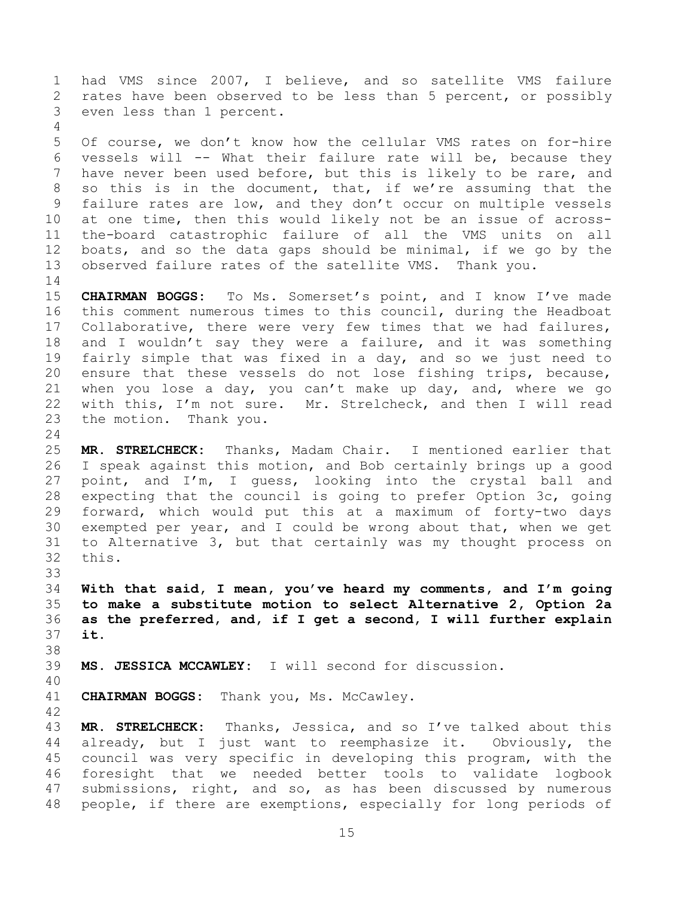1 had VMS since 2007, I believe, and so satellite VMS failure<br>2 rates have been observed to be less than 5 percent, or possibly 2 rates have been observed to be less than 5 percent, or possibly<br>3 even less than 1 percent. even less than 1 percent.

 $\frac{4}{5}$ 5 Of course, we don't know how the cellular VMS rates on for-hire<br>6 vessels will -- What their failure rate will be, because thev 6 vessels will -- What their failure rate will be, because they<br>7 have never been used before, but this is likely to be rare, and have never been used before, but this is likely to be rare, and 8 so this is in the document, that, if we're assuming that the 9 failure rates are low, and they don't occur on multiple vessels<br>10 at one time, then this would likely not be an issue of across-10 at one time, then this would likely not be an issue of across-<br>11 the-board catastrophic failure of all the VMS units on all 11 the-board catastrophic failure of all the VMS units on all<br>12 boats, and so the data gaps should be minimal, if we go by the 12 boats, and so the data gaps should be minimal, if we go by the 13 observed failure rates of the satellite VMS. Thank you. observed failure rates of the satellite VMS. Thank you.

 $\begin{array}{c} 14 \\ 15 \end{array}$ 15 **CHAIRMAN BOGGS:** To Ms. Somerset's point, and I know I've made<br>16 this comment numerous times to this council, during the Headboat this comment numerous times to this council, during the Headboat 17 Collaborative, there were very few times that we had failures,<br>18 and I wouldn't say they were a failure, and it was something 18 and I wouldn't say they were a failure, and it was something<br>19 fairly simple that was fixed in a dav, and so we just need to 19 fairly simple that was fixed in a day, and so we just need to<br>20 ensure that these vessels do not lose fishing trips, because, 20 ensure that these vessels do not lose fishing trips, because,<br>21 when you lose a day, you can't make up day, and, where we go 21 when you lose a day, you can't make up day, and, where we go<br>22 with this, I'm not sure. Mr. Strelcheck, and then I will read 22 with this, I'm not sure. Mr. Strelcheck, and then I will read<br>23 the motion. Thank you. the motion. Thank you.

 $\frac{24}{25}$ 25 **MR. STRELCHECK:** Thanks, Madam Chair. I mentioned earlier that 26 I speak against this motion, and Bob certainly brings up a good<br>27 point, and I'm, I quess, looking into the crystal ball and 27 point, and I'm, I guess, looking into the crystal ball and<br>28 expecting that the council is going to prefer Option 3c, going 28 expecting that the council is going to prefer Option 3c, going<br>29 forward, which would put this at a maximum of forty-two days 29 forward, which would put this at a maximum of forty-two days<br>30 exempted per year, and I could be wrong about that, when we get 30 exempted per year, and I could be wrong about that, when we get<br>31 to Alternative 3, but that certainly was my thought process on 31 to Alternative 3, but that certainly was my thought process on this.

33<br>34 34 **With that said, I mean, you've heard my comments, and I'm going**  35 **to make a substitute motion to select Alternative 2, Option 2a**  36 **as the preferred, and, if I get a second, I will further explain**  it.

38<br>39 MS. JESSICA MCCAWLEY: I will second for discussion.

40

41 **CHAIRMAN BOGGS:** Thank you, Ms. McCawley.

42 43 **MR. STRELCHECK:** Thanks, Jessica, and so I've talked about this<br>44 already, but I just want to reemphasize it. Obviously, the already, but I just want to reemphasize it. Obviously, the 45 council was very specific in developing this program, with the<br>46 foresight that we needed better tools to validate logbook 46 foresight that we needed better tools to validate logbook<br>47 submissions, right, and so, as has been discussed by numerous submissions, right, and so, as has been discussed by numerous 48 people, if there are exemptions, especially for long periods of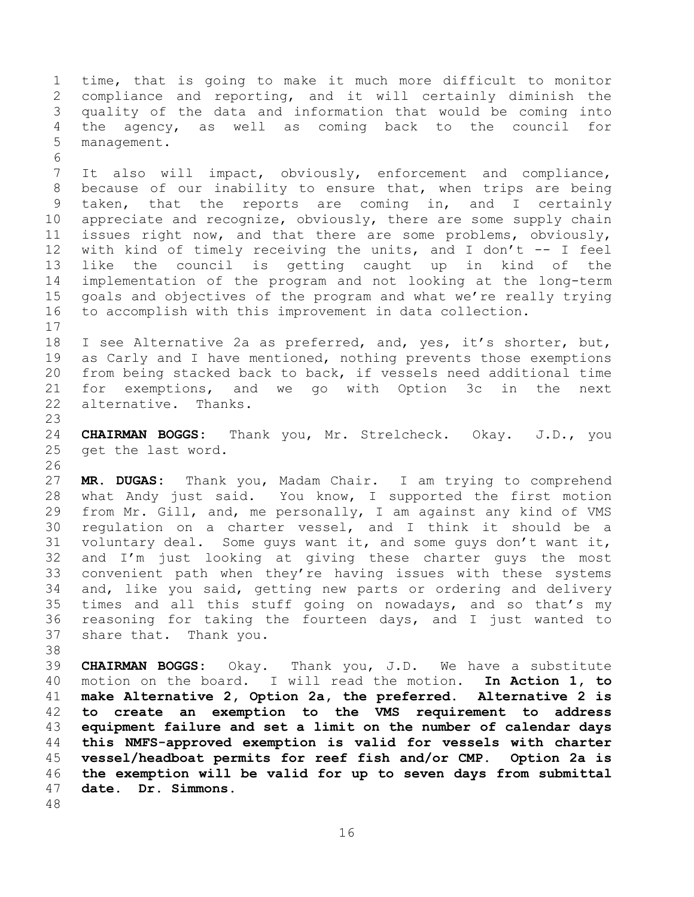1 time, that is going to make it much more difficult to monitor<br>2 compliance and reporting, and it will certainly diminish the 2 compliance and reporting, and it will certainly diminish the<br>3 quality of the data and information that would be coming into 3 quality of the data and information that would be coming into 4 the agency, as well as coming back to the council<br>5 management. management.

6<br>7 It also will impact, obviously, enforcement and compliance, 8 because of our inability to ensure that, when trips are being 9 taken, that the reports are coming in, and I certainly<br>10 appreciate and recognize, obviously, there are some supply chain 10 appreciate and recognize, obviously, there are some supply chain<br>11 issues right now, and that there are some problems, obviously, 11 issues right now, and that there are some problems, obviously,<br>12 with kind of timely receiving the units, and I don't -- I feel 12 with kind of timely receiving the units, and I don't -- I feel<br>13 like the council is getting caught up in kind of the 13 like the council is getting caught up in kind of the<br>14 implementation of the program and not looking at the long-term 14 implementation of the program and not looking at the long-term<br>15 goals and objectives of the program and what we're really trying 15 goals and objectives of the program and what we're really trying<br>16 to accomplish with this improvement in data collection. to accomplish with this improvement in data collection.

 $\begin{array}{c} 17 \\ 18 \end{array}$ 18 I see Alternative 2a as preferred, and, yes, it's shorter, but,<br>19 as Carly and I have mentioned, nothing prevents those exemptions 19 as Carly and I have mentioned, nothing prevents those exemptions<br>20 from being stacked back to back, if vessels need additional time 20 from being stacked back to back, if vessels need additional time<br>21 for exemptions, and we go with Option 3c in the next 21 for exemptions, and we go with Option 3c in the next<br>22 alternative. Thanks. alternative. Thanks.

23 24 **CHAIRMAN BOGGS:** Thank you, Mr. Strelcheck. Okay. J.D., you get the last word.

26<br>27 27 **MR. DUGAS:** Thank you, Madam Chair. I am trying to comprehend 28 what Andy just said. You know, I supported the first motion<br>29 from Mr. Gill, and, me personally, I am against any kind of VMS 29 from Mr. Gill, and, me personally, I am against any kind of VMS<br>30 regulation on a charter vessel, and I think it should be a 30 regulation on a charter vessel, and I think it should be a<br>31 voluntary deal. Some quys want it, and some quys don't want it, voluntary deal. Some guys want it, and some guys don't want it, 32 and I'm just looking at giving these charter guys the most<br>33 convenient path when they're having issues with these systems 33 convenient path when they're having issues with these systems<br>34 and, like vou said, getting new parts or ordering and delivery 34 and, like you said, getting new parts or ordering and delivery<br>35 times and all this stuff going on nowadays, and so that's my 35 times and all this stuff going on nowadays, and so that's my<br>36 reasoning for taking the fourteen days, and I just wanted to 36 reasoning for taking the fourteen days, and I just wanted to 37 share that. Thank you. share that. Thank you.

38<br>39 **CHAIRMAN BOGGS:** Okay. Thank you, J.D. We have a substitute motion on the board. I will read the motion. **In Action 1, to make Alternative 2, Option 2a, the preferred. Alternative 2 is to create an exemption to the VMS requirement to address equipment failure and set a limit on the number of calendar days this NMFS-approved exemption is valid for vessels with charter vessel/headboat permits for reef fish and/or CMP.**<br>46 **the exemption will be valid for up to seven days f the exemption will be valid for up to seven days from submittal**  date. Dr. Simmons.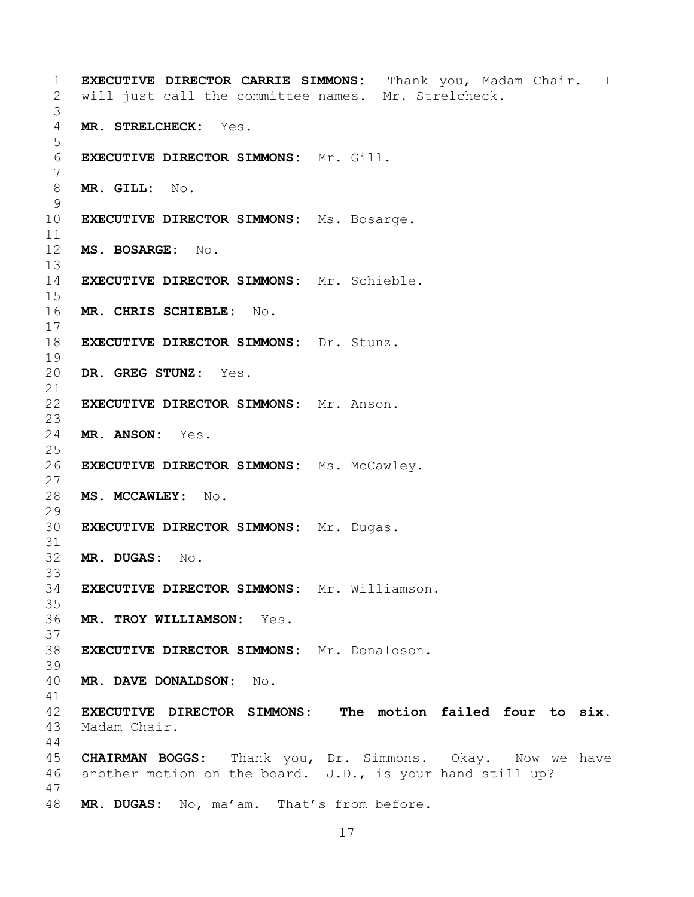```
1 EXECUTIVE DIRECTOR CARRIE SIMMONS: Thank you, Madam Chair. I 
     will just call the committee names. Mr. Strelcheck.
 3
     MR. STRELCHECK: Yes.
 5
     6 EXECUTIVE DIRECTOR SIMMONS: Mr. Gill.
 7
 8 MR. GILL: No.
\begin{array}{c} 9 \\ 10 \end{array}EXECUTIVE DIRECTOR SIMMONS: Ms. Bosarge.
11<br>12
     12 MS. BOSARGE: No.
13<br>14
     14 EXECUTIVE DIRECTOR SIMMONS: Mr. Schieble.
\frac{15}{16}16 MR. CHRIS SCHIEBLE: No.
\frac{17}{18}18 EXECUTIVE DIRECTOR SIMMONS: Dr. Stunz.
19<br>20
     DR. GREG STUNZ: Yes.
21<br>22
     22 EXECUTIVE DIRECTOR SIMMONS: Mr. Anson.
\frac{23}{24}24 MR. ANSON: Yes.
\frac{25}{26}26 EXECUTIVE DIRECTOR SIMMONS: Ms. McCawley.
\frac{27}{28}28 MS. MCCAWLEY: No.
\frac{29}{30}30 EXECUTIVE DIRECTOR SIMMONS: Mr. Dugas.
31
32 MR. DUGAS: No.
33<br>34
     EXECUTIVE DIRECTOR SIMMONS: Mr. Williamson.
35<br>36
     36 MR. TROY WILLIAMSON: Yes.
37<br>38
     38 EXECUTIVE DIRECTOR SIMMONS: Mr. Donaldson.
39
40 MR. DAVE DONALDSON: No.
41<br>42
42 EXECUTIVE DIRECTOR SIMMONS: The motion failed four to six. 
     Madam Chair.
44<br>45
45 CHAIRMAN BOGGS: Thank you, Dr. Simmons. Okay. Now we have<br>46 another motion on the board. J.D., is your hand still up?
     another motion on the board. J.D., is your hand still up?
47
48 MR. DUGAS: No, ma'am. That's from before.
```

```
17
```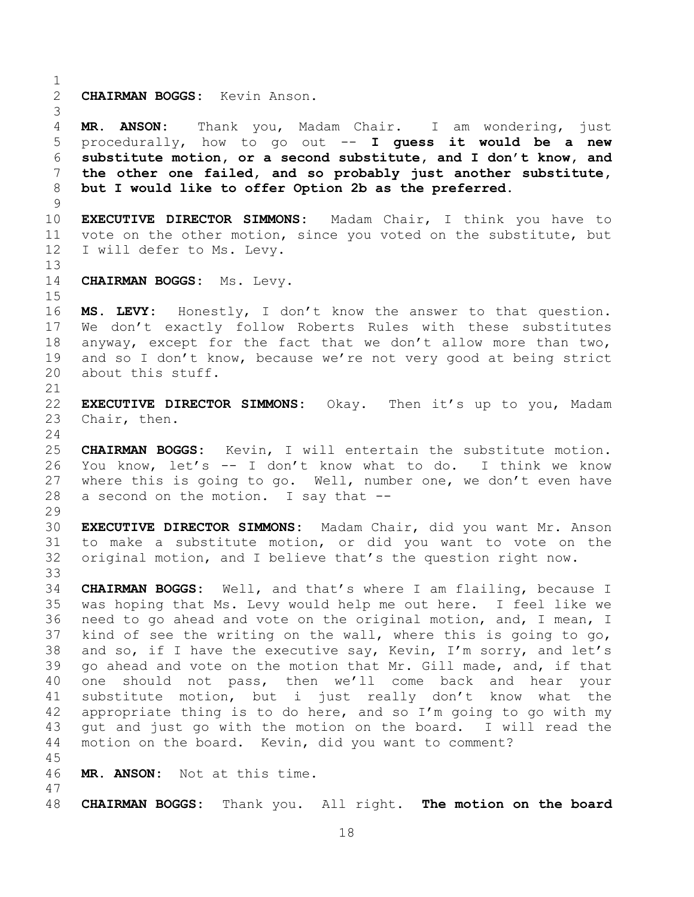$\frac{1}{2}$ 2 **CHAIRMAN BOGGS:** Kevin Anson. 3 4 MR. ANSON: Thank you, Madam Chair. I am wondering, just<br>5 procedurally, how to go out -- I quess it would be a new 5 procedurally, how to go out -- **I guess it would be a new**  6 **substitute motion, or a second substitute, and I don't know, and**  7 **the other one failed, and so probably just another substitute,**  8 **but I would like to offer Option 2b as the preferred.**  $\begin{array}{c} 9 \\ 10 \end{array}$ 10 **EXECUTIVE DIRECTOR SIMMONS:** Madam Chair, I think you have to 11 vote on the other motion, since you voted on the substitute, but<br>12 I will defer to Ms. Levy. I will defer to Ms. Levy. 13<br>14 CHAIRMAN BOGGS: Ms. Levy.  $\frac{15}{16}$ MS. LEVY: Honestly, I don't know the answer to that question. 17 We don't exactly follow Roberts Rules with these substitutes<br>18 anyway, except for the fact that we don't allow more than two, 18 anyway, except for the fact that we don't allow more than two,<br>19 and so I don't know, because we're not verv good at being strict 19 and so I don't know, because we're not very good at being strict<br>20 about this stuff. about this stuff. 21<br>22 22 **EXECUTIVE DIRECTOR SIMMONS:** Okay. Then it's up to you, Madam Chair, then.  $\frac{24}{25}$ 25 **CHAIRMAN BOGGS:** Kevin, I will entertain the substitute motion. 26 You know, let's -- I don't know what to do. I think we know<br>27 where this is going to go. Well, number one, we don't even have 27 where this is going to go. Well, number one, we don't even have  $28$  a second on the motion. I sav that  $$ a second on the motion. I say that  $-$ - $\frac{29}{30}$ 30 **EXECUTIVE DIRECTOR SIMMONS:** Madam Chair, did you want Mr. Anson to make a substitute motion, or did you want to vote on the 32 original motion, and I believe that's the question right now. 33<br>34 34 **CHAIRMAN BOGGS:** Well, and that's where I am flailing, because I 35 was hoping that Ms. Levy would help me out here. I feel like we<br>36 need to go ahead and vote on the original motion, and, I mean, I 36 need to go ahead and vote on the original motion, and, I mean, I<br>37 kind of see the writing on the wall, where this is going to go, 37 kind of see the writing on the wall, where this is going to go,  $38$  and so, if I have the executive say, Kevin, I'm sorry, and let's 38 and so, if I have the executive say, Kevin, I'm sorry, and let's<br>39 qo ahead and vote on the motion that Mr. Gill made, and, if that go ahead and vote on the motion that Mr. Gill made, and, if that 40 one should not pass, then we'll come back and hear your 41 substitute motion, but i just really don't know what the<br>42 appropriate thing is to do here, and so I'm going to go with my 42 appropriate thing is to do here, and so I'm going to go with my<br>43 qut and just go with the motion on the board. I will read the 43 gut and just go with the motion on the board. I will read the 44 motion on the board. Kevin, did you want to comment? motion on the board. Kevin, did you want to comment? 45 MR. ANSON: Not at this time. 47 48 **CHAIRMAN BOGGS:** Thank you. All right. **The motion on the board**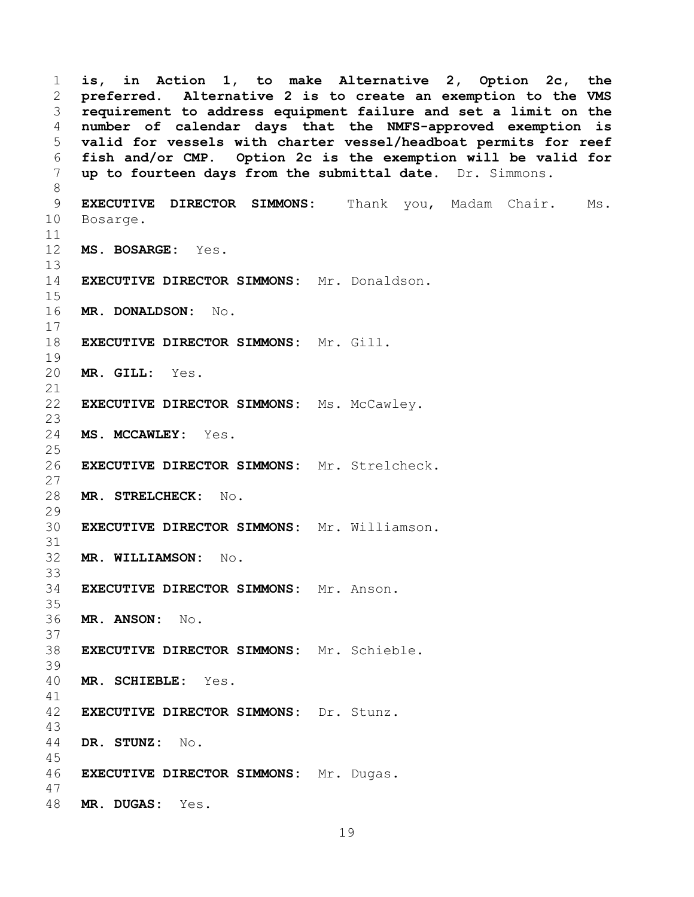1 **is, in Action 1, to make Alternative 2, Option 2c, the**  2 **preferred. Alternative 2 is to create an exemption to the VMS**  3 **requirement to address equipment failure and set a limit on the**  4 **number of calendar days that the NMFS-approved exemption is**  5 **valid for vessels with charter vessel/headboat permits for reef**  6 **fish and/or CMP. Option 2c is the exemption will be valid for**  7 **up to fourteen days from the submittal date.** Dr. Simmons. 8 9 **EXECUTIVE DIRECTOR SIMMONS:** Thank you, Madam Chair. Ms.<br>10 Bosarqe. Bosarge. 11<br>12 12 **MS. BOSARGE:** Yes. 13<br>14 **EXECUTIVE DIRECTOR SIMMONS:** Mr. Donaldson.  $\frac{15}{16}$ 16 **MR. DONALDSON:** No.  $\frac{17}{18}$ 18 **EXECUTIVE DIRECTOR SIMMONS:** Mr. Gill. 19<br>20 MR. GILL: Yes. 21<br>22 **EXECUTIVE DIRECTOR SIMMONS:** Ms. McCawley.  $\frac{23}{24}$ MS. MCCAWLEY: Yes.  $\frac{25}{26}$ 26 **EXECUTIVE DIRECTOR SIMMONS:** Mr. Strelcheck.  $\frac{27}{28}$ 28 **MR. STRELCHECK:** No.  $\frac{29}{30}$ 30 **EXECUTIVE DIRECTOR SIMMONS:** Mr. Williamson. 31 32 **MR. WILLIAMSON:** No. 33<br>34 34 **EXECUTIVE DIRECTOR SIMMONS:** Mr. Anson. 35<br>36 36 **MR. ANSON:** No. 37<br>38 38 **EXECUTIVE DIRECTOR SIMMONS:** Mr. Schieble. 39 40 **MR. SCHIEBLE:** Yes. 41<br>42 42 **EXECUTIVE DIRECTOR SIMMONS:** Dr. Stunz. 43 44 **DR. STUNZ:** No. 45 46 **EXECUTIVE DIRECTOR SIMMONS:** Mr. Dugas. 47 48 **MR. DUGAS:** Yes.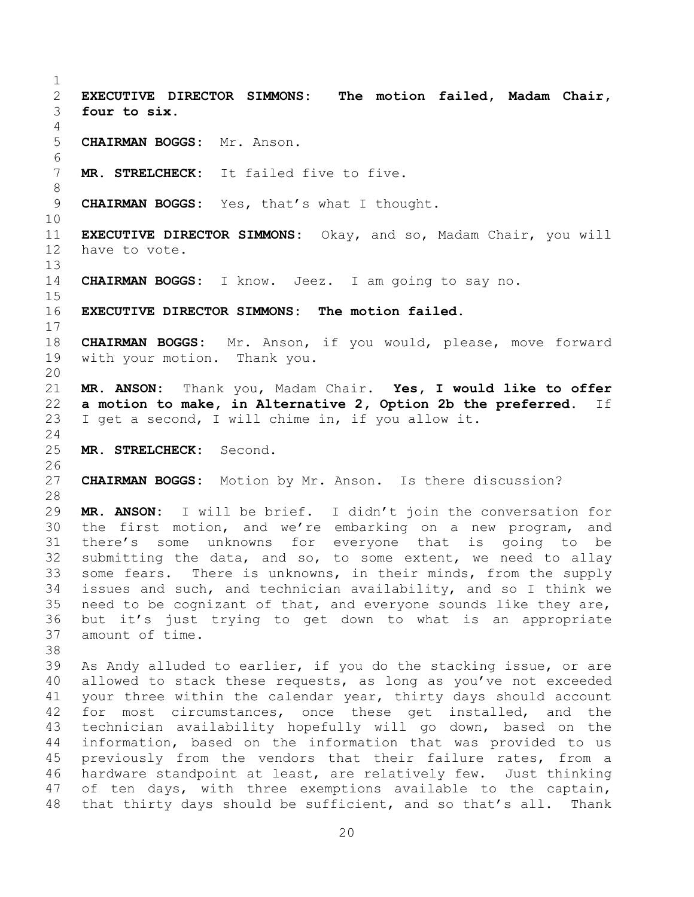<span id="page-19-0"></span> $\frac{1}{2}$ 2 **EXECUTIVE DIRECTOR SIMMONS: The motion failed, Madam Chair,**  four to six.  $\frac{4}{5}$ 5 **CHAIRMAN BOGGS:** Mr. Anson. 6<br>7 MR. STRELCHECK: It failed five to five. 8 9 **CHAIRMAN BOGGS:** Yes, that's what I thought. 10<br>11 11 **EXECUTIVE DIRECTOR SIMMONS:** Okay, and so, Madam Chair, you will have to vote. 13<br>14 14 **CHAIRMAN BOGGS:** I know. Jeez. I am going to say no.  $\frac{15}{16}$ EXECUTIVE DIRECTOR SIMMONS: The motion failed.  $\frac{17}{18}$ 18 **CHAIRMAN BOGGS:** Mr. Anson, if you would, please, move forward<br>19 with your motion. Thank you. with your motion. 20<br>21 21 **MR. ANSON:** Thank you, Madam Chair. **Yes, I would like to offer**  22 **a motion to make, in Alternative 2, Option 2b the preferred.** If 23 I get a second. I will chime in, if you allow it. I get a second, I will chime in, if you allow it.  $\frac{24}{25}$ 25 **MR. STRELCHECK:** Second. 26<br>27 CHAIRMAN BOGGS: Motion by Mr. Anson. Is there discussion? 28<br>29 29 **MR. ANSON:** I will be brief. I didn't join the conversation for 30 the first motion, and we're embarking on a new program, and<br>31 there's some unknowns for everyone that is going to be there's some unknowns for everyone that is going to be 32 submitting the data, and so, to some extent, we need to allay<br>33 some fears. There is unknowns, in their minds, from the supply 33 some fears. There is unknowns, in their minds, from the supply<br>34 issues and such, and technician availability, and so I think we 34 issues and such, and technician availability, and so I think we<br>35 need to be cognizant of that, and everyone sounds like they are, 35 need to be cognizant of that, and everyone sounds like they are,<br>36 but it's just trving to get down to what is an appropriate 36 but it's just trying to get down to what is an appropriate amount of time. 38<br>39 As Andy alluded to earlier, if you do the stacking issue, or are 40 allowed to stack these requests, as long as you've not exceeded 41 your three within the calendar year, thirty days should account<br>42 for most circumstances, once these get installed, and the 42 for most circumstances, once these get installed, and the<br>43 technician availability hopefully will go down, based on the 43 technician availability hopefully will go down, based on the<br>44 information, based on the information that was provided to us information, based on the information that was provided to us 45 previously from the vendors that their failure rates, from a<br>46 hardware standpoint at least, are relatively few. Just thinking 46 hardware standpoint at least, are relatively few. Just thinking<br>47 of ten days, with three exemptions available to the captain, of ten days, with three exemptions available to the captain,

<span id="page-19-1"></span>20

48 that thirty days should be sufficient, and so that's all. Thank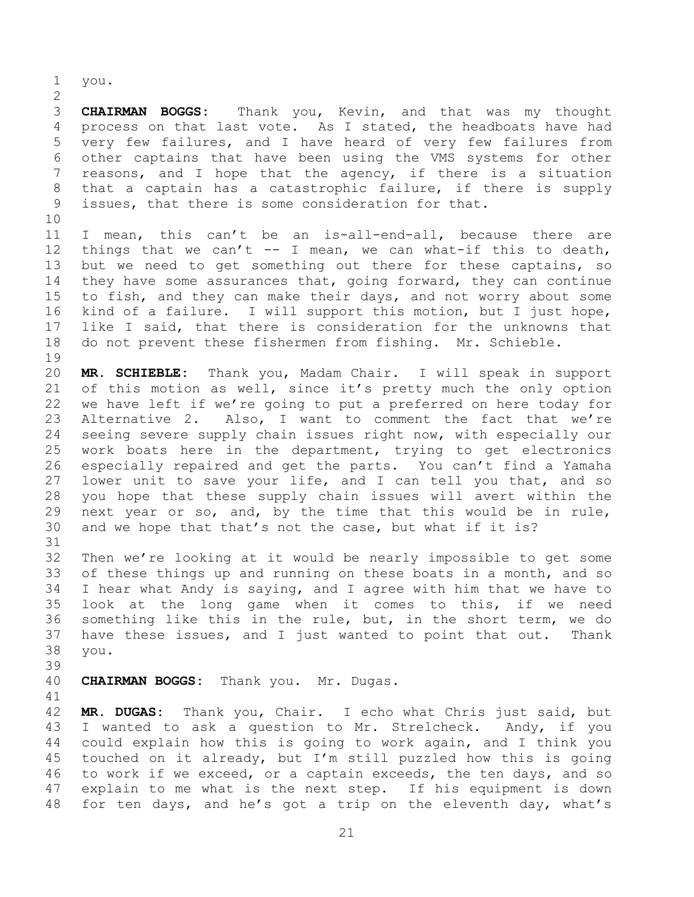1 you.

 $\frac{2}{3}$ 3 **CHAIRMAN BOGGS:** Thank you, Kevin, and that was my thought 4 process on that last vote. As I stated, the headboats have had<br>5 very few failures, and I have heard of very few failures from 5 very few failures, and I have heard of very few failures from<br>6 other captains that have been using the VMS systems for other 6 other captains that have been using the VMS systems for other<br>7 reasons, and I hope that the agency, if there is a situation reasons, and I hope that the agency, if there is a situation 8 that a captain has a catastrophic failure, if there is supply 9 issues, that there is some consideration for that.

10<br>11 11 I mean, this can't be an is-all-end-all, because there are<br>12 things that we can't -- I mean, we can what-if this to death, 12 things that we can't  $-$  I mean, we can what-if this to death,<br>13 but we need to get something out there for these captains, so 13 but we need to get something out there for these captains, so<br>14 they have some assurances that, going forward, they can continue 14 they have some assurances that, going forward, they can continue<br>15 to fish, and they can make their days, and not worry about some 15 to fish, and they can make their days, and not worry about some<br>16 kind of a failure. I will support this motion, but I just hope, kind of a failure. I will support this motion, but I just hope, 17 like I said, that there is consideration for the unknowns that<br>18 do not prevent these fishermen from fishing. Mr. Schieble. do not prevent these fishermen from fishing. Mr. Schieble.

19<br>20 20 **MR. SCHIEBLE:** Thank you, Madam Chair. I will speak in support 21 of this motion as well, since it's pretty much the only option<br>22 we have left if we're going to put a preferred on here today for 22 we have left if we're going to put a preferred on here today for<br>23 Alternative 2. Also, I want to comment the fact that we're 23 Alternative 2. Also, I want to comment the fact that we're<br>24 seeing severe supply chain issues right now, with especially our 24 seeing severe supply chain issues right now, with especially our<br>25 work boats here in the department, trying to get electronics 25 work boats here in the department, trying to get electronics<br>26 especially repaired and get the parts. You can't find a Yamaha 26 especially repaired and get the parts. You can't find a Yamaha<br>27 lower unit to save your life, and I can tell you that, and so 27 lower unit to save your life, and I can tell you that, and so<br>28 you hope that these supply chain issues will avert within the 28 you hope that these supply chain issues will avert within the<br>29 next year or so, and, by the time that this would be in rule, 29 next year or so, and, by the time that this would be in rule,  $30$  and we hope that that's not the case, but what if it is? and we hope that that's not the case, but what if it is?

31<br>32 32 Then we're looking at it would be nearly impossible to get some<br>33 of these things up and running on these boats in a month, and so 33 of these things up and running on these boats in a month, and so<br>34 I hear what Andy is saving, and I agree with him that we have to 34 I hear what Andy is saying, and I agree with him that we have to<br>35 look at the long game when it comes to this, if we need 35 look at the long game when it comes to this, if we need<br>36 something like this in the rule, but, in the short term, we do 36 something like this in the rule, but, in the short term, we do<br>37 have these issues, and I just wanted to point that out. Thank 37 have these issues, and I just wanted to point that out.<br>38 you. you.

- 39
- 40 **CHAIRMAN BOGGS:** Thank you. Mr. Dugas.
- 41<br>42

42 **MR. DUGAS:** Thank you, Chair. I echo what Chris just said, but 43 I wanted to ask a question to Mr. Strelcheck. Andy, if you<br>44 could explain how this is going to work again, and I think you 44 could explain how this is going to work again, and I think you<br>45 touched on it already, but I'm still puzzled how this is going 45 touched on it already, but I'm still puzzled how this is going<br>46 to work if we exceed, or a captain exceeds, the ten days, and so 46 to work if we exceed, or a captain exceeds, the ten days, and so<br>47 explain to me what is the next step. If his equipment is down explain to me what is the next step. If his equipment is down 48 for ten days, and he's got a trip on the eleventh day, what's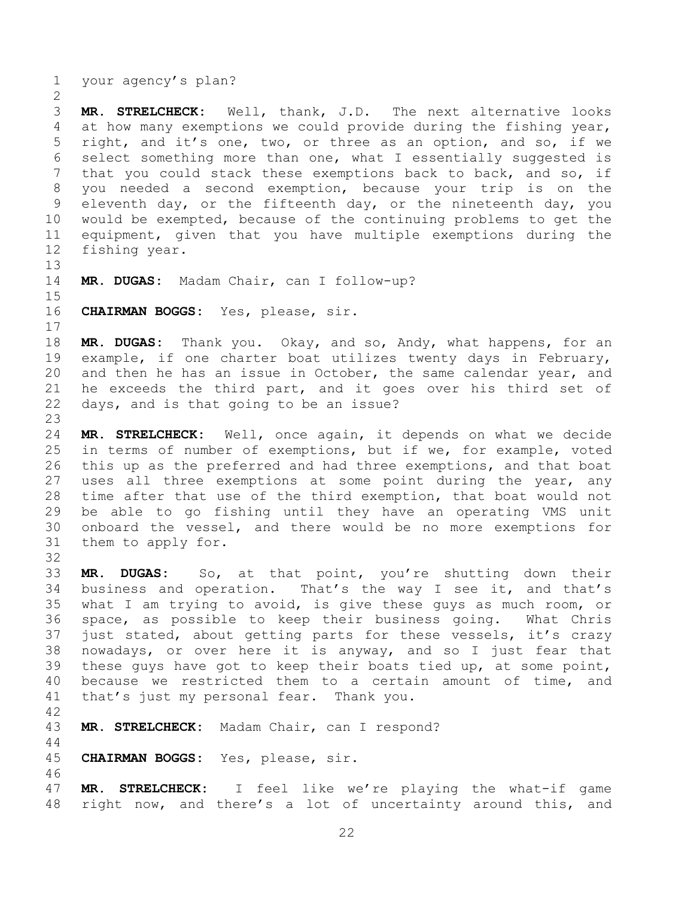1 your agency's plan?

 $\frac{2}{3}$ 3 **MR. STRELCHECK:** Well, thank, J.D. The next alternative looks<br>4 at how many exemptions we could provide during the fishing vear, 4 at how many exemptions we could provide during the fishing year,<br>5 right, and it's one, two, or three as an option, and so, if we 5 right, and it's one, two, or three as an option, and so, if we<br>6 select something more than one, what I essentially suggested is 6 select something more than one, what I essentially suggested is<br>7 that you could stack these exemptions back to back, and so, if that you could stack these exemptions back to back, and so, if 8 you needed a second exemption, because your trip is on the 9 eleventh day, or the fifteenth day, or the nineteenth day, you<br>10 would be exempted, because of the continuing problems to get the 10 would be exempted, because of the continuing problems to get the<br>11 equipment, given that you have multiple exemptions during the 11 equipment, given that you have multiple exemptions during the<br>12 fishing year. fishing year.

13<br>14 MR. DUGAS: Madam Chair, can I follow-up?

 $\frac{15}{16}$ 16 **CHAIRMAN BOGGS:** Yes, please, sir.

 $\frac{17}{18}$ 18 **MR. DUGAS:** Thank you. Okay, and so, Andy, what happens, for an<br>19 example, if one charter boat utilizes twenty days in February, 19 example, if one charter boat utilizes twenty days in February,<br>20 and then he has an issue in October, the same calendar year, and 20 and then he has an issue in October, the same calendar year, and<br>21 he exceeds the third part, and it goes over his third set of 21 he exceeds the third part, and it goes over his third set of<br>22 days, and is that going to be an issue? days, and is that going to be an issue?

 $\frac{23}{24}$ 24 **MR. STRELCHECK:** Well, once again, it depends on what we decide 25 in terms of number of exemptions, but if we, for example, voted<br>26 this up as the preferred and had three exemptions, and that boat 26 this up as the preferred and had three exemptions, and that boat<br>27 uses all three exemptions at some point during the year, any 27 uses all three exemptions at some point during the year, any<br>28 time after that use of the third exemption, that boat would not 28 time after that use of the third exemption, that boat would not<br>29 be able to go fishing until they have an operating VMS unit 29 be able to go fishing until they have an operating VMS unit<br>30 onboard the vessel, and there would be no more exemptions for 30 onboard the vessel, and there would be no more exemptions for<br>31 them to apply for. them to apply for.

32<br>33 33 **MR. DUGAS:** So, at that point, you're shutting down their<br>34 business and operation. That's the way I see it, and that's 34 business and operation. That's the way I see it, and that's<br>35 what I am trying to avoid, is give these guys as much room, or 35 what I am trying to avoid, is give these guys as much room, or<br>36 space, as possible to keep their business going. What Chris 36 space, as possible to keep their business going. What Chris<br>37 just stated, about getting parts for these vessels, it's crazy 37 just stated, about getting parts for these vessels, it's crazy<br>38 nowadays, or over here it is anyway, and so I just fear that 38 nowadays, or over here it is anyway, and so I just fear that<br>39 these quys have got to keep their boats tied up, at some point, these guys have got to keep their boats tied up, at some point, 40 because we restricted them to a certain amount of time, and 41 that's just my personal fear. Thank you.

42

MR. STRELCHECK: Madam Chair, can I respond?

 $\begin{array}{c} 44 \\ 45 \end{array}$ 45 **CHAIRMAN BOGGS:** Yes, please, sir.

46<br>47 MR. STRELCHECK: I feel like we're playing the what-if game 48 right now, and there's a lot of uncertainty around this, and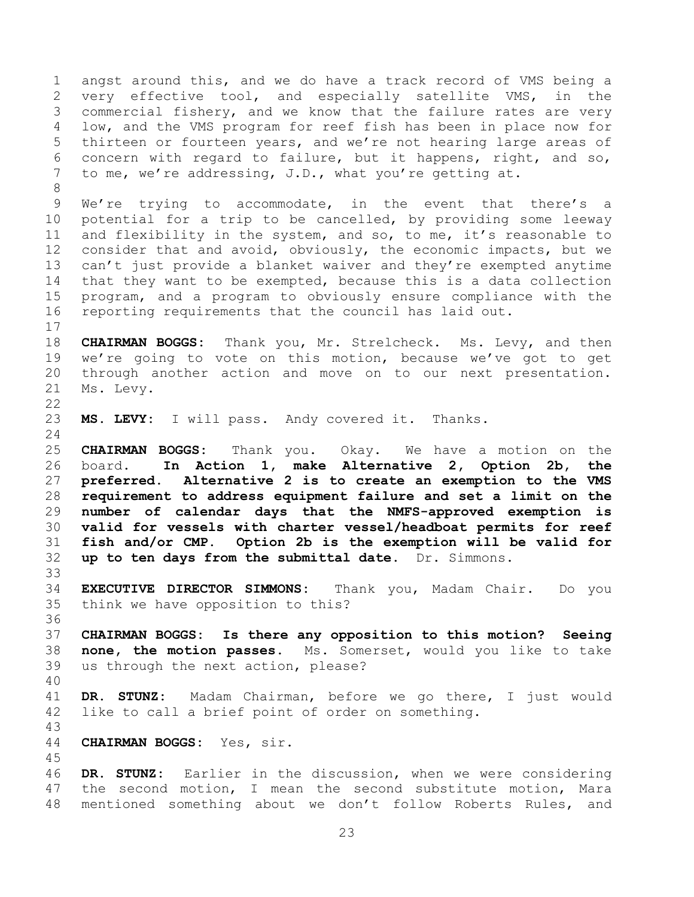<span id="page-22-0"></span>1 angst around this, and we do have a track record of VMS being a<br>2 very effective tool, and especially satellite VMS, in the 2 very effective tool, and especially satellite VMS, in the<br>3 commercial fishery, and we know that the failure rates are very 3 commercial fishery, and we know that the failure rates are very<br>4 low, and the VMS program for reef fish has been in place now for 4 low, and the VMS program for reef fish has been in place now for<br>5 thirteen or fourteen years, and we're not hearing large areas of 5 thirteen or fourteen years, and we're not hearing large areas of<br>6 concern with regard to failure, but it happens, right, and so, 6 concern with regard to failure, but it happens, right, and so,  $\overline{a}$  to me, we're addressing, J.D., what you're getting at. to me, we're addressing, J.D., what you're getting at. 8 9 We're trying to accommodate, in the event that there's a<br>10 potential for a trip to be cancelled, by providing some leeway 10 potential for a trip to be cancelled, by providing some leeway<br>11 and flexibility in the system, and so, to me, it's reasonable to 11 and flexibility in the system, and so, to me, it's reasonable to<br>12 consider that and avoid, obviously, the economic impacts, but we 12 consider that and avoid, obviously, the economic impacts, but we<br>13 can't just provide a blanket waiver and thev're exempted anytime 13 can't just provide a blanket waiver and they're exempted anytime<br>14 that they want to be exempted, because this is a data collection 14 that they want to be exempted, because this is a data collection<br>15 program, and a program to obviously ensure compliance with the 15 program, and a program to obviously ensure compliance with the<br>16 reporting requirements that the council has laid out. reporting requirements that the council has laid out.  $\begin{array}{c} 17 \\ 18 \end{array}$ 18 **CHAIRMAN BOGGS:** Thank you, Mr. Strelcheck. Ms. Levy, and then<br>19 we're going to vote on this motion, because we've got to get 19 we're going to vote on this motion, because we've got to get<br>20 through another action and move on to our next presentation. 20 through another action and move on to our next presentation.<br>21 Ms. Levv. Ms. Levy.  $\frac{22}{23}$ MS. LEVY: I will pass. Andy covered it. Thanks.  $\frac{24}{25}$ 25 **CHAIRMAN BOGGS:** Thank you. Okay. We have a motion on the<br>26 board. In Action 1, make Alternative 2, Option 2b, the 26 board. **In Action 1, make Alternative 2,**<br>27 **preferred. Alternative 2 is to create an exem** Alternative 2 is to create an exemption to the VMS 28 **requirement to address equipment failure and set a limit on the**  29 **number of calendar days that the NMFS-approved exemption is**  30 **valid for vessels with charter vessel/headboat permits for reef**  fish and/or CMP. Option 2b is the exemption will be valid for 32 **up to ten days from the submittal date.** Dr. Simmons. 33<br>34 34 **EXECUTIVE DIRECTOR SIMMONS:** Thank you, Madam Chair. Do you think we have opposition to this? 36<br>37 37 **CHAIRMAN BOGGS: Is there any opposition to this motion? Seeing**  38 **none, the motion passes.** Ms. Somerset, would you like to take us through the next action, please? 40 41 **DR. STUNZ:** Madam Chairman, before we go there, I just would like to call a brief point of order on something. 43 44 **CHAIRMAN BOGGS:** Yes, sir. 45 46 **DR. STUNZ:** Earlier in the discussion, when we were considering the second motion, I mean the second substitute motion, Mara 48 mentioned something about we don't follow Roberts Rules, and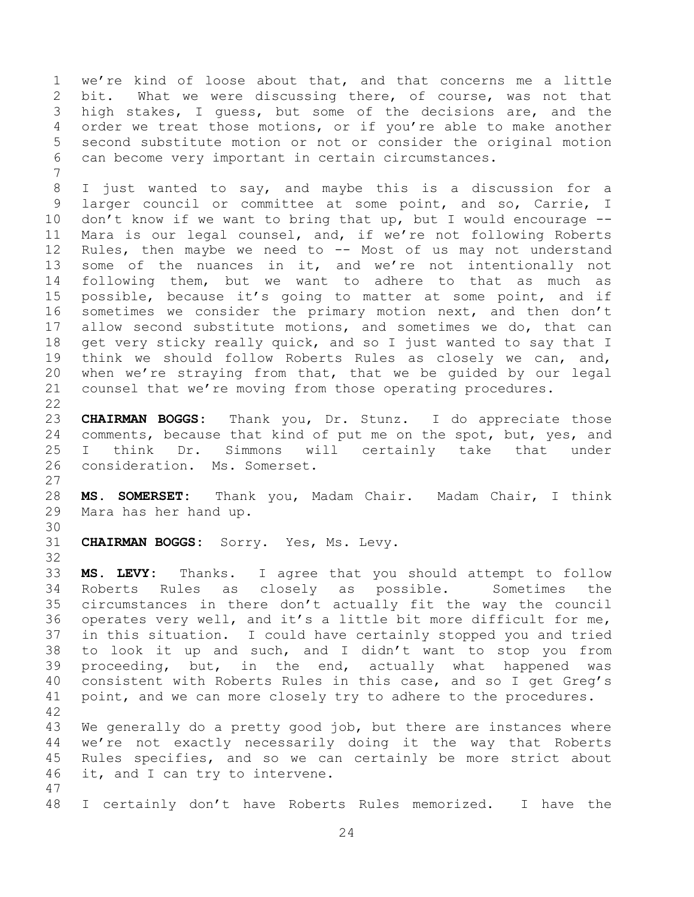1 we're kind of loose about that, and that concerns me a little<br>2 bit. What we were discussing there, of course, was not that 2 bit. What we were discussing there, of course, was not that<br>3 high stakes, I quess, but some of the decisions are, and the 3 high stakes, I guess, but some of the decisions are, and the<br>4 order we treat those motions, or if you're able to make another 4 order we treat those motions, or if you're able to make another<br>5 second substitute motion or not or consider the original motion 5 second substitute motion or not or consider the original motion<br>6 can become verv important in certain circumstances. can become very important in certain circumstances.

8 I just wanted to say, and maybe this is a discussion for a 9 larger council or committee at some point, and so, Carrie, I<br>10 don't know if we want to bring that up, but I would encourage --10 don't know if we want to bring that up, but I would encourage --<br>11 Mara is our legal counsel, and, if we're not following Roberts 11 Mara is our legal counsel, and, if we're not following Roberts<br>12 Rules, then maybe we need to -- Most of us may not understand 12 Rules, then maybe we need to -- Most of us may not understand<br>13 some of the nuances in it, and we're not intentionally not 13 some of the nuances in it, and we're not intentionally not<br>14 following them, but we want to adhere to that as much as 14 following them, but we want to adhere to that as much as<br>15 possible, because it's going to matter at some point, and if 15 possible, because it's going to matter at some point, and if<br>16 sometimes we consider the primary motion next, and then don't sometimes we consider the primary motion next, and then don't 17 allow second substitute motions, and sometimes we do, that can<br>18 qet very sticky really quick, and so I just wanted to say that I 18 get very sticky really quick, and so I just wanted to say that I<br>19 think we should follow Roberts Rules as closely we can, and, 19 think we should follow Roberts Rules as closely we can, and,<br>20 when we're straying from that, that we be quided by our legal 20 when we're straying from that, that we be guided by our legal<br>21 counsel that we're moving from those operating procedures. counsel that we're moving from those operating procedures.

 $\frac{22}{23}$ 23 **CHAIRMAN BOGGS:** Thank you, Dr. Stunz. I do appreciate those<br>24 comments, because that kind of put me on the spot, but, yes, and 24 comments, because that kind of put me on the spot, but, yes, and<br>25 I think Dr. Simmons will certainly take that under 25 I think Dr. Simmons will certainly take that under<br>26 consideration. Ms. Somerset. consideration. Ms. Somerset.

 $\begin{array}{c} 27 \\ 28 \end{array}$ 28 **MS. SOMERSET:** Thank you, Madam Chair. Madam Chair, I think Mara has her hand up.

30<br>31 CHAIRMAN BOGGS: Sorry. Yes, Ms. Levy.

7

47

32<br>33 33 **MS. LEVY:** Thanks. I agree that you should attempt to follow 34 Roberts Rules as closely as possible. Sometimes the<br>35 circumstances in there don't actually fit the way the council 35 circumstances in there don't actually fit the way the council<br>36 operates verv well, and it's a little bit more difficult for me, 36 operates very well, and it's a little bit more difficult for me,<br>37 in this situation. I could have certainly stopped you and tried 37 in this situation. I could have certainly stopped you and tried<br>38 to look it up and such, and I didn't want to stop you from 38 to look it up and such, and I didn't want to stop you from<br>39 proceeding, but, in the end, actually what happened was proceeding, but, in the end, actually what happened was 40 consistent with Roberts Rules in this case, and so I get Greg's 41 point, and we can more closely try to adhere to the procedures. 42

43 We generally do a pretty good job, but there are instances where<br>44 we're not exactly necessarily doing it the way that Roberts 44 we're not exactly necessarily doing it the way that Roberts<br>45 Rules specifies, and so we can certainly be more strict about 45 Rules specifies, and so we can certainly be more strict about<br>46 it, and I can try to intervene. it, and I can try to intervene.

48 I certainly don't have Roberts Rules memorized. I have the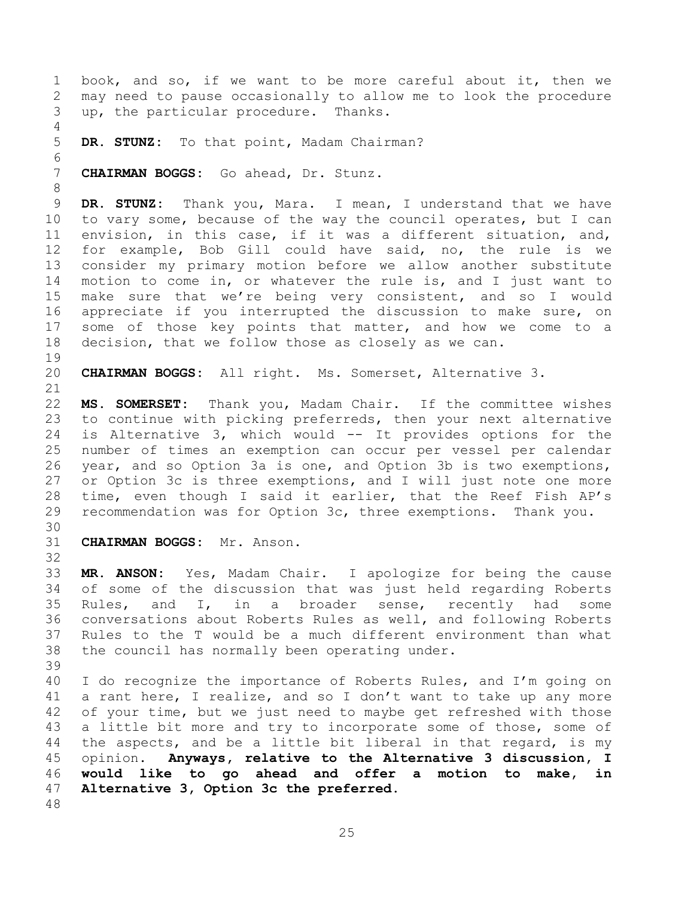<span id="page-24-0"></span>1 book, and so, if we want to be more careful about it, then we<br>2 may need to pause occasionally to allow me to look the procedure 2 may need to pause occasionally to allow me to look the procedure<br>3 up, the particular procedure. Thanks. up, the particular procedure. Thanks.  $\frac{4}{5}$ DR. STUNZ: To that point, Madam Chairman? 6<br>7 7 **CHAIRMAN BOGGS:** Go ahead, Dr. Stunz. 8 9 **DR. STUNZ:** Thank you, Mara. I mean, I understand that we have<br>10 to vary some, because of the way the council operates, but I can 10 to vary some, because of the way the council operates, but I can<br>11 envision, in this case, if it was a different situation, and, 11 envision, in this case, if it was a different situation, and,<br>12 for example, Bob Gill could have said, no, the rule is we 12 for example, Bob Gill could have said, no, the rule is we<br>13 consider my primary motion before we allow another substitute 13 consider my primary motion before we allow another substitute<br>14 motion to come in, or whatever the rule is, and I just want to 14 motion to come in, or whatever the rule is, and I just want to<br>15 make sure that we're being very consistent, and so I would 15 make sure that we're being very consistent, and so I would<br>16 appreciate if you interrupted the discussion to make sure, on appreciate if you interrupted the discussion to make sure, on 17 some of those key points that matter, and how we come to a<br>18 decision, that we follow those as closely as we can. decision, that we follow those as closely as we can. 19<br>20 20 **CHAIRMAN BOGGS:** All right. Ms. Somerset, Alternative 3. 21<br>22 22 **MS. SOMERSET:** Thank you, Madam Chair. If the committee wishes to continue with picking preferreds, then your next alternative 24 is Alternative 3, which would -- It provides options for the<br>25 number of times an exemption can occur per vessel per calendar 25 number of times an exemption can occur per vessel per calendar<br>26 year, and so Option 3a is one, and Option 3b is two exemptions, 26 year, and so Option 3a is one, and Option 3b is two exemptions,<br>27 or Option 3c is three exemptions, and I will just note one more 27 or Option 3c is three exemptions, and I will just note one more<br>28 time, even though I said it earlier, that the Reef Fish AP's 28 time, even though I said it earlier, that the Reef Fish AP's<br>29 recommendation was for Option 3c, three exemptions. Thank you. recommendation was for Option 3c, three exemptions. Thank you. 30<br>31 31 **CHAIRMAN BOGGS:** Mr. Anson. 32<br>33 33 **MR. ANSON:** Yes, Madam Chair. I apologize for being the cause 34 of some of the discussion that was just held regarding Roberts<br>35 Rules, and I, in a broader sense, recently had some 35 Rules, and I, in a broader sense, recently had some<br>36 conversations-about-Roberts-Rules-as-well, and-following-Roberts 36 conversations about Roberts Rules as well, and following Roberts<br>37 Rules to the T would be a much different environment than what 37 Rules to the T would be a much different environment than what<br>38 the council has normally been operating under. the council has normally been operating under. 39 40 I do recognize the importance of Roberts Rules, and I'm going on 41 a rant here, I realize, and so I don't want to take up any more<br>42 of vour time, but we just need to mavbe get refreshed with those 42 of your time, but we just need to maybe get refreshed with those<br>43 a little bit more and try to incorporate some of those, some of 43 a little bit more and try to incorporate some of those, some of<br>44 the aspects, and be a little bit liberal in that regard, is my 44 the aspects, and be a little bit liberal in that regard, is my<br>45 opinion. Anyways, relative to the Alternative 3 discussion, I 45 opinion. **Anyways, relative to the Alternative 3 discussion, I**  46 **would like to go ahead and offer a motion to make, in**  47 **Alternative 3, Option 3c the preferred.** 48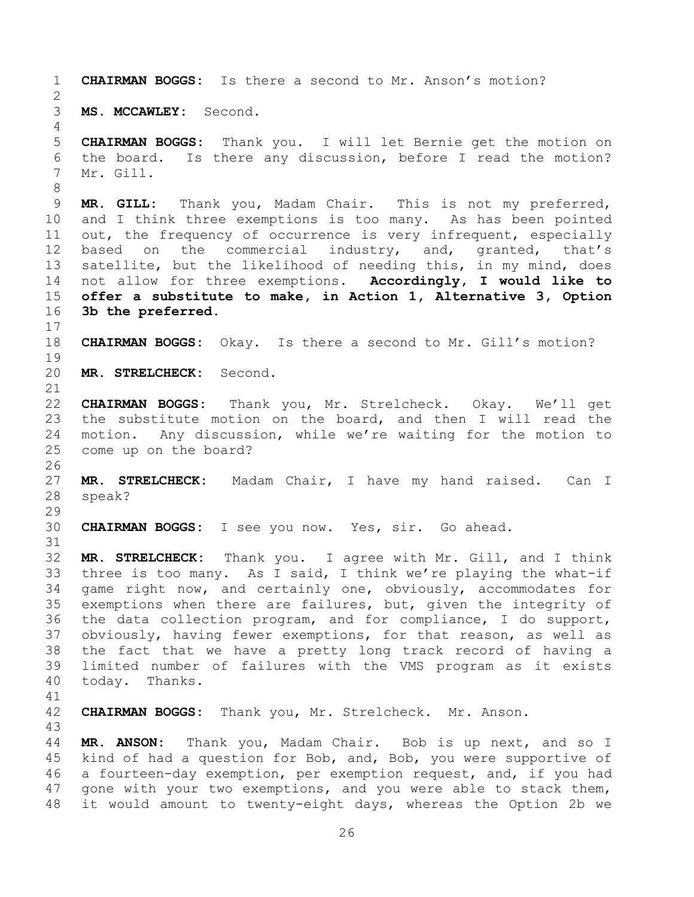```
1 CHAIRMAN BOGGS: Is there a second to Mr. Anson's motion? 
 \frac{2}{3}3 MS. MCCAWLEY: Second.
 \frac{4}{5}5 CHAIRMAN BOGGS: Thank you. I will let Bernie get the motion on<br>6 the board. Is there any discussion, before I read the motion?
 6 the board. Is there any discussion, before I read the motion?<br>7 Mr. Gill.
      Mr. Gill.
 8
9 MR. GILL: Thank you, Madam Chair. This is not my preferred,<br>10 and I think three exemptions is too many. As has been pointed
10 and I think three exemptions is too many. As has been pointed<br>11 out, the frequency of occurrence is very infrequent, especially
11 out, the frequency of occurrence is very infrequent, especially<br>12 based on the commercial industry, and, granted, that's
12 based on the commercial industry, and, granted, that's<br>13 satellite, but the likelihood of needing this, in my mind, does
13 satellite, but the likelihood of needing this, in my mind, does<br>14 not allow for three exemptions. Accordingly, I would like to
14 not allow for three exemptions.<br>15 offer a substitute to make, in A
15 offer a substitute to make, in Action 1, Alternative 3, Option 
      16 3b the preferred. 
\begin{array}{c} 17 \\ 18 \end{array}CHAIRMAN BOGGS: Okay. Is there a second to Mr. Gill's motion?
19<br>20
      20 MR. STRELCHECK: Second.
21<br>22
22 CHAIRMAN BOGGS: Thank you, Mr. Strelcheck. Okay. We'll get 
23 the substitute motion on the board, and then I will read the<br>24 motion. Any discussion, while we're waiting for the motion to
24 motion. Any discussion, while we're waiting for the motion to<br>25 come up on the board?
      come up on the board?
26<br>27
27 MR. STRELCHECK: Madam Chair, I have my hand raised. Can I<br>28 speak?
      speak?
29<br>30
      30 CHAIRMAN BOGGS: I see you now. Yes, sir. Go ahead.
31
32 MR. STRELCHECK: Thank you. I agree with Mr. Gill, and I think 
33 three is too many. As I said, I think we're playing the what-if<br>34 qame right now, and certainly one, obviously, accommodates for
34 game right now, and certainly one, obviously, accommodates for<br>35 exemptions when there are failures, but, given the integrity of
35 exemptions when there are failures, but, given the integrity of<br>36 the data collection program, and for compliance, I do support,
36 the data collection program, and for compliance, I do support,<br>37 obviously, having fewer exemptions, for that reason, as well as
37 obviously, having fewer exemptions, for that reason, as well as<br>38 the fact that we have a pretty long track record of having a
38 the fact that we have a pretty long track record of having a<br>39 limited number of failures with the VMS program as it exists
      limited number of failures with the VMS program as it exists
40 today. Thanks.
41<br>42
      42 CHAIRMAN BOGGS: Thank you, Mr. Strelcheck. Mr. Anson.
43
44 MR. ANSON: Thank you, Madam Chair. Bob is up next, and so I 
45 kind of had a question for Bob, and, Bob, you were supportive of<br>46 a fourteen-day exemption, per exemption request, and, if you had
46 a fourteen-day exemption, per exemption request, and, if you had<br>47 gone with your two exemptions, and you were able to stack them,
      gone with your two exemptions, and you were able to stack them,
```
48 it would amount to twenty-eight days, whereas the Option 2b we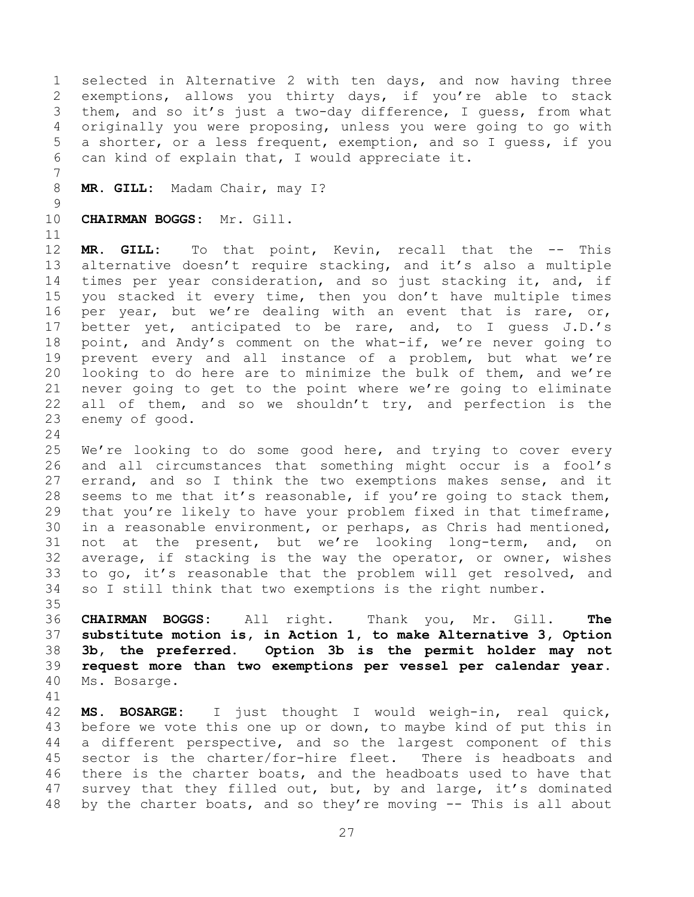1 selected in Alternative 2 with ten days, and now having three<br>2 exemptions, allows you thirty days, if you're able to stack 2 exemptions, allows you thirty days, if you're able to stack<br>3 them, and so it's just a two-day difference, I quess, from what 3 them, and so it's just a two-day difference, I guess, from what<br>4 originally you were proposing, unless you were going to go with 4 originally you were proposing, unless you were going to go with<br>5 a shorter, or a less frequent, exemption, and so I quess, if you 5 a shorter, or a less frequent, exemption, and so I guess, if you<br>6 can kind of explain that, I would appreciate it. can kind of explain that, I would appreciate it.

7 MR. GILL: Madam Chair, may I?

 $\begin{array}{c} 9 \\ 10 \end{array}$ 10 **CHAIRMAN BOGGS:** Mr. Gill.

11<br>12 12 **MR. GILL:** To that point, Kevin, recall that the -- This<br>13 alternative doesn't require stacking, and it's also a multiple 13 alternative doesn't require stacking, and it's also a multiple<br>14 times per vear consideration, and so just stacking it, and, if 14 times per year consideration, and so just stacking it, and, if<br>15 you stacked it every time, then you don't have multiple times 15 you stacked it every time, then you don't have multiple times<br>16 per year, but we're dealing with an event that is rare, or, per year, but we're dealing with an event that is rare, or, 17 better yet, anticipated to be rare, and, to I guess J.D.'s<br>18 point, and Andy's comment on the what-if, we're never going to 18 point, and Andy's comment on the what-if, we're never going to<br>19 prevent every and all instance of a problem, but what we're 19 prevent every and all instance of a problem, but what we're<br>20 looking to do here are to minimize the bulk of them, and we're 20 looking to do here are to minimize the bulk of them, and we're<br>21 never going to get to the point where we're going to eliminate 21 never going to get to the point where we're going to eliminate<br>22 all of them, and so we shouldn't try, and perfection is the 22 all of them, and so we shouldn't try, and perfection is the  $23$  enemy of good. enemy of good.

 $\frac{24}{25}$ 

25 We're looking to do some good here, and trying to cover every<br>26 and all circumstances that something might occur is a fool's 26 and all circumstances that something might occur is a fool's<br>27 errand, and so I think the two exemptions makes sense, and it 27 errand, and so I think the two exemptions makes sense, and it<br>28 seems to me that it's reasonable, if you're going to stack them, 28 seems to me that it's reasonable, if you're going to stack them,<br>29 that you're likely to have your problem fixed in that timeframe, 29 that you're likely to have your problem fixed in that timeframe,<br>30 in a reasonable environment, or perhaps, as Chris had mentioned, 30 in a reasonable environment, or perhaps, as Chris had mentioned,<br>31 not at the present, but we're looking long-term, and, on not at the present, but we're looking long-term, and, on 32 average, if stacking is the way the operator, or owner, wishes<br>33 to go, it's reasonable that the problem will get resolved, and 33 to go, it's reasonable that the problem will get resolved, and<br>34 so I still think that two exemptions is the right number. so I still think that two exemptions is the right number.

35<br>36 **CHAIRMAN BOGGS:** All right. Thank you, Mr. Gill. **The substitute motion is, in Action 1, to make Alternative 3, Option 3b, the preferred. Option 3b is the permit holder may not request more than two exemptions per vessel per calendar year.**  Ms. Bosarge.

41<br>42

42 **MS. BOSARGE:** I just thought I would weigh-in, real quick,<br>43 before we vote this one up or down, to maybe kind of put this in 43 before we vote this one up or down, to maybe kind of put this in<br>44 a different perspective, and so the largest component of this 44 a different perspective, and so the largest component of this<br>45 sector is the charter/for-hire fleet. There is headboats and 45 sector is the charter/for-hire fleet. There is headboats and<br>46 there is the charter boats, and the headboats used to have that 46 there is the charter boats, and the headboats used to have that<br>47 survey that they filled out, but, by and large, it's dominated survey that they filled out, but, by and large, it's dominated 48 by the charter boats, and so they're moving -- This is all about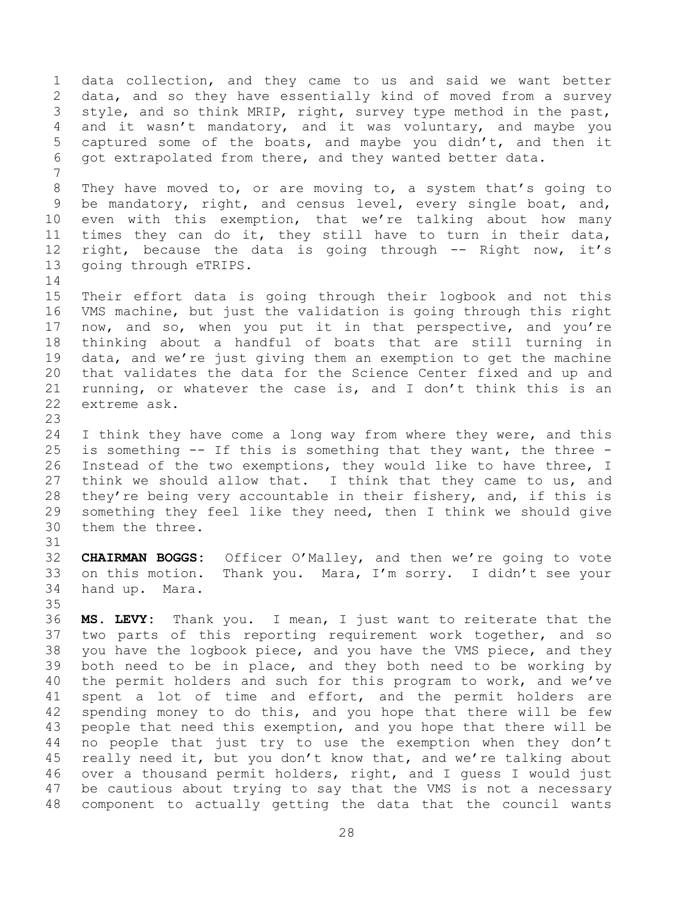1 data collection, and they came to us and said we want better<br>2 data, and so they have essentially kind of moved from a survey 2 data, and so they have essentially kind of moved from a survey<br>3 style, and so think MRIP, right, survey type method in the past, 3 style, and so think MRIP, right, survey type method in the past,<br>4 and it wasn't mandatory, and it was voluntary, and mavbe vou 4 and it wasn't mandatory, and it was voluntary, and maybe you<br>5 captured some of the boats, and maybe you didn't, and then it 5 captured some of the boats, and maybe you didn't, and then it<br>6 got extrapolated from there, and they wanted better data. got extrapolated from there, and they wanted better data. 7 8 They have moved to, or are moving to, a system that's going to 9 be mandatory, right, and census level, every single boat, and,<br>10 even with this exemption, that we're talking about how many 10 even with this exemption, that we're talking about how many<br>11 times they can do it, they still have to turn in their data, 11 times they can do it, they still have to turn in their data,<br>12 right, because the data is going through -- Right now, it's 12 right, because the data is going through -- Right now, it's<br>13 going through eTRIPS. going through eTRIPS.  $\begin{array}{c} 14 \\ 15 \end{array}$ 15 Their effort data is going through their logbook and not this<br>16 VMS machine, but just the validation is going through this right VMS machine, but just the validation is going through this right 17 now, and so, when you put it in that perspective, and you're<br>18 thinking about a handful of boats that are still turning in 18 thinking about a handful of boats that are still turning in<br>19 data, and we're just giving them an exemption to get the machine 19 data, and we're just giving them an exemption to get the machine<br>20 that validates the data for the Science Center fixed and up and 20 that validates the data for the Science Center fixed and up and<br>21 running, or whatever the case is, and I don't think this is an 21 running, or whatever the case is, and I don't think this is an  $22$  extreme ask. extreme ask. 23 24 I think they have come a long way from where they were, and this<br>25 is something -- If this is something that they want, the three -25 is something -- If this is something that they want, the three -<br>26 Instead of the two exemptions, they would like to have three, I 26 Instead of the two exemptions, they would like to have three, I<br>27 think we should allow that. I think that they came to us, and 27 think we should allow that. I think that they came to us, and<br>28 thev're being verv accountable in their fisherv, and, if this is 28 they're being very accountable in their fishery, and, if this is<br>29 something they feel like they need, then I think we should give 29 something they feel like they need, then I think we should give<br>30 them the three. them the three. 31 32 **CHAIRMAN BOGGS:** Officer O'Malley, and then we're going to vote 33 on this motion. Thank you. Mara, I'm sorry. I didn't see your<br>34 hand up. Mara. hand up. Mara. 35<br>36 36 **MS. LEVY:** Thank you. I mean, I just want to reiterate that the 37 two parts of this reporting requirement work together, and so<br>38 you have the logbook piece, and you have the VMS piece, and they 38 you have the logbook piece, and you have the VMS piece, and they<br>39 both need to be in place, and they both need to be working by both need to be in place, and they both need to be working by 40 the permit holders and such for this program to work, and we've 41 spent a lot of time and effort, and the permit holders are<br>42 spending monev to do this, and you hope that there will be few 42 spending money to do this, and you hope that there will be few<br>43 people that need this exemption, and you hope that there will be 43 people that need this exemption, and you hope that there will be<br>44 no people that just try to use the exemption when they don't 44 no people that just try to use the exemption when they don't<br>45 really need it, but you don't know that, and we're talking about 45 really need it, but you don't know that, and we're talking about<br>46 over a thousand permit holders, right, and I quess I would just 46 over a thousand permit holders, right, and I guess I would just<br>47 be cautious about trying to say that the VMS is not a necessary be cautious about trying to say that the VMS is not a necessary 48 component to actually getting the data that the council wants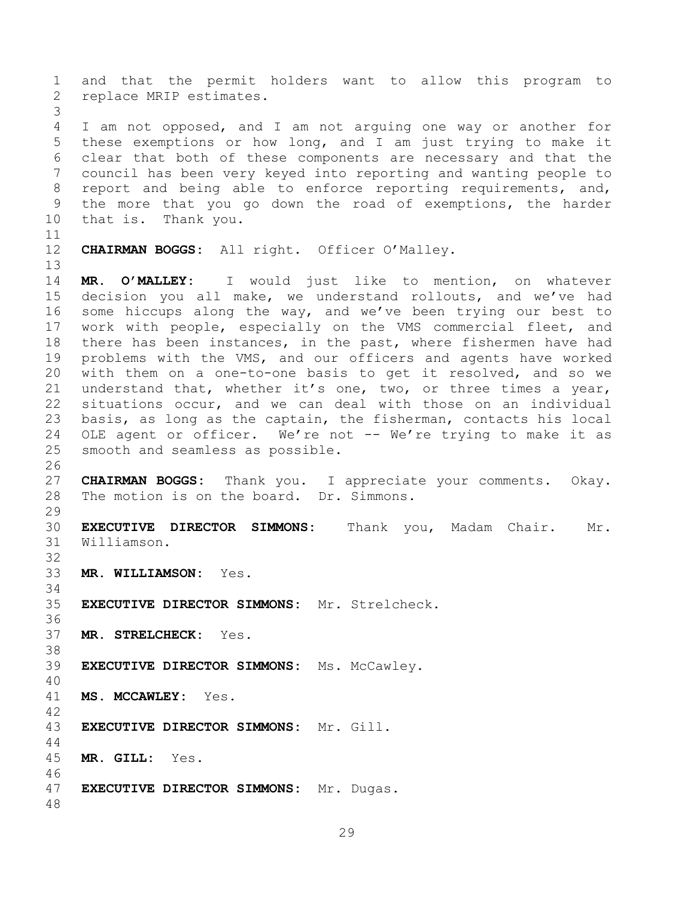1 and that the permit holders want to allow this program to<br>2 replace MRIP estimates. replace MRIP estimates. 3 4 I am not opposed, and I am not arguing one way or another for<br>5 these exemptions or how long, and I am just trying to make it 5 these exemptions or how long, and I am just trying to make it<br>6 clear that both of these components are necessary and that the 6 clear that both of these components are necessary and that the<br>7 council has been very keved into reporting and wanting people to council has been very keyed into reporting and wanting people to 8 report and being able to enforce reporting requirements, and, 9 the more that you go down the road of exemptions, the harder<br>10 that is. Thank you. that is. Thank you. 11<br>12 CHAIRMAN BOGGS: All right. Officer O'Malley. 13<br>14 14 **MR. O'MALLEY:** I would just like to mention, on whatever 15 decision you all make, we understand rollouts, and we've had<br>16 some hiccups along the way, and we've been trying our best to some hiccups along the way, and we've been trying our best to 17 work with people, especially on the VMS commercial fleet, and<br>18 there has been instances, in the past, where fishermen have had 18 there has been instances, in the past, where fishermen have had<br>19 problems with the VMS, and our officers and agents have worked 19 problems with the VMS, and our officers and agents have worked<br>20 with them on a one-to-one basis to get it resolved, and so we 20 with them on a one-to-one basis to get it resolved, and so we<br>21 understand that, whether it's one, two, or three times a vear, 21 understand that, whether it's one, two, or three times a year,<br>22 situations occur, and we can deal with those on an individual 22 situations occur, and we can deal with those on an individual<br>23 basis, as long as the captain, the fisherman, contacts his local 23 basis, as long as the captain, the fisherman, contacts his local<br>24 OLE agent or officer. We're not -- We're trying to make it as 24 OLE agent or officer. We're not -- We're trying to make it as 25 smooth and seamless as possible. smooth and seamless as possible. 26<br>27 27 **CHAIRMAN BOGGS:** Thank you. I appreciate your comments. Okay.<br>28 The motion is on the board. Dr. Simmons. The motion is on the board. Dr. Simmons.  $\frac{29}{30}$ 30 **EXECUTIVE DIRECTOR SIMMONS:** Thank you, Madam Chair. Mr. Williamson. 32<br>33 33 **MR. WILLIAMSON:** Yes. 34<br>35 35 **EXECUTIVE DIRECTOR SIMMONS:** Mr. Strelcheck. 36<br>37 **MR. STRELCHECK:** Yes. 38<br>39 39 **EXECUTIVE DIRECTOR SIMMONS:** Ms. McCawley. 40 41 **MS. MCCAWLEY:** Yes. 42 43 **EXECUTIVE DIRECTOR SIMMONS:** Mr. Gill.  $\begin{array}{c} 44 \\ 45 \end{array}$ 45 **MR. GILL:** Yes. 46<br>47 47 **EXECUTIVE DIRECTOR SIMMONS:** Mr. Dugas. 48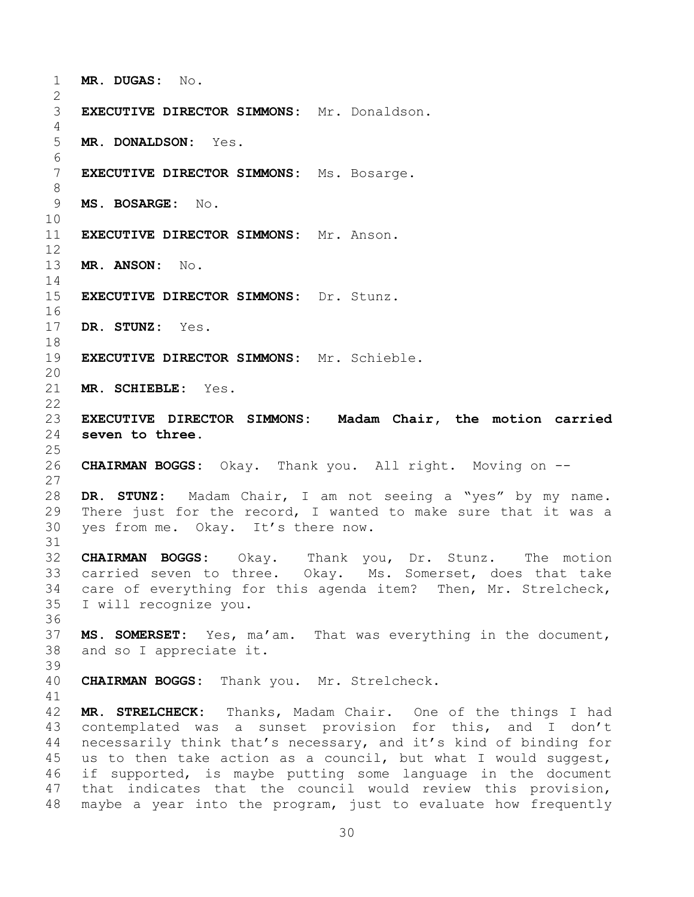<span id="page-29-0"></span>1 **MR. DUGAS:** No.  $\frac{2}{3}$ 3 **EXECUTIVE DIRECTOR SIMMONS:** Mr. Donaldson.  $\frac{4}{5}$ 5 **MR. DONALDSON:** Yes. 6<br>7 7 **EXECUTIVE DIRECTOR SIMMONS:** Ms. Bosarge. 8 9 **MS. BOSARGE:** No. 10<br>11 **EXECUTIVE DIRECTOR SIMMONS:** Mr. Anson.  $\begin{array}{c} 12 \\ 13 \end{array}$ 13 **MR. ANSON:** No.  $\frac{14}{15}$ 15 **EXECUTIVE DIRECTOR SIMMONS:** Dr. Stunz. 16<br>17 DR. STUNZ: Yes. 18<br>19 19 **EXECUTIVE DIRECTOR SIMMONS:** Mr. Schieble. 20<br>21 MR. SCHIEBLE: Yes.  $\frac{22}{23}$ 23 **EXECUTIVE DIRECTOR SIMMONS: Madam Chair, the motion carried**  seven to three.  $\frac{25}{26}$ 26 **CHAIRMAN BOGGS:** Okay. Thank you. All right. Moving on --  $\frac{27}{28}$ 28 **DR. STUNZ:** Madam Chair, I am not seeing a "yes" by my name. 29 There just for the record, I wanted to make sure that it was a  $30$  ves from me. Okav. It's there now. yes from me. Okay. It's there now. 31 32 **CHAIRMAN BOGGS:** Okay. Thank you, Dr. Stunz. The motion 33 carried seven to three. Okay. Ms. Somerset, does that take<br>34 care of evervthing for this agenda item? Then, Mr. Strelcheck, 34 care of everything for this agenda item? Then, Mr. Strelcheck,<br>35 I will recognize you. I will recognize you. 36<br>37 37 **MS. SOMERSET:** Yes, ma'am. That was everything in the document,<br>38 and so I appreciate it. and so I appreciate it. 39 40 **CHAIRMAN BOGGS:** Thank you. Mr. Strelcheck. 41<br>42 42 **MR. STRELCHECK:** Thanks, Madam Chair. One of the things I had<br>43 contemplated was a sunset provision for this, and I don't 43 contemplated was a sunset provision for this, and I don't<br>44 necessarily think that's necessary, and it's kind of binding for 44 necessarily think that's necessary, and it's kind of binding for<br>45 us to then take action as a council, but what I would suggest, 45 us to then take action as a council, but what I would suggest,<br>46 if supported, is maybe putting some language in the document 46 if supported, is maybe putting some language in the document<br>47 that indicates that the council would review this provision, that indicates that the council would review this provision, 48 maybe a year into the program, just to evaluate how frequently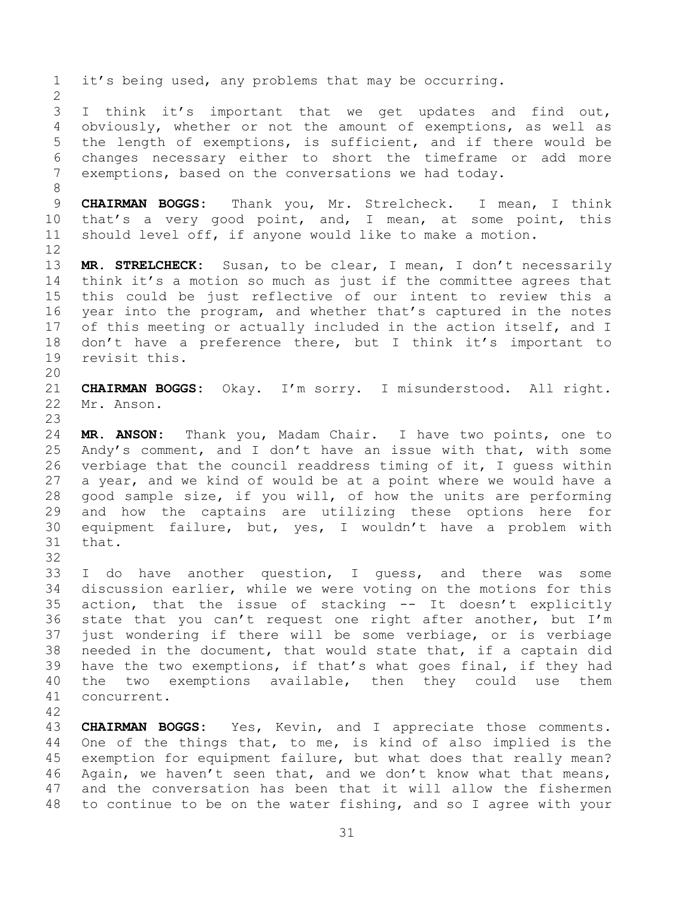1 it's being used, any problems that may be occurring.  $\frac{2}{3}$ 3 I think it's important that we get updates and find out,<br>4 obviously, whether or not the amount of exemptions, as well as 4 obviously, whether or not the amount of exemptions, as well as<br>5 the length of exemptions, is sufficient, and if there would be 5 the length of exemptions, is sufficient, and if there would be<br>6 changes necessary either to short the timeframe or add more 6 changes necessary either to short the timeframe or add more<br>7 exemptions, based on the conversations we had today. exemptions, based on the conversations we had today. 8 9 **CHAIRMAN BOGGS:** Thank you, Mr. Strelcheck. I mean, I think<br>10 that's a very good point, and, I mean, at some point, this 10 that's a very good point, and, I mean, at some point, this<br>11 should level off, if anyone would like to make a motion. should level off, if anyone would like to make a motion. 12<br>13 13 **MR. STRELCHECK:** Susan, to be clear, I mean, I don't necessarily<br>14 think it's a motion so much as just if the committee agrees that 14 think it's a motion so much as just if the committee agrees that<br>15 this could be just reflective of our intent to review this a 15 this could be just reflective of our intent to review this a<br>16 year into the program, and whether that's captured in the notes year into the program, and whether that's captured in the notes 17 of this meeting or actually included in the action itself, and I<br>18 don't have a preference there, but I think it's important to 18 don't have a preference there, but I think it's important to revisit this. revisit this. 20<br>21 21 **CHAIRMAN BOGGS:** Okay. I'm sorry. I misunderstood. All right. Mr. Anson.  $\frac{23}{24}$ 24 **MR. ANSON:** Thank you, Madam Chair. I have two points, one to 25 Andy's comment, and I don't have an issue with that, with some<br>26 verbiage that the council readdress timing of it, I quess within 26 verbiage that the council readdress timing of it, I guess within<br>27 a year, and we kind of would be at a point where we would have a 27 a year, and we kind of would be at a point where we would have a<br>28 qood sample size, if you will, of how the units are performing 28 good sample size, if you will, of how the units are performing<br>29 and how the captains are utilizing these options here for 29 and how the captains are utilizing these options here for<br>30 equipment failure, but, yes, I wouldn't have a problem with 30 equipment failure, but, yes, I wouldn't have a problem with that. 32<br>33 33 I do have another question, I guess, and there was some<br>34 discussion earlier, while we were voting on the motions for this 34 discussion earlier, while we were voting on the motions for this<br>35 action, that the issue of stacking -- It doesn't explicitly 35 action, that the issue of stacking -- It doesn't explicitly<br>36 state that you can't request one right after another, but I'm 36 state that you can't request one right after another, but I'm<br>37 just wondering if there will be some verbiage, or is verbiage 37 just wondering if there will be some verbiage, or is verbiage<br>38 needed in the document, that would state that, if a captain did 38 needed in the document, that would state that, if a captain did<br>39 have the two exemptions, if that's what goes final, if they had have the two exemptions, if that's what goes final, if they had 40 the two exemptions available, then they could use them 41 concurrent. 42 43 **CHAIRMAN BOGGS:** Yes, Kevin, and I appreciate those comments.<br>44 One of the things that, to me, is kind of also implied is the 44 One of the things that, to me, is kind of also implied is the<br>45 exemption for equipment failure, but what does that really mean? 45 exemption for equipment failure, but what does that really mean?<br>46 Again, we haven't seen that, and we don't know what that means,

46 Again, we haven't seen that, and we don't know what that means,<br>47 and the conversation has been that it will allow the fishermen and the conversation has been that it will allow the fishermen 48 to continue to be on the water fishing, and so I agree with your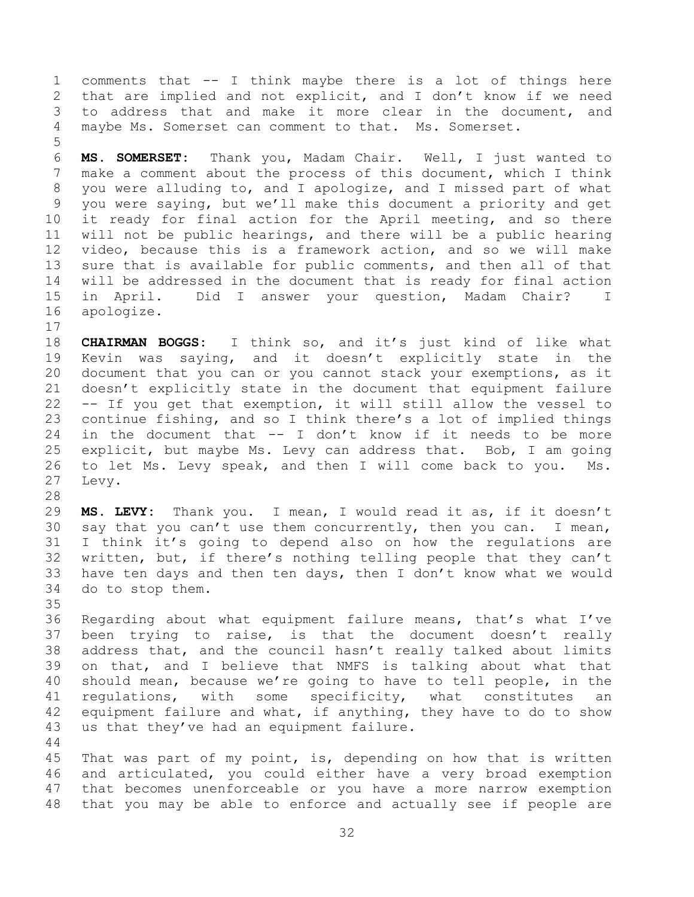1 comments that -- I think maybe there is a lot of things here<br>2 that are implied and not explicit, and I don't know if we need 2 that are implied and not explicit, and I don't know if we need<br>3 to address that and make it more clear in the document, and 3 to address that and make it more clear in the document, and<br>4 mavbe Ms. Somerset can comment to that. Ms. Somerset. maybe Ms. Somerset can comment to that. Ms. Somerset.

5 6 **MS. SOMERSET:** Thank you, Madam Chair. Well, I just wanted to make a comment about the process of this document, which I think 8 you were alluding to, and I apologize, and I missed part of what 9 you were saying, but we'll make this document a priority and get<br>10 it ready for final action for the April meeting, and so there 10 it ready for final action for the April meeting, and so there<br>11 will not be public hearings, and there will be a public hearing 11 will not be public hearings, and there will be a public hearing<br>12 video, because this is a framework action, and so we will make 12 video, because this is a framework action, and so we will make<br>13 sure that is available for public comments, and then all of that 13 sure that is available for public comments, and then all of that<br>14 will be addressed in the document that is ready for final action 14 will be addressed in the document that is ready for final action<br>15 in April. Did I answer your question, Madam Chair? I 15 in April. Did I answer your question, Madam Chair? I<br>16 apologize. apologize.

 $\begin{array}{c} 17 \\ 18 \end{array}$ 18 **CHAIRMAN BOGGS:** I think so, and it's just kind of like what 19 Kevin was saying, and it doesn't explicitly state in the<br>20 document that you can or you cannot stack your exemptions, as it 20 document that you can or you cannot stack your exemptions, as it<br>21 doesn't explicitly state in the document that equipment failure 21 doesn't explicitly state in the document that equipment failure<br>22 -- If you get that exemption, it will still allow the vessel to 22 -- If you get that exemption, it will still allow the vessel to<br>23 continue fishing, and so I think there's a lot of implied things 23 continue fishing, and so I think there's a lot of implied things<br>24 in the document that  $-$  I don't know if it needs to be more 24 in the document that -- I don't know if it needs to be more<br>25 explicit, but maybe Ms. Levy can address that. Bob, I am going 25 explicit, but maybe Ms. Levy can address that. Bob, I am going<br>26 to let Ms. Levy speak, and then I will come back to you. Ms. 26 to let Ms. Levy speak, and then I will come back to you.<br>27 Levy. Levy.

28<br>29 29 **MS. LEVY:** Thank you. I mean, I would read it as, if it doesn't 30 say that you can't use them concurrently, then you can. I mean,<br>31 I think it's going to depend also on how the regulations are I think it's going to depend also on how the regulations are 32 written, but, if there's nothing telling people that they can't<br>33 have ten days and then ten days, then I don't know what we would 33 have ten days and then ten days, then I don't know what we would<br>34 do to stop them. do to stop them.

35<br>36 36 Regarding about what equipment failure means, that's what I've<br>37 been trying to raise, is that the document doesn't really 37 been trying to raise, is that the document doesn't really<br>38 address that, and the council hasn't really talked about limits 38 address that, and the council hasn't really talked about limits<br>39 on that, and I believe that NMFS is talking about what that 39 on that, and I believe that NMFS is talking about what that 40 should mean, because we're going to have to tell people, in the 41 regulations, with some specificity, what constitutes an<br>42 equipment failure and what, if anything, they have to do to show 42 equipment failure and what, if anything, they have to do to show<br>43 us that they've had an equipment failure. us that they've had an equipment failure.

 $\begin{array}{c} 44 \\ 45 \end{array}$ 45 That was part of my point, is, depending on how that is written<br>46 and articulated, you could either have a very broad exemption 46 and articulated, you could either have a very broad exemption<br>47 that becomes unenforceable or you have a more narrow exemption that becomes unenforceable or you have a more narrow exemption 48 that you may be able to enforce and actually see if people are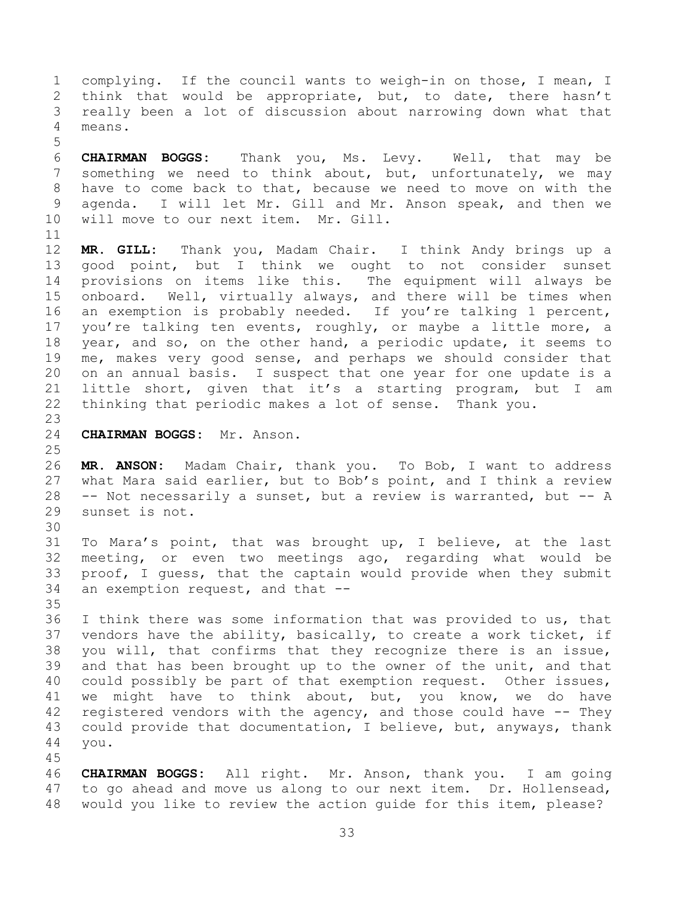1 complying. If the council wants to weigh-in on those, I mean, I<br>2 think that would be appropriate, but, to date, there hasn't 2 think that would be appropriate, but, to date, there hasn't<br>3 really been a lot of discussion about narrowing down what that 3 really been a lot of discussion about narrowing down what that means.

5 6 **CHAIRMAN BOGGS:** Thank you, Ms. Levy. Well, that may be something we need to think about, but, unfortunately, we may 8 have to come back to that, because we need to move on with the 9 agenda. I will let Mr. Gill and Mr. Anson speak, and then we<br>10 will move to our next item. Mr. Gill. will move to our next item. Mr. Gill.

11<br>12 12 **MR. GILL:** Thank you, Madam Chair. I think Andy brings up a 13 good point, but I think we ought to not consider sunset<br>14 provisions on items like this. The equipment will always be 14 provisions on items like this.<br>15 onboard. Well, virtually always 15 onboard. Well, virtually always, and there will be times when<br>16 an exemption is probably needed. If you're talking 1 percent, an exemption is probably needed. If you're talking 1 percent, 17 you're talking ten events, roughly, or maybe a little more, a<br>18 year, and so, on the other hand, a periodic update, it seems to 18 year, and so, on the other hand, a periodic update, it seems to<br>19 me, makes very good sense, and perhaps we should consider that 19 me, makes very good sense, and perhaps we should consider that<br>20 on an annual basis. I suspect that one year for one update is a 20 on an annual basis. I suspect that one year for one update is a<br>21 little short, given that it's a starting program, but I am 21 little short, given that it's a starting program, but I am<br>22 thinking that periodic makes a lot of sense. Thank you. thinking that periodic makes a lot of sense. Thank you.

23 24 **CHAIRMAN BOGGS:** Mr. Anson.

 $\frac{25}{26}$ 26 **MR. ANSON:** Madam Chair, thank you. To Bob, I want to address 27 what Mara said earlier, but to Bob's point, and I think a review<br>28 -- Not necessarily a sunset, but a review is warranted, but -- A 28 -- Not necessarily a sunset, but a review is warranted, but  $-$ - A 29 sunset is not. sunset is not.

30<br>31 To Mara's point, that was brought up, I believe, at the last 32 meeting, or even two meetings ago, regarding what would be<br>33 proof, I quess, that the captain would provide when they submit 33 proof, I guess, that the captain would provide when they submit<br>34 an exemption request, and that -an exemption request, and that  $-$ 

35<br>36 36 I think there was some information that was provided to us, that<br>37 vendors have the ability, basically, to create a work ticket, if 37 vendors have the ability, basically, to create a work ticket, if<br>38 you will, that confirms that they recognize there is an issue, 38 you will, that confirms that they recognize there is an issue,<br>39 and that has been brought up to the owner of the unit, and that and that has been brought up to the owner of the unit, and that 40 could possibly be part of that exemption request. Other issues, 41 we might have to think about, but, you know, we do have<br>42 registered vendors with the agency, and those could have -- They 42 registered vendors with the agency, and those could have -- They<br>43 could provide that documentation, I believe, but, anyways, thank 43 could provide that documentation, I believe, but, anyways, thank<br>44 you. you.

45

46 **CHAIRMAN BOGGS:** All right. Mr. Anson, thank you. I am going to go ahead and move us along to our next item. Dr. Hollensead, 48 would you like to review the action guide for this item, please?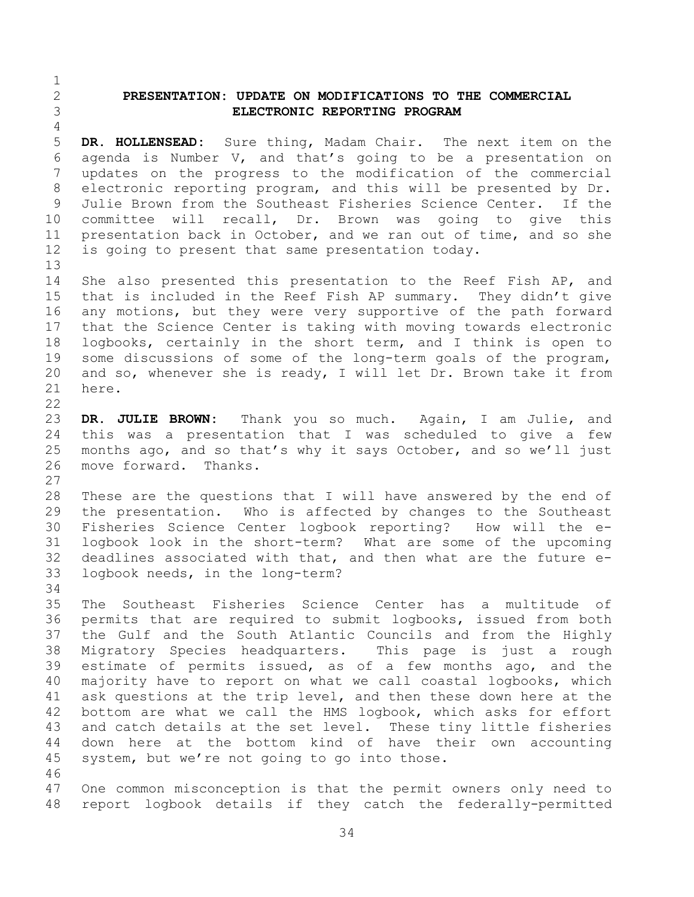## <span id="page-33-0"></span>2 **PRESENTATION: UPDATE ON MODIFICATIONS TO THE COMMERCIAL**  3 **ELECTRONIC REPORTING PROGRAM**

 $\frac{4}{5}$ 5 **DR. HOLLENSEAD:** Sure thing, Madam Chair. The next item on the 6 agenda is Number V, and that's going to be a presentation on<br>7 updates on the progress to the modification of the commercial updates on the progress to the modification of the commercial 8 electronic reporting program, and this will be presented by Dr. 9 Julie Brown from the Southeast Fisheries Science Center. If the<br>10 committee will recall, Dr. Brown was going to give this 10 committee will recall, Dr. Brown was going to give this<br>11 presentation back in October, and we ran out of time, and so she 11 presentation back in October, and we ran out of time, and so she<br>12 is going to present that same presentation today. is going to present that same presentation today.  $13$ <br> $14$ 

14 She also presented this presentation to the Reef Fish AP, and<br>15 that is included in the Reef Fish AP summary. They didn't give 15 that is included in the Reef Fish AP summary. They didn't give<br>16 any motions, but they were very supportive of the path forward any motions, but they were very supportive of the path forward 17 that the Science Center is taking with moving towards electronic<br>18 logbooks, certainly in the short term, and I think is open to 18 logbooks, certainly in the short term, and I think is open to<br>19 some discussions of some of the long-term goals of the program, 19 some discussions of some of the long-term goals of the program,<br>20 and so, whenever she is ready, I will let Dr. Brown take it from 20 and so, whenever she is ready, I will let Dr. Brown take it from  $21$  here. here.

 $\frac{22}{23}$ 23 **DR. JULIE BROWN:** Thank you so much. Again, I am Julie, and 24 this was a presentation that I was scheduled to give a few<br>25 months ago, and so that's why it says October, and so we'll just 25 months ago, and so that's why it says October, and so we'll just<br>26 move forward. Thanks. move forward.

 $\frac{27}{28}$ 28 These are the questions that I will have answered by the end of<br>29 the presentation. Who is affected by changes to the Southeast 29 the presentation. Who is affected by changes to the Southeast<br>30 Fisheries Science Center logbook reporting? How will the e-30 Fisheries Science Center logbook reporting?<br>31 logbook look in the short-term? What are sc logbook look in the short-term? What are some of the upcoming 32 deadlines associated with that, and then what are the future  $e-$ <br>33 logbook needs, in the long-term? logbook needs, in the long-term?

34<br>35

 $\frac{1}{2}$ 

35 The Southeast Fisheries Science Center has a multitude of 36 permits that are required to submit logbooks, issued from both<br>37 the Gulf and the South Atlantic Councils and from the Highly 37 the Gulf and the South Atlantic Councils and from the Highly<br>38 Migratory Species headquarters. This page is just a rough 38 Migratory Species headquarters. This page is just a rough estimate of permits issued, as of a few months ago, and the 40 majority have to report on what we call coastal logbooks, which 41 ask questions at the trip level, and then these down here at the<br>42 bottom are what we call the HMS logbook, which asks for effort 42 bottom are what we call the HMS logbook, which asks for effort<br>43 and catch details at the set level. These tiny little fisheries 43 and catch details at the set level. These tiny little fisheries<br>44 down here at the bottom kind of have their own accounting 44 down here at the bottom kind of have their own accounting<br>45 system, but we're not going to go into those. system, but we're not going to go into those.

46<br>47 One common misconception is that the permit owners only need to 48 report logbook details if they catch the federally-permitted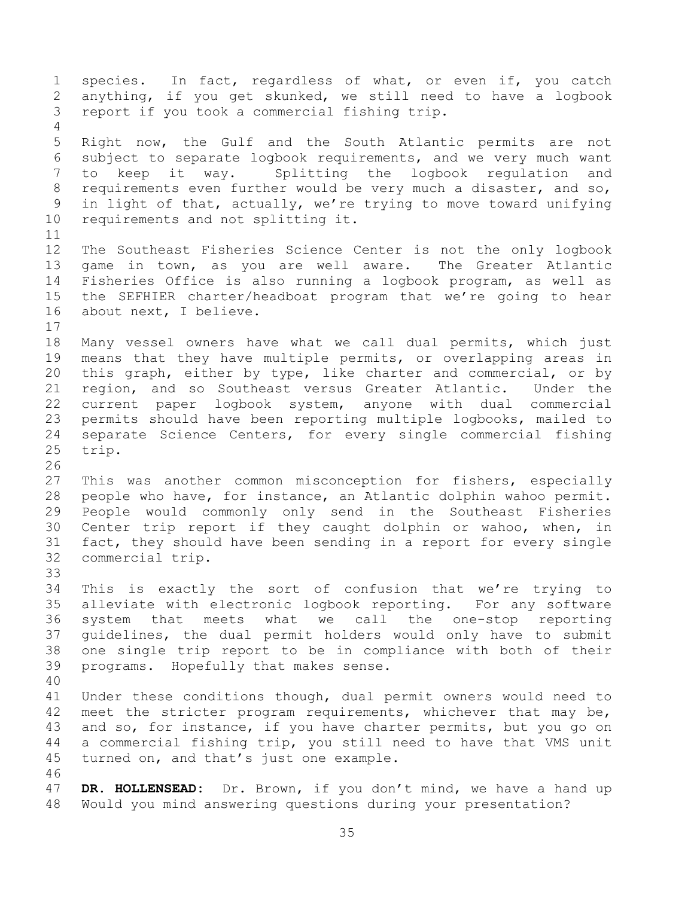1 species. In fact, regardless of what, or even if, you catch<br>2 anything, if you get skunked, we still need to have a logbook 2 anything, if you get skunked, we still need to have a logbook<br>3 report if you took a commercial fishing trip. report if you took a commercial fishing trip.  $\frac{4}{5}$ 5 Right now, the Gulf and the South Atlantic permits are not<br>6 subject to separate logbook requirements, and we very much want 6 subject to separate logbook requirements, and we very much want<br>7 to keep it way. Splitting the logbook requlation and Splitting the logbook regulation and 8 requirements even further would be very much a disaster, and so, 9 in light of that, actually, we're trying to move toward unifying<br>10 requirements and not splitting it. requirements and not splitting it. 11<br>12 12 The Southeast Fisheries Science Center is not the only logbook<br>13 game in town, as you are well aware. The Greater Atlantic 13 game in town, as you are well aware.<br>14 Fisheries Office is also running a logbo 14 Fisheries Office is also running a logbook program, as well as<br>15 the SEFHIER charter/headboat program that we're going to hear 15 the SEFHIER charter/headboat program that we're going to hear<br>16 about next, I believe. about next, I believe.  $\begin{array}{c} 17 \\ 18 \end{array}$ 18 Many vessel owners have what we call dual permits, which just<br>19 means that they have multiple permits, or overlapping areas in 19 means that they have multiple permits, or overlapping areas in<br>20 this graph, either by type, like charter and commercial, or by 20 this graph, either by type, like charter and commercial, or by<br>21 region, and so Southeast versus Greater Atlantic. Under the 21 region, and so Southeast versus Greater Atlantic.<br>22 current paper logbook system, anyone with dual 22 current paper logbook system, anyone with dual commercial<br>23 permits should have been reporting multiple logbooks, mailed to 23 permits should have been reporting multiple logbooks, mailed to<br>24 separate Science Centers, for every single commercial fishing 24 separate Science Centers, for every single commercial fishing<br>25 trip. trip. 26<br>27 27 This was another common misconception for fishers, especially<br>28 people who have, for instance, an Atlantic dolphin wahoo permit. 28 people who have, for instance, an Atlantic dolphin wahoo permit.<br>29 People would commonly only send in the Southeast Fisheries 29 People would commonly only send in the Southeast Fisheries<br>30 Center trip report if they caught dolphin or wahoo, when, in 30 Center trip report if they caught dolphin or wahoo, when, in<br>31 fact, they should have been sending in a report for every single 31 fact, they should have been sending in a report for every single<br>32 commercial trip. commercial trip. 33<br>34 34 This is exactly the sort of confusion that we're trying to<br>35 alleviate with electronic logbook reporting. For any software 35 alleviate with electronic logbook reporting. For any software<br>36 system that meets what we call the one-stop reporting 36 system that meets what we call the one-stop reporting 37 guidelines, the dual permit holders would only have to submit<br>38 one single trip report to be in compliance with both of their 38 one single trip report to be in compliance with both of their<br>39 programs. Hopefully that makes sense. programs. Hopefully that makes sense. 40 41 Under these conditions though, dual permit owners would need to<br>42 meet the stricter program reguirements, whichever that may be, 42 meet the stricter program requirements, whichever that may be,<br>43 and so, for instance, if you have charter permits, but you go on 43 and so, for instance, if you have charter permits, but you go on<br>44 a commercial fishing trip, you still need to have that VMS unit 44 a commercial fishing trip, you still need to have that VMS unit<br>45 turned on, and that's just one example. turned on, and that's just one example. 46<br>47 DR. HOLLENSEAD: Dr. Brown, if you don't mind, we have a hand up 48 Would you mind answering questions during your presentation?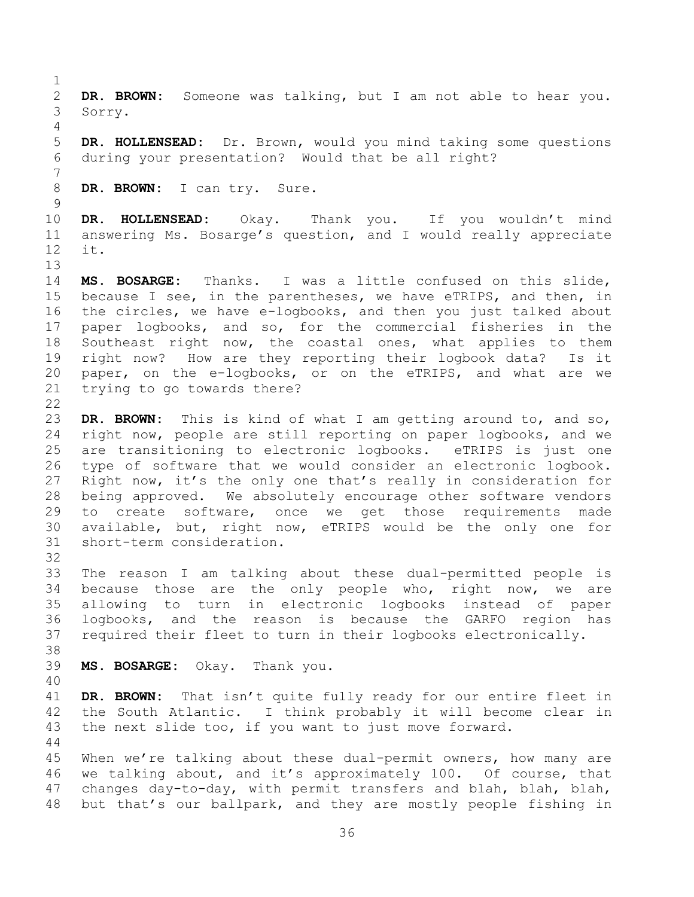36 2 **DR. BROWN:** Someone was talking, but I am not able to hear you. 3 Sorry.  $\frac{4}{5}$ 5 **DR. HOLLENSEAD:** Dr. Brown, would you mind taking some questions during your presentation? Would that be all right? 7 8 **DR. BROWN:** I can try. Sure.  $\begin{array}{c} 9 \\ 10 \end{array}$ 10 **DR. HOLLENSEAD:** Okay. Thank you. If you wouldn't mind<br>11 answering Ms. Bosarge's question, and I would really appreciate 11 answering Ms. Bosarge's question, and I would really appreciate it.  $13$ <br> $14$ 14 **MS. BOSARGE:** Thanks. I was a little confused on this slide,<br>15 because I see, in the parentheses, we have eTRIPS, and then, in 15 because I see, in the parentheses, we have eTRIPS, and then, in<br>16 the circles, we have e-logbooks, and then you just talked about the circles, we have e-logbooks, and then you just talked about 17 paper logbooks, and so, for the commercial fisheries in the<br>18 Southeast right now, the coastal ones, what applies to them 18 Southeast right now, the coastal ones, what applies to them<br>19 right now? How are they reporting their logbook data? Is it 19 right now? How are they reporting their logbook data? Is it<br>20 paper, on the e-logbooks, or on the eTRIPS, and what are we 20 paper, on the e-logbooks, or on the eTRIPS, and what are we<br>21 trving to go towards there? trying to go towards there?  $\frac{22}{23}$ 23 DR. BROWN: This is kind of what I am getting around to, and so,<br>24 right now, people are still reporting on paper logbooks, and we 24 right now, people are still reporting on paper logbooks, and we<br>25 are transitioning to electronic logbooks. eTRIPS is just one 25 are transitioning to electronic logbooks. eTRIPS is just one<br>26 type of software that we would consider an electronic logbook. 26 type of software that we would consider an electronic logbook.<br>27 Right now, it's the only one that's really in consideration for 27 Right now, it's the only one that's really in consideration for<br>28 being approved. We absolutely encourage other software vendors 28 being approved. We absolutely encourage other software vendors<br>29 to create software, once we get those requirements made 29 to create software, once we get those requirements made<br>30 available, but, right now, eTRIPS would be the only one for 30 available, but, right now, eTRIPS would be the only one for<br>31 short-term consideration. short-term consideration. 32<br>33 33 The reason I am talking about these dual-permitted people is<br>34 because those are the only people who, right now, we are 34 because those are the only people who, right now, we are<br>35 allowing to turn in electronic logbooks instead of paper 35 allowing to turn in electronic logbooks instead of paper<br>36 logbooks, and the reason is because the GARFO region has 36 logbooks, and the reason is because the GARFO region has<br>37 required their fleet to turn in their logbooks electronically. required their fleet to turn in their logbooks electronically. 38<br>39 MS. BOSARGE: Okay. Thank you. 40 41 **DR. BROWN:** That isn't quite fully ready for our entire fleet in<br>42 the South Atlantic. I think probably it will become clear in 42 the South Atlantic. I think probably it will become clear in<br>43 the next slide too, if you want to just move forward. the next slide too, if you want to just move forward.  $\begin{array}{c} 44 \\ 45 \end{array}$ 45 When we're talking about these dual-permit owners, how many are<br>46 we talking about, and it's approximately 100. Of course, that 46 we talking about, and it's approximately 100. Of course, that<br>47 changes day-to-day, with permit transfers and blah, blah, blah, changes day-to-day, with permit transfers and blah, blah, blah, 48 but that's our ballpark, and they are mostly people fishing in

 $\frac{1}{2}$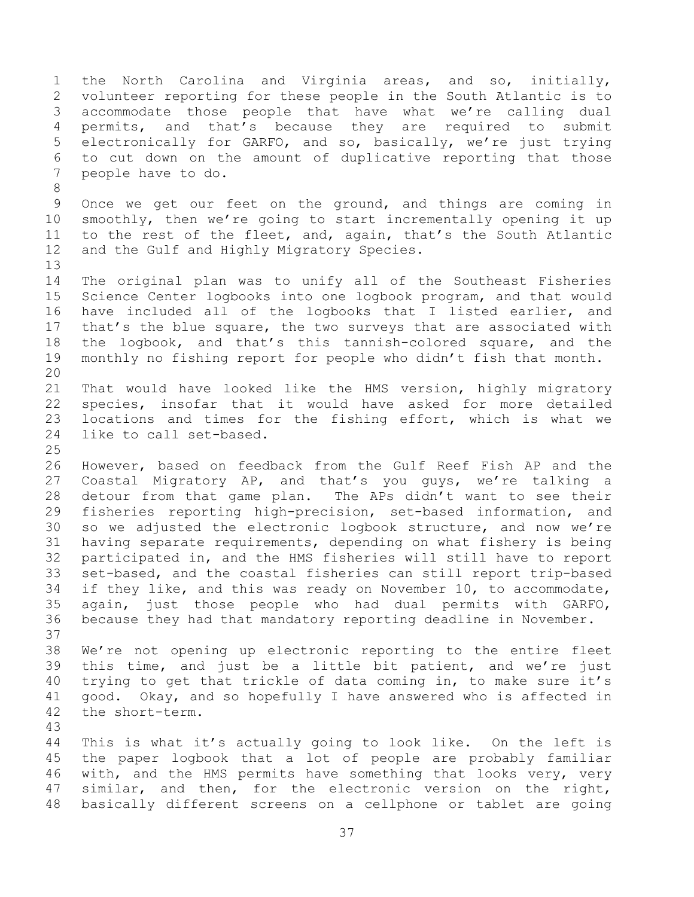1 the North Carolina and Virginia areas, and so, initially,<br>2 volunteer reporting for these people in the South Atlantic is to 2 volunteer reporting for these people in the South Atlantic is to<br>3 accommodate those people that have what we're calling dual 3 accommodate those people that have what we're calling dual<br>4 permits, and that's because they are required to submit 4 permits, and that's because they are required to submit<br>5 electronically for GARFO, and so, basically, we're just trying 5 electronically for GARFO, and so, basically, we're just trying<br>6 to cut down on the amount of duplicative reporting that those 6 to cut down on the amount of duplicative reporting that those 7 people have to do. 8 9 Once we get our feet on the ground, and things are coming in<br>10 smoothly, then we're going to start incrementally opening it up 10 smoothly, then we're going to start incrementally opening it up<br>11 to the rest of the fleet, and, again, that's the South Atlantic 11 to the rest of the fleet, and, again, that's the South Atlantic<br>12 and the Gulf and Highly Migratory Species. and the Gulf and Highly Migratory Species. 13<br>14 14 The original plan was to unify all of the Southeast Fisheries<br>15 Science Center logbooks into one logbook program, and that would 15 Science Center logbooks into one logbook program, and that would<br>16 have included all of the logbooks that I listed earlier, and 16 have included all of the logbooks that I listed earlier, and<br>17 that's the blue square, the two surveys that are associated with 17 that's the blue square, the two surveys that are associated with<br>18 the logbook, and that's this tannish-colored square, and the 18 the logbook, and that's this tannish-colored square, and the<br>19 monthly no fishing report for people who didn't fish that month. monthly no fishing report for people who didn't fish that month. 20<br>21 21 That would have looked like the HMS version, highly migratory<br>22 species, insofar that it would have asked for more detailed 22 species, insofar that it would have asked for more detailed<br>23 locations and times for the fishing effort, which is what we 23 locations and times for the fishing effort, which is what we<br>24 like to call set-based. like to call set-based.  $\frac{25}{26}$ 26 However, based on feedback from the Gulf Reef Fish AP and the<br>27 Coastal Migratory AP, and that's you guys, we're talking a 27 Coastal Migratory AP, and that's you guys, we're talking a<br>28 detour from that game plan. The APs didn't want to see their 28 detour from that game plan. The APs didn't want to see their<br>29 fisheries reporting high-precision, set-based information, and 29 fisheries reporting high-precision, set-based information, and<br>30 so we adjusted the electronic logbook structure, and now we're 30 so we adjusted the electronic logbook structure, and now we're<br>31 having separate requirements, depending on what fishery is being 31 having separate requirements, depending on what fishery is being<br>32 participated in, and the HMS fisheries will still have to report 32 participated in, and the HMS fisheries will still have to report<br>33 set-based, and the coastal fisheries can still report trip-based 33 set-based, and the coastal fisheries can still report trip-based<br>34 if they like, and this was ready on November 10, to accommodate, 34 if they like, and this was ready on November 10, to accommodate,<br>35 again, just those people who had dual permits with GARFO, 35 again, just those people who had dual permits with GARFO,<br>36 because they had that mandatory reporting deadline in November. because they had that mandatory reporting deadline in November. 37<br>38 38 We're not opening up electronic reporting to the entire fleet<br>39 this time, and just be a little bit patient, and we're just this time, and just be a little bit patient, and we're just 40 trying to get that trickle of data coming in, to make sure it's 41 good. Okay, and so hopefully I have answered who is affected in 42 the short-term. the short-term. 43 44 This is what it's actually going to look like. On the left is<br>45 the paper logbook that a lot of people are probably familiar 45 the paper logbook that a lot of people are probably familiar<br>46 with, and the HMS permits have something that looks verv, verv 46 with, and the HMS permits have something that looks very, very<br>47 similar, and then, for the electronic version on the right, similar, and then, for the electronic version on the right, 48 basically different screens on a cellphone or tablet are going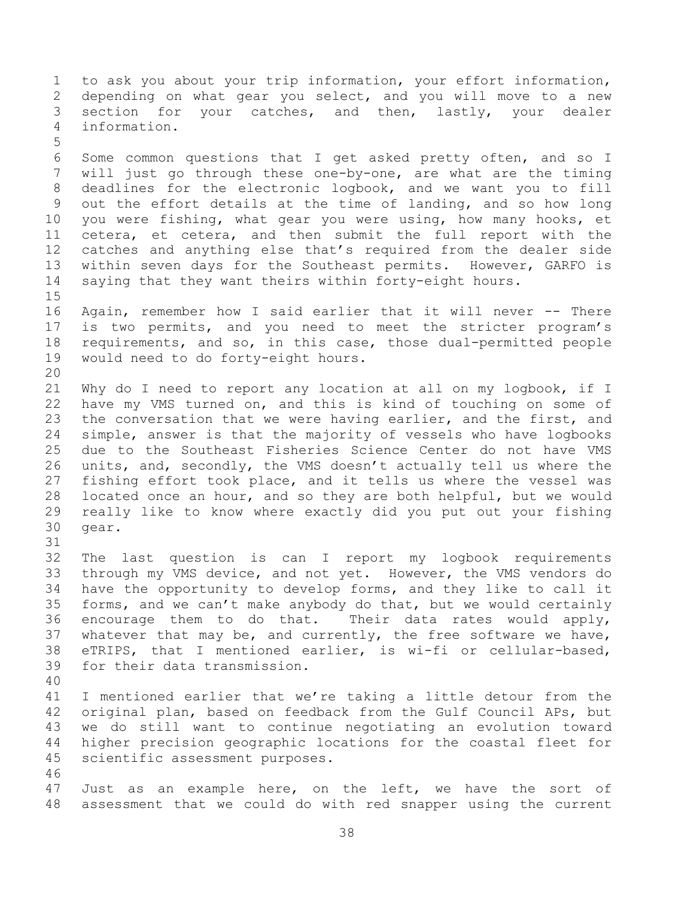1 to ask you about your trip information, your effort information,<br>2 depending on what gear you select, and you will move to a new 2 depending on what gear you select, and you will move to a new<br>3 section for your catches, and then, lastly, your dealer 3 section for your catches, and then, lastly, your dealer<br>4 information. information. 5 6 Some common questions that I get asked pretty often, and so I<br>7 will just go through these one-by-one, are what are the timing will just go through these one-by-one, are what are the timing 8 deadlines for the electronic logbook, and we want you to fill 9 out the effort details at the time of landing, and so how long<br>10 you were fishing, what gear you were using, how many hooks, et 10 you were fishing, what gear you were using, how many hooks, et<br>11 cetera, et cetera, and then submit the full report with the 11 cetera, et cetera, and then submit the full report with the<br>12 catches and anything else that's required from the dealer side 12 catches and anything else that's required from the dealer side<br>13 within seven days for the Southeast permits. However, GARFO is 13 within seven days for the Southeast permits. However, GARFO is<br>14 saving that they want theirs within forty-eight hours. saying that they want theirs within forty-eight hours.  $15$ <br> $16$ Again, remember how I said earlier that it will never -- There 17 is two permits, and you need to meet the stricter program's<br>18 requirements, and so, in this case, those dual-permitted people 18 requirements, and so, in this case, those dual-permitted people<br>19 would need to do forty-eight hours. would need to do forty-eight hours. 20<br>21 21 Why do I need to report any location at all on my logbook, if I<br>22 have my VMS turned on, and this is kind of touching on some of 22 have my VMS turned on, and this is kind of touching on some of<br>23 the conversation that we were having earlier, and the first, and 23 the conversation that we were having earlier, and the first, and<br>24 simple, answer is that the majority of vessels who have logbooks 24 simple, answer is that the majority of vessels who have logbooks<br>25 due to the Southeast Fisheries Science Center do not have VMS 25 due to the Southeast Fisheries Science Center do not have VMS<br>26 units, and, secondly, the VMS doesn't actually tell us where the 26 units, and, secondly, the VMS doesn't actually tell us where the<br>27 fishing effort took place, and it tells us where the vessel was 27 fishing effort took place, and it tells us where the vessel was<br>28 located once an hour, and so they are both helpful, but we would 28 located once an hour, and so they are both helpful, but we would<br>29 really like to know where exactly did you put out your fishing 29 really like to know where exactly did you put out your fishing gear. 31 32 The last question is can I report my logbook requirements<br>33 through my VMS device, and not yet. However, the VMS vendors do 33 through my VMS device, and not yet. However, the VMS vendors do<br>34 have the opportunity to develop forms, and they like to call it 34 have the opportunity to develop forms, and they like to call it<br>35 forms, and we can't make anybody do that, but we would certainly 35 forms, and we can't make anybody do that, but we would certainly<br>36 encourage them to do that. Their data rates would apply, 36 encourage them to do that. Their data rates would apply,<br>37 whatever that may be, and currently, the free software we have, 37 whatever that may be, and currently, the free software we have,<br>38 eTRIPS, that I mentioned earlier, is wi-fi or cellular-based, 38 eTRIPS, that I mentioned earlier, is wi-fi or cellular-based,<br>39 for their data transmission. for their data transmission. 40 41 I mentioned earlier that we're taking a little detour from the<br>42 original plan, based on feedback from the Gulf Council APs, but 42 original plan, based on feedback from the Gulf Council APs, but<br>43 we do still want to continue negotiating an evolution toward 43 we do still want to continue negotiating an evolution toward<br>44 higher precision geographic locations for the coastal fleet for 44 higher precision geographic locations for the coastal fleet for<br>45 scientific assessment purposes. scientific assessment purposes. 46<br>47 Just as an example here, on the left, we have the sort of 48 assessment that we could do with red snapper using the current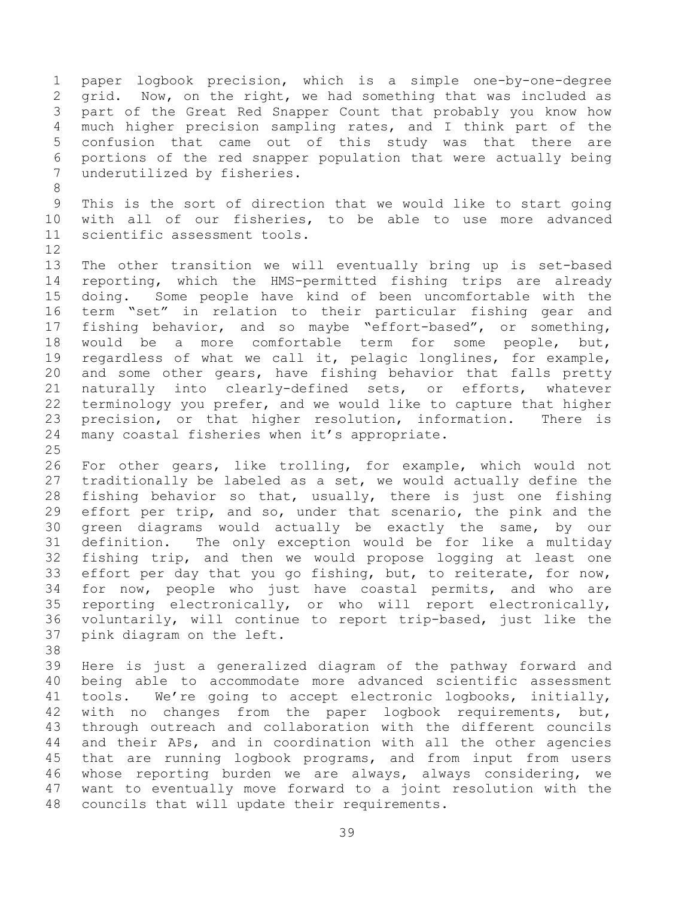1 paper logbook precision, which is a simple one-by-one-degree<br>2 qrid. Now, on the right, we had something that was included as 2 grid. Now, on the right, we had something that was included as<br>3 part of the Great Red Snapper Count that probably you know how 3 part of the Great Red Snapper Count that probably you know how<br>4 much higher precision sampling rates, and I think part of the 4 much higher precision sampling rates, and I think part of the<br>5 confusion that came out of this study was that there are 5 confusion that came out of this study was that there are<br>6 portions of the red snapper population that were actually being 6 portions of the red snapper population that were actually being underutilized by fisheries.

9 This is the sort of direction that we would like to start going<br>10 with all of our fisheries, to be able to use more advanced 10 with all of our fisheries, to be able to use more advanced<br>11 scientific assessment tools. scientific assessment tools.

8

 $\begin{array}{c} 12 \\ 13 \end{array}$ 13 The other transition we will eventually bring up is set-based<br>14 reporting, which the HMS-permitted fishing trips are already 14 reporting, which the HMS-permitted fishing trips are already<br>15 doing. Some people have kind of been uncomfortable with the 15 doing. Some people have kind of been uncomfortable with the<br>16 term "set" in relation to their particular fishing gear and term "set" in relation to their particular fishing gear and 17 fishing behavior, and so maybe "effort-based", or something,<br>18 would be a more comfortable term for some people, but, 18 would be a more comfortable term for some people, but,<br>19 regardless of what we call it, pelagic longlines, for example, 19 regardless of what we call it, pelagic longlines, for example,<br>20 and some other gears, have fishing behavior that falls pretty 20 and some other gears, have fishing behavior that falls pretty<br>21 naturally into clearly-defined sets, or efforts, whatever 21 naturally into clearly-defined sets, or efforts,<br>22 terminology you prefer, and we would like to capture t 22 terminology you prefer, and we would like to capture that higher<br>23 precision, or that higher resolution, information. There is 23 precision, or that higher resolution, information.<br>24 many coastal fisheries when it's appropriate. many coastal fisheries when it's appropriate.

 $\frac{25}{26}$ 26 For other gears, like trolling, for example, which would not<br>27 traditionally be labeled as a set, we would actually define the 27 traditionally be labeled as a set, we would actually define the<br>28 fishing behavior so that, usually, there is just one fishing 28 fishing behavior so that, usually, there is just one fishing<br>29 effort per trip, and so, under that scenario, the pink and the 29 effort per trip, and so, under that scenario, the pink and the<br>30 green diagrams would actually be exactly the same, by our 30 green diagrams would actually be exactly the same, by our<br>31 definition. The only exception would be for like a multiday The only exception would be for like a multiday 32 fishing trip, and then we would propose logging at least one<br>33 effort per day that you go fishing, but, to reiterate, for now, 33 effort per day that you go fishing, but, to reiterate, for now,<br>34 for now, people who just have coastal permits, and who are 34 for now, people who just have coastal permits, and who are<br>35 reporting electronically, or who will report electronically, 35 reporting electronically, or who will report electronically,<br>36 voluntarily, will continue to report trip-based, just like the 36 voluntarily, will continue to report trip-based, just like the<br>37 pink diagram on the left. pink diagram on the left.

38<br>39

Here is just a generalized diagram of the pathway forward and 40 being able to accommodate more advanced scientific assessment 41 tools. We're going to accept electronic logbooks, initially,<br>42 with no changes from the paper logbook requirements, but, 42 with no changes from the paper logbook requirements, but,<br>43 through outreach and collaboration with the different councils 43 through outreach and collaboration with the different councils<br>44 and their APs, and in coordination with all the other agencies 44 and their APs, and in coordination with all the other agencies<br>45 that are running logbook programs, and from input from users 45 that are running logbook programs, and from input from users<br>46 whose reporting burden we are always, always considering, we 46 whose reporting burden we are always, always considering,<br>47 want to eventually move forward to a joint resolution with t want to eventually move forward to a joint resolution with the 48 councils that will update their requirements.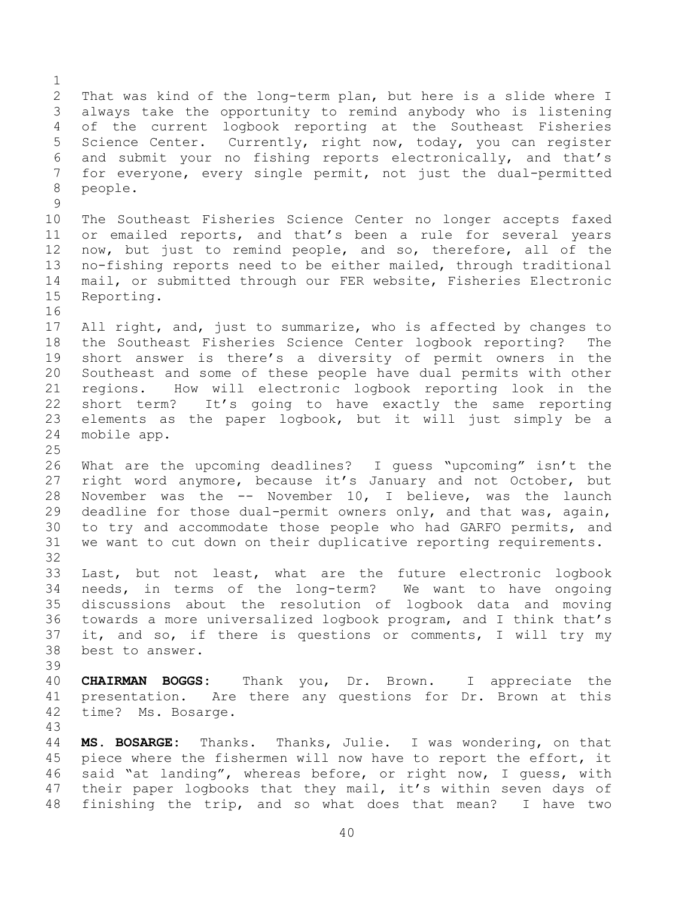$\frac{1}{2}$ 2 That was kind of the long-term plan, but here is a slide where I<br>3 always take the opportunity to remind anybody who is listening 3 always take the opportunity to remind anybody who is listening<br>4 of the current logbook reporting at the Southeast Fisheries 4 of the current logbook reporting at the Southeast Fisheries<br>5 Science Center. Currently, right now, today, you can register 5 Science Center. Currently, right now, today, you can register<br>6 and submit vour no fishing reports electronically, and that's 6 and submit your no fishing reports electronically, and that's<br>7 for evervone, every single permit, not just the dual-permitted 7 for everyone, every single permit, not just the dual-permitted<br>8 people. people.  $\begin{array}{c} 9 \\ 10 \end{array}$ 10 The Southeast Fisheries Science Center no longer accepts faxed<br>11 or emailed reports, and that's been a rule for several years 11 or emailed reports, and that's been a rule for several years<br>12 now, but just to remind people, and so, therefore, all of the 12 now, but just to remind people, and so, therefore, all of the<br>13 no-fishing reports need to be either mailed, through traditional 13 no-fishing reports need to be either mailed, through traditional<br>14 mail, or submitted through our FER website, Fisheries Electronic 14 mail, or submitted through our FER website, Fisheries Electronic<br>15 Reporting. Reporting. 16 17 All right, and, just to summarize, who is affected by changes to<br>18 the Southeast Fisheries Science Center logbook reporting? The 18 the Southeast Fisheries Science Center logbook reporting? The<br>19 short answer is there's a diversity of permit owners in the 19 short answer is there's a diversity of permit owners in the<br>20 Southeast and some of these people have dual permits with other 20 Southeast and some of these people have dual permits with other<br>21 regions. How will electronic logbook reporting look in the 21 regions. How will electronic logbook reporting look in the<br>22 short term? It's going to have exactly the same reporting 22 short term? It's going to have exactly the same reporting<br>23 elements as the paper logbook, but it will just simply be a 23 elements as the paper logbook, but it will just simply be a<br>24 mobile app. mobile app.  $\frac{25}{26}$ 26 What are the upcoming deadlines? I guess "upcoming" isn't the<br>27 right word anymore, because it's January and not October, but 27 right word anymore, because it's January and not October, but<br>28 November was the -- November 10, I believe, was the launch 28 November was the -- November 10, I believe, was the launch<br>29 deadline for those dual-permit owners only, and that was, again, 29 deadline for those dual-permit owners only, and that was, again,<br>30 to try and accommodate those people who had GARFO permits, and 30 to try and accommodate those people who had GARFO permits, and<br>31 we want to cut down on their duplicative reporting requirements. we want to cut down on their duplicative reporting requirements. 32<br>33 33 Last, but not least, what are the future electronic logbook<br>34 needs, in terms of the long-term? We want to have ongoing 34 needs, in terms of the long-term? We want to have ongoing<br>35 discussions about the resolution of logbook data and moving 35 discussions about the resolution of logbook data and moving<br>36 towards a more universalized logbook program, and I think that's 36 towards a more universalized logbook program, and I think that's<br>37 it, and so, if there is questions or comments, I will try my 37 it, and so, if there is questions or comments, I will try my<br>38 best to answer. best to answer. 39 40 **CHAIRMAN BOGGS:** Thank you, Dr. Brown. I appreciate the 41 presentation. Are there any questions for Dr. Brown at this<br>42 time? Ms. Bosarge. time? Ms. Bosarge. 43 44 **MS. BOSARGE:** Thanks. Thanks, Julie. I was wondering, on that<br>45 piece where the fishermen will now have to report the effort, it 45 piece where the fishermen will now have to report the effort, it<br>46 said "at landing", whereas before, or right now, I quess, with 46 said "at landing", whereas before, or right now, I guess, with<br>47 their paper logbooks that they mail, it's within seven days of their paper logbooks that they mail, it's within seven days of 48 finishing the trip, and so what does that mean? I have two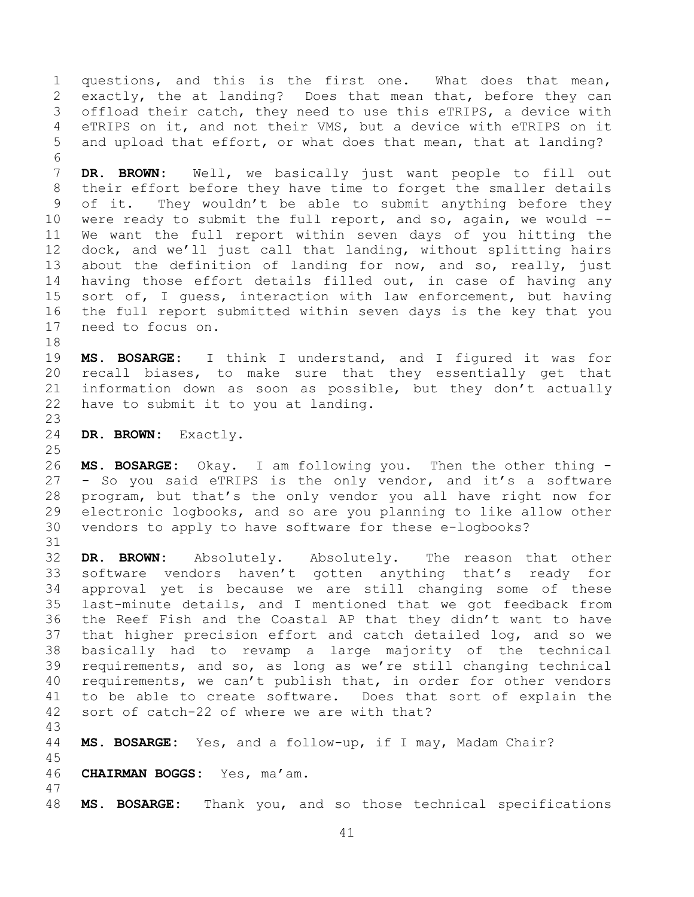1 questions, and this is the first one. What does that mean,<br>2 exactly, the at landing? Does that mean that, before they can 2 exactly, the at landing? Does that mean that, before they can<br>3 offload their catch, they need to use this eTRIPS, a device with 3 offload their catch, they need to use this eTRIPS, a device with<br>4 eTRIPS on it, and not their VMS, but a device with eTRIPS on it 4 eTRIPS on it, and not their VMS, but a device with eTRIPS on it<br>5 and upload that effort, or what does that mean, that at landing? and upload that effort, or what does that mean, that at landing? 6<br>7

DR. BROWN: Well, we basically just want people to fill out 8 their effort before they have time to forget the smaller details 9 of it. They wouldn't be able to submit anything before they<br>10 were ready to submit the full report, and so, again, we would --10 were ready to submit the full report, and so, again, we would  $-$ -<br>11 We want the full report within seven days of you hitting the 11 We want the full report within seven days of you hitting the<br>12 dock, and we'll just call that landing, without splitting hairs 12 dock, and we'll just call that landing, without splitting hairs<br>13 about the definition of landing for now, and so, really, just 13 about the definition of landing for now, and so, really, just<br>14 having those effort details filled out, in case of having any 14 having those effort details filled out, in case of having any<br>15 sort of, I quess, interaction with law enforcement, but having 15 sort of, I guess, interaction with law enforcement, but having<br>16 the full report submitted within seven days is the key that you 16 the full report submitted within seven days is the key that you<br>17 need to focus on. need to focus on.

18<br>19 19 **MS. BOSARGE:** I think I understand, and I figured it was for<br>20 recall biases, to make sure that they essentially get that 20 recall biases, to make sure that they essentially get that<br>21 information down as soon as possible, but they don't actually 21 information down as soon as possible, but they don't actually<br>22 have to submit it to you at landing. have to submit it to you at landing.

23 DR. BROWN: Exactly.

 $\frac{25}{26}$ 

47

26 **MS. BOSARGE:** Okay. I am following you. Then the other thing -<br>27 - So you said eTRIPS is the only vendor, and it's a software 27 - So you said eTRIPS is the only vendor, and it's a software<br>28 program, but that's the only vendor you all have right now for 28 program, but that's the only vendor you all have right now for<br>29 electronic logbooks, and so are you planning to like allow other 29 electronic logbooks, and so are you planning to like allow other<br>30 vendors to apply to have software for these e-logbooks? vendors to apply to have software for these e-logbooks?

31<br>32 32 **DR. BROWN:** Absolutely. Absolutely. The reason that other<br>33 software vendors haven't gotten anything that's ready for 33 software vendors haven't gotten anything that's ready for<br>34 approval vet is because we are still changing some of these 34 approval yet is because we are still changing some of these<br>35 last-minute details, and I mentioned that we got feedback from 35 last-minute details, and I mentioned that we got feedback from<br>36 the Reef Fish and the Coastal AP that they didn't want to have 36 the Reef Fish and the Coastal AP that they didn't want to have<br>37 that higher precision effort and catch detailed log, and so we 37 that higher precision effort and catch detailed log, and so we<br>38 basically had to revamp a large majority of the technical 38 basically had to revamp a large majority of the technical<br>39 requirements, and so, as long as we're still changing technical requirements, and so, as long as we're still changing technical 40 requirements, we can't publish that, in order for other vendors 41 to be able to create software. Does that sort of explain the<br>42 sort of catch-22 of where we are with that? sort of catch-22 of where we are with that?

43 MS. BOSARGE: Yes, and a follow-up, if I may, Madam Chair?

- 45 46 **CHAIRMAN BOGGS:** Yes, ma'am.
- 48 **MS. BOSARGE:** Thank you, and so those technical specifications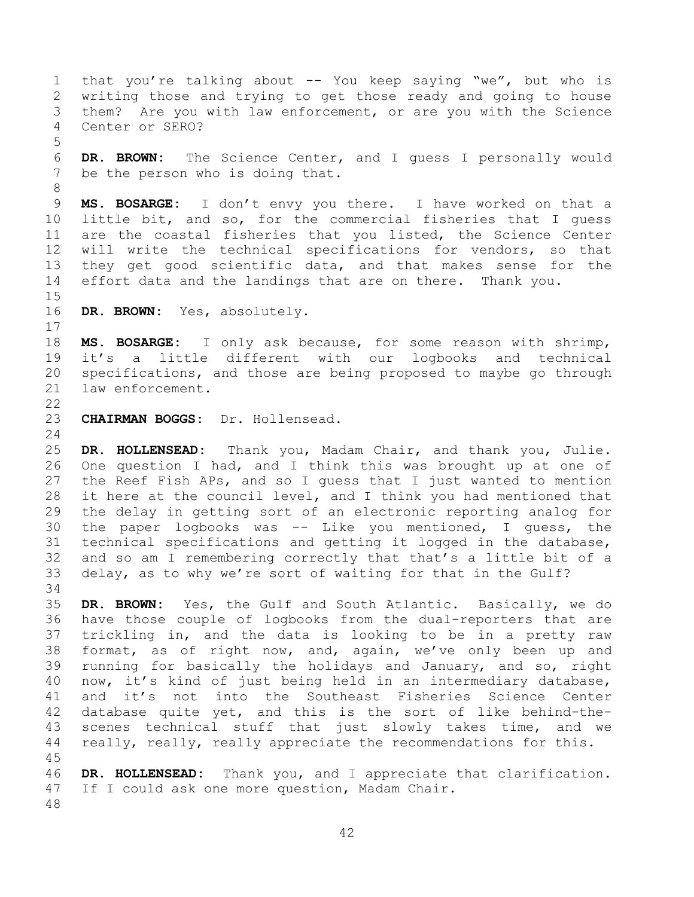1 that you're talking about -- You keep saying "we", but who is<br>2 writing those and trying to get those ready and going to house 2 writing those and trying to get those ready and going to house<br>3 them? Are you with law enforcement, or are you with the Science 3 them? Are you with law enforcement, or are you with the Science<br>4 Center or SERO? Center or SERO? 5 6 **DR. BROWN:** The Science Center, and I guess I personally would be the person who is doing that. 8 9 **MS. BOSARGE:** I don't envy you there. I have worked on that a<br>10 little bit, and so, for the commercial fisheries that I quess 10 little bit, and so, for the commercial fisheries that I guess<br>11 are the coastal fisheries that you listed, the Science Center 11 are the coastal fisheries that you listed, the Science Center<br>12 will write the technical specifications for vendors, so that 12 will write the technical specifications for vendors, so that<br>13 they get good scientific data, and that makes sense for the 13 they get good scientific data, and that makes sense for the<br>14 effort data and the landings that are on there. Thank you. effort data and the landings that are on there. Thank you.  $\frac{15}{16}$ DR. BROWN: Yes, absolutely.  $\frac{17}{18}$ 18 **MS. BOSARGE:** I only ask because, for some reason with shrimp,<br>19 it's a little different with our logbooks and technical 19 it's a little different with our logbooks and technical<br>20 specifications, and those are being proposed to maybe go through 20 specifications, and those are being proposed to maybe go through<br>21 law enforcement. law enforcement.  $\frac{22}{23}$ 23 **CHAIRMAN BOGGS:** Dr. Hollensead.  $\frac{24}{25}$ 25 **DR. HOLLENSEAD:** Thank you, Madam Chair, and thank you, Julie. 26 One question I had, and I think this was brought up at one of<br>27 the Reef Fish APs, and so I quess that I just wanted to mention 27 the Reef Fish APs, and so I guess that I just wanted to mention<br>28 it here at the council level, and I think you had mentioned that 28 it here at the council level, and I think you had mentioned that<br>29 the delay in getting sort of an electronic reporting analog for 29 the delay in getting sort of an electronic reporting analog for<br>30 the paper logbooks was -- Like you mentioned, I quess, the 30 the paper logbooks was  $--$  Like you mentioned, I guess, the 31 technical specifications and getting it logged in the database, technical specifications and getting it logged in the database, 32 and so am I remembering correctly that that's a little bit of a<br>33 delay, as to why we're sort of waiting for that in the Gulf? delay, as to why we're sort of waiting for that in the Gulf? 34<br>35 35 **DR. BROWN:** Yes, the Gulf and South Atlantic. Basically, we do 36 have those couple of logbooks from the dual-reporters that are<br>37 trickling in, and the data is looking to be in a pretty raw 37 trickling in, and the data is looking to be in a pretty raw<br>38 format, as of right now, and, again, we've only been up and 38 format, as of right now, and, again, we've only been up and<br>39 running for basically the holidays and January, and so, right running for basically the holidays and January, and so, right 40 now, it's kind of just being held in an intermediary database, 41 and it's not into the Southeast Fisheries Science Center<br>42 database quite vet, and this is the sort of like behind-the-42 database quite yet, and this is the sort of like behind-the-<br>43 scenes technical stuff that just slowly takes time, and we 43 scenes technical stuff that just slowly takes time, and we<br>44 really, really, really appreciate the recommendations for this. really, really, really appreciate the recommendations for this. 45 46 **DR. HOLLENSEAD:** Thank you, and I appreciate that clarification. If I could ask one more question, Madam Chair.

48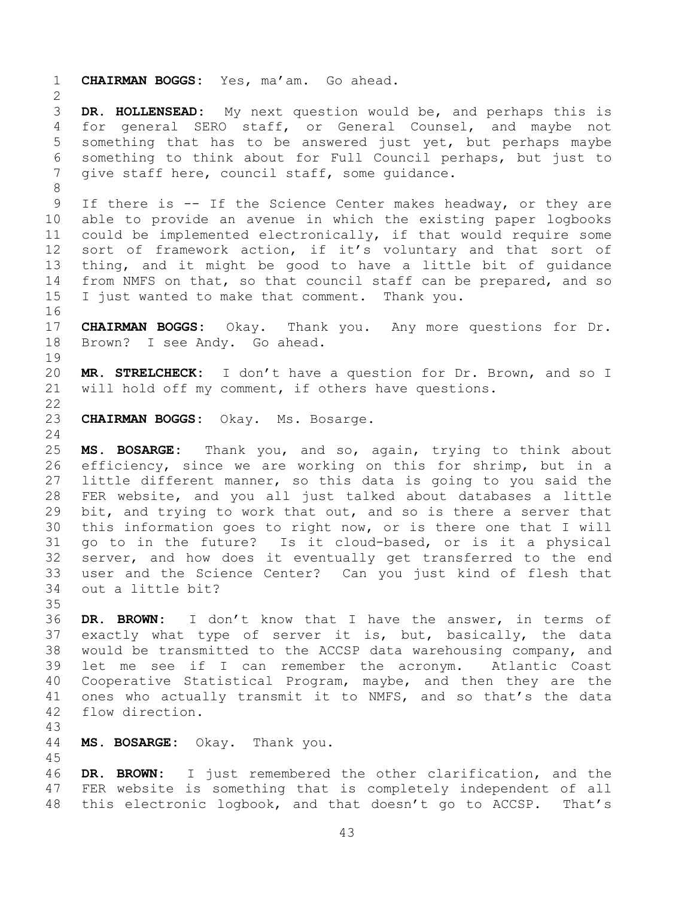1 **CHAIRMAN BOGGS:** Yes, ma'am. Go ahead.  $rac{2}{3}$ 3 **DR. HOLLENSEAD:** My next question would be, and perhaps this is 4 for general SERO staff, or General Counsel, and maybe not<br>5 something that has to be answered just yet, but perhaps maybe 5 something that has to be answered just yet, but perhaps maybe<br>6 something to think about for Full Council perhaps, but just to 6 something to think about for Full Council perhaps, but just to<br>7 qive staff here, council staff, some quidance. give staff here, council staff, some quidance. 8 9 If there is -- If the Science Center makes headway, or they are<br>10 able to provide an avenue in which the existing paper logbooks 10 able to provide an avenue in which the existing paper logbooks<br>11 could be implemented electronically, if that would require some 11 could be implemented electronically, if that would require some<br>12 sort of framework action, if it's voluntary and that sort of 12 sort of framework action, if it's voluntary and that sort of<br>13 thing, and it might be good to have a little bit of quidance 13 thing, and it might be good to have a little bit of guidance<br>14 from NMFS on that, so that council staff can be prepared, and so 14 from NMFS on that, so that council staff can be prepared, and so<br>15 I just wanted to make that comment. Thank you. I just wanted to make that comment. Thank you. 16<br>17 17 **CHAIRMAN BOGGS:** Okay. Thank you. Any more questions for Dr.<br>18 Brown? I see Andy. Go ahead. Brown? I see Andy. Go ahead. 19<br>20 20 **MR. STRELCHECK:** I don't have a question for Dr. Brown, and so I<br>21 will hold off my comment, if others have questions. will hold off my comment, if others have questions.  $\frac{22}{23}$ 23 **CHAIRMAN BOGGS:** Okay. Ms. Bosarge.  $\frac{24}{25}$ 25 **MS. BOSARGE:** Thank you, and so, again, trying to think about 26 efficiency, since we are working on this for shrimp, but in a<br>27 little different manner, so this data is going to you said the 27 little different manner, so this data is going to you said the<br>28 FER website, and you all just talked about databases a little 28 FER website, and you all just talked about databases a little<br>29 bit, and trying to work that out, and so is there a server that 29 bit, and trying to work that out, and so is there a server that<br>30 this information goes to right now, or is there one that I will 30 this information goes to right now, or is there one that I will<br>31 go to in the future? Is it cloud-based, or is it a physical 31 go to in the future? Is it cloud-based, or is it a physical 32 server, and how does it eventually get transferred to the end<br>33 user and the Science Center? Can you just kind of flesh that 33 user and the Science Center? Can you just kind of flesh that out a little bit? 35<br>36 36 DR. BROWN: I don't know that I have the answer, in terms of<br>37 exactly what type of server it is, but, basically, the data 37 exactly what type of server it is, but, basically, the data<br>38 would be transmitted to the ACCSP data warehousing company, and 38 would be transmitted to the ACCSP data warehousing company, and<br>39 let me see if I can remember the acronym. Atlantic Coast let me see if I can remember the acronym. 40 Cooperative Statistical Program, maybe, and then they are the 41 ones who actually transmit it to NMFS, and so that's the data<br>42 flow direction. flow direction. 43 44 **MS. BOSARGE:** Okay. Thank you.

45 46 **DR. BROWN:** I just remembered the other clarification, and the<br>47 FER website is something that is completely independent of all FER website is something that is completely independent of all 48 this electronic logbook, and that doesn't go to ACCSP. That's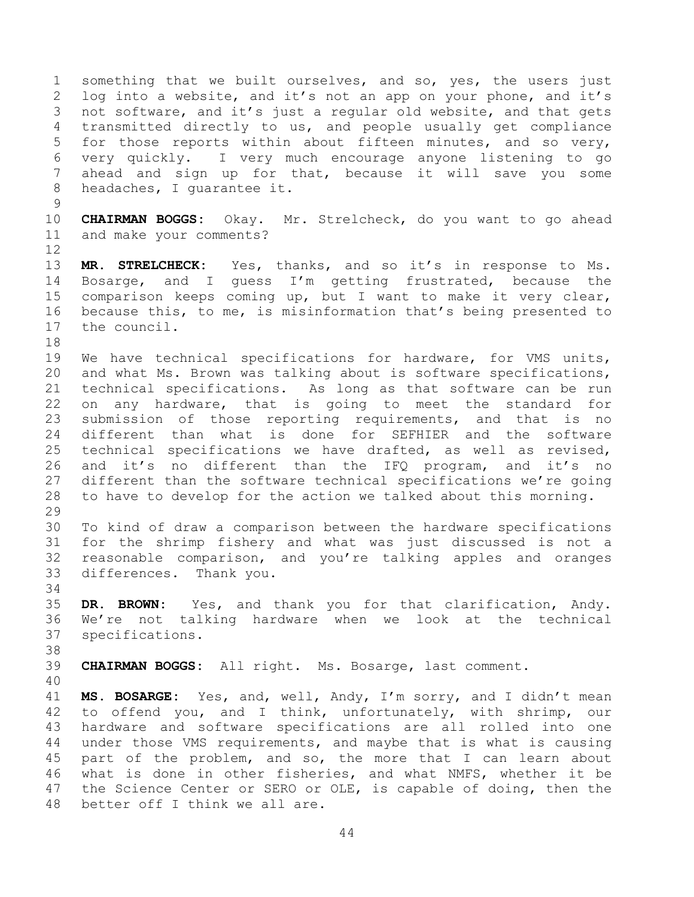1 something that we built ourselves, and so, yes, the users just<br>2 log into a website, and it's not an app on your phone, and it's 2 log into a website, and it's not an app on your phone, and it's<br>3 not software, and it's just a reqular old website, and that gets 3 not software, and it's just a regular old website, and that gets<br>4 transmitted directly to us, and people usually get compliance 4 transmitted directly to us, and people usually get compliance<br>5 for those reports within about fifteen minutes, and so very, 5 for those reports within about fifteen minutes, and so very,<br>6 very quickly. I very much encourage anyone listening to go 6 very quickly. I very much encourage anyone listening to go ahead and sign up for that, because it will save you some 8 headaches, I quarantee it.  $\begin{array}{c} 9 \\ 10 \end{array}$ 10 **CHAIRMAN BOGGS:** Okay. Mr. Strelcheck, do you want to go ahead and make your comments?  $\begin{array}{c} 12 \\ 13 \end{array}$ 

13 **MR. STRELCHECK:** Yes, thanks, and so it's in response to Ms.<br>14 Bosarge, and I guess I'm getting frustrated, because the 14 Bosarge, and I guess I'm getting frustrated, because the<br>15 comparison keeps coming up, but I want to make it very clear, 15 comparison keeps coming up, but I want to make it very clear,<br>16 because this, to me, is misinformation that's being presented to 16 because this, to me, is misinformation that's being presented to<br>17 the council. the council.

18<br>19 19 We have technical specifications for hardware, for VMS units,<br>20 and what Ms. Brown was talking about is software specifications, 20 and what Ms. Brown was talking about is software specifications,<br>21 technical specifications. As long as that software can be run 21 technical specifications. As long as that software can be run<br>22 on any hardware, that is going to meet the standard for 22 on any hardware, that is going to meet the standard for<br>23 submission of those reporting requirements, and that is no 23 submission of those reporting requirements, and that is no<br>24 different than what is done for SEFHIER and the software 24 different than what is done for SEFHIER and the software<br>25 technical specifications we have drafted, as well as revised, 25 technical specifications we have drafted, as well as revised,<br>26 and it's no different than the IFQ program, and it's no 26 and it's no different than the IFQ program, and it's<br>27 different than the software technical specifications we're goi 27 different than the software technical specifications we're going<br>28 to have to develop for the action we talked about this morning. to have to develop for the action we talked about this morning.

29<br>30 30 To kind of draw a comparison between the hardware specifications<br>31 for the shrimp fishery and what was just discussed is not a for the shrimp fishery and what was just discussed is not a 32 reasonable comparison, and you're talking apples and oranges<br>33 differences. Thank you. differences. Thank you.

34<br>35 35 **DR. BROWN:** Yes, and thank you for that clarification, Andy. 36 We're not talking hardware when we look at the technical<br>37 specifications. specifications.

38<br>39

39 **CHAIRMAN BOGGS:** All right. Ms. Bosarge, last comment.

40

41 **MS. BOSARGE:** Yes, and, well, Andy, I'm sorry, and I didn't mean 42 to offend you, and I think, unfortunately, with shrimp, our<br>43 hardware and software specifications are all rolled into one 43 hardware and software specifications are all rolled into one<br>44 under those VMS requirements, and maybe that is what is causing 44 under those VMS requirements, and maybe that is what is causing<br>45 part of the problem, and so, the more that I can learn about 45 part of the problem, and so, the more that I can learn about<br>46 what is done in other fisheries, and what NMFS, whether it be 46 what is done in other fisheries, and what NMFS, whether it be<br>47 the Science Center or SERO or OLE, is capable of doing, then the the Science Center or SERO or OLE, is capable of doing, then the 48 better off I think we all are.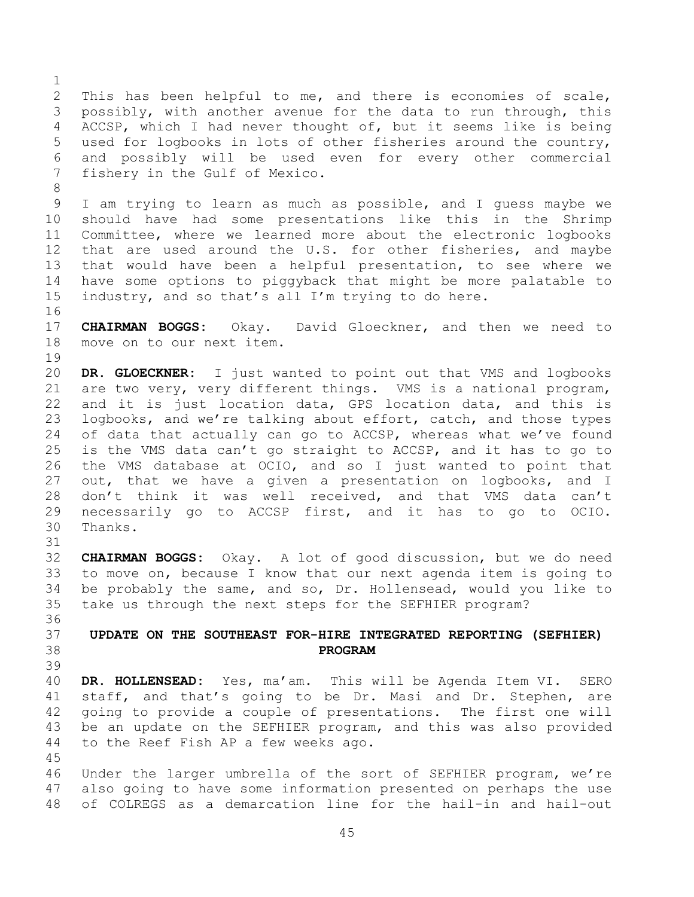<span id="page-44-0"></span> $\frac{1}{2}$ 2 This has been helpful to me, and there is economies of scale,<br>3 possibly, with another avenue for the data to run through, this 3 possibly, with another avenue for the data to run through, this<br>4 ACCSP, which I had never thought of, but it seems like is being 4 ACCSP, which I had never thought of, but it seems like is being<br>5 used for logbooks in lots of other fisheries around the country, 5 used for logbooks in lots of other fisheries around the country,<br>6 and possibly will be used even for every other commercial 6 and possibly will be used even for every other commercial<br>7 fishery in the Gulf of Mexico. fishery in the Gulf of Mexico. 8 9 I am trying to learn as much as possible, and I guess maybe we<br>10 should have had some presentations like this in the Shrimp 10 should have had some presentations like this in the Shrimp<br>11 Committee, where we learned more about the electronic logbooks 11 Committee, where we learned more about the electronic logbooks<br>12 that are used around the U.S. for other fisheries, and maybe 12 that are used around the U.S. for other fisheries, and maybe<br>13 that would have been a helpful presentation, to see where we 13 that would have been a helpful presentation, to see where we<br>14 have some options to piggyback that might be more palatable to 14 have some options to piggyback that might be more palatable to<br>15 industry, and so that's all I'm trying to do here. industry, and so that's all I'm trying to do here. 16<br>17 17 **CHAIRMAN BOGGS:** Okay. David Gloeckner, and then we need to move on to our next item. 19<br>20 20 **DR. GLOECKNER:** I just wanted to point out that VMS and logbooks<br>21 are two verv, verv different things. VMS is a national program, 21 are two very, very different things. VMS is a national program,<br>22 and it is just location data, GPS location data, and this is 22 and it is just location data, GPS location data, and this is<br>23 logbooks, and we're talking about effort, catch, and those types 23 logbooks, and we're talking about effort, catch, and those types<br>24 of data that actually can go to ACCSP, whereas what we've found 24 of data that actually can go to ACCSP, whereas what we've found<br>25 is the VMS data can't go straight to ACCSP, and it has to go to 25 is the VMS data can't go straight to ACCSP, and it has to go to<br>26 the VMS database at OCIO, and so I just wanted to point that 26 the VMS database at OCIO, and so I just wanted to point that<br>27 out, that we have a given a presentation on logbooks, and I 27 out, that we have a given a presentation on logbooks, and I<br>28 don't think it was well received, and that VMS data can't 28 don't think it was well received, and that VMS data can't<br>29 necessarily go to ACCSP first, and it has to go to OCIO. 29 necessarily go to ACCSP first, and it has to go to OCIO.<br>30 Thanks. Thanks. 31 32 **CHAIRMAN BOGGS:** Okay. A lot of good discussion, but we do need 33 to move on, because I know that our next agenda item is going to<br>34 be probably the same, and so, Dr. Hollensead, would you like to 34 be probably the same, and so, Dr. Hollensead, would you like to<br>35 take us through the next steps for the SEFHIER program? take us through the next steps for the SEFHIER program? 36<br>37 37 **UPDATE ON THE SOUTHEAST FOR-HIRE INTEGRATED REPORTING (SEFHIER)**  38 **PROGRAM** 39 40 **DR. HOLLENSEAD:** Yes, ma'am. This will be Agenda Item VI. SERO 41 staff, and that's going to be Dr. Masi and Dr. Stephen, are<br>42 going to provide a couple of presentations. The first one will 42 going to provide a couple of presentations. The first one will<br>43 be an update on the SEFHIER program, and this was also provided 43 be an update on the SEFHIER program, and this was also provided<br>44 to the Reef Fish AP a few weeks ago. to the Reef Fish AP a few weeks ago. 45 46 Under the larger umbrella of the sort of SEFHIER program, we're<br>47 also going to have some information presented on perhaps the use also going to have some information presented on perhaps the use 48 of COLREGS as a demarcation line for the hail-in and hail-out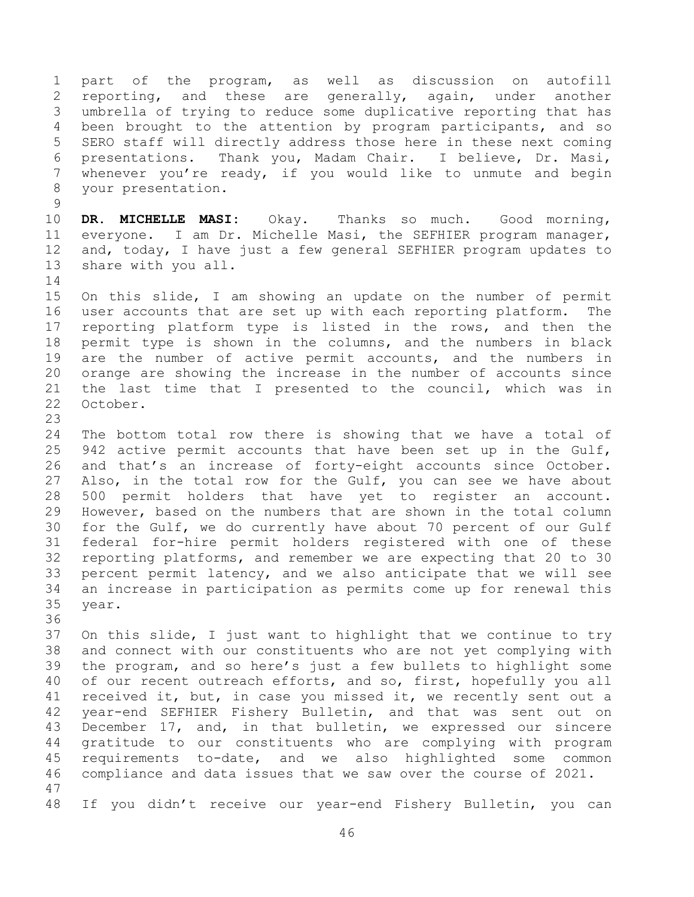1 part of the program, as well as discussion on autofill<br>2 reporting, and these are generally, again, under another 2 reporting, and these are generally, again, under another<br>3 umbrella of trying to reduce some duplicative reporting that has 3 umbrella of trying to reduce some duplicative reporting that has<br>4 been brought to the attention by program participants, and so 4 been brought to the attention by program participants, and so<br>5 SERO staff will directly address those here in these next coming 5 SERO staff will directly address those here in these next coming<br>6 presentations. Thank vou, Madam Chair. I believe, Dr. Masi, 6 presentations. Thank you, Madam Chair. I believe, Dr. Masi,<br>7 whenever you're ready, if you would like to unmute and begin whenever you're ready, if you would like to unmute and begin 8 your presentation.

 $\begin{array}{c} 9 \\ 10 \end{array}$ 10 **DR. MICHELLE MASI:** Okay. Thanks so much. Good morning,<br>11 everyone. I am Dr. Michelle Masi, the SEFHIER program manager, 11 everyone. I am Dr. Michelle Masi, the SEFHIER program manager,<br>12 and, today, I have just a few general SEFHIER program updates to 12 and, today, I have just a few general SEFHIER program updates to 13 share with you all. share with you all.

 $\begin{array}{c} 14 \\ 15 \end{array}$ 15 On this slide, I am showing an update on the number of permit<br>16 user accounts that are set up with each reporting platform. The user accounts that are set up with each reporting platform. The 17 reporting platform type is listed in the rows, and then the<br>18 permit type is shown in the columns, and the numbers in black 18 permit type is shown in the columns, and the numbers in black<br>19 are the number of active permit accounts, and the numbers in 19 are the number of active permit accounts, and the numbers in<br>20 orange are showing the increase in the number of accounts since 20 orange are showing the increase in the number of accounts since<br>21 the last time that I presented to the council, which was in 21 the last time that I presented to the council, which was in<br>22 October. October.

23

24 The bottom total row there is showing that we have a total of<br>25 942 active permit accounts that have been set up in the Gulf, 25 942 active permit accounts that have been set up in the Gulf,<br>26 and that's an increase of forty-eight accounts since October. 26 and that's an increase of forty-eight accounts since October.<br>27 Also, in the total row for the Gulf, you can see we have about 27 Also, in the total row for the Gulf, you can see we have about<br>28 500 permit holders that have yet to register an account. 28 500 permit holders that have yet to register an account.<br>29 However, based on the numbers that are shown in the total column 29 However, based on the numbers that are shown in the total column<br>30 for the Gulf, we do currently have about 70 percent of our Gulf 30 for the Gulf, we do currently have about 70 percent of our Gulf<br>31 federal for-hire permit holders registered with one of these federal for-hire permit holders registered with one of these 32 reporting platforms, and remember we are expecting that 20 to 30<br>33 percent permit latency, and we also anticipate that we will see 33 percent permit latency, and we also anticipate that we will see<br>34 an increase in participation as permits come up for renewal this 34 an increase in participation as permits come up for renewal this year.

36<br>37 37 On this slide, I just want to highlight that we continue to try<br>38 and connect with our constituents who are not yet complying with 38 and connect with our constituents who are not yet complying with<br>39 the program, and so here's just a few bullets to highlight some the program, and so here's just a few bullets to highlight some 40 of our recent outreach efforts, and so, first, hopefully you all 41 received it, but, in case you missed it, we recently sent out a<br>42 vear-end SEFHIER Fisherv Bulletin, and that was sent out on 42 year-end SEFHIER Fishery Bulletin, and that was sent out on<br>43 December 17, and, in that bulletin, we expressed our sincere 43 December 17, and, in that bulletin, we expressed our sincere<br>44 qratitude to our constituents who are complying with program 44 gratitude to our constituents who are complying with program<br>45 requirements to-date, and we also highlighted some common 45 requirements to-date, and we also highlighted some common<br>46 compliance and data issues that we saw over the course of 2021. compliance and data issues that we saw over the course of 2021. 47

48 If you didn't receive our year-end Fishery Bulletin, you can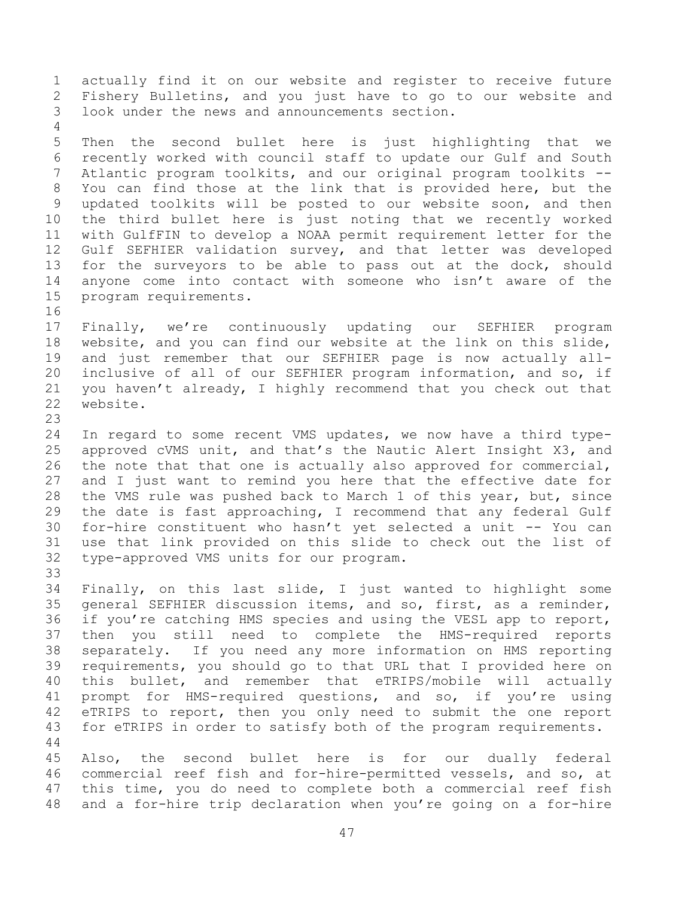1 actually find it on our website and register to receive future<br>2 Fishery Bulletins, and you just have to go to our website and 2 Fishery Bulletins, and you just have to go to our website and<br>3 look under the news and announcements section. look under the news and announcements section.  $\frac{4}{5}$ 5 Then the second bullet here is just highlighting that we<br>6 recently worked with council staff to update our Gulf and South 6 recently worked with council staff to update our Gulf and South<br>7 Atlantic program toolkits, and our original program toolkits --Atlantic program toolkits, and our original program toolkits --8 You can find those at the link that is provided here, but the 9 updated toolkits will be posted to our website soon, and then<br>10 the third bullet here is just noting that we recently worked 10 the third bullet here is just noting that we recently worked<br>11 with GulfFIN to develop a NOAA permit requirement letter for the 11 with GulfFIN to develop a NOAA permit requirement letter for the<br>12 Gulf SEFHIER validation survey, and that letter was developed 12 Gulf SEFHIER validation survey, and that letter was developed<br>13 for the surveyors to be able to pass out at the dock, should 13 for the surveyors to be able to pass out at the dock, should<br>14 anyone come into contact with someone who isn't aware of the 14 anyone come into contact with someone who isn't aware of the 15 program requirements. program requirements. 16<br>17 17 Finally, we're continuously updating our SEFHIER program<br>18 website, and you can find our website at the link on this slide,

18 website, and you can find our website at the link on this slide,<br>19 and just remember that our SEFHIER page is now actually all-19 and just remember that our SEFHIER page is now actually all-<br>20 inclusive of all of our SEFHIER program information, and so, if 20 inclusive of all of our SEFHIER program information, and so, if<br>21 vou haven't already, I highly recommend that you check out that 21 you haven't already, I highly recommend that you check out that  $22$  website. website.

23 24 In regard to some recent VMS updates, we now have a third type-<br>25 approved cVMS unit, and that's the Nautic Alert Insight X3, and 25 approved cVMS unit, and that's the Nautic Alert Insight X3, and<br>26 the note that that one is actually also approved for commercial, 26 the note that that one is actually also approved for commercial,<br>27 and I just want to remind you here that the effective date for 27 and I just want to remind you here that the effective date for<br>28 the VMS rule was pushed back to March 1 of this year, but, since 28 the VMS rule was pushed back to March 1 of this year, but, since<br>29 the date is fast approaching, I recommend that any federal Gulf 29 the date is fast approaching, I recommend that any federal Gulf<br>30 for-hire constituent who hasn't yet selected a unit -- You can 30 for-hire constituent who hasn't yet selected a unit -- You can<br>31 use that link provided on this slide to check out the list of 31 use that link provided on this slide to check out the list of<br>32 type-approved VMS units for our program. type-approved VMS units for our program.

33<br>34 34 Finally, on this last slide, I just wanted to highlight some<br>35 general SEFHIER discussion items, and so, first, as a reminder, 35 general SEFHIER discussion items, and so, first, as a reminder,<br>36 if you're catching HMS species and using the VESL app to report, 36 if you're catching HMS species and using the VESL app to report,<br>37 then you still need to complete the HMS-required reports 37 then you still need to complete the HMS-required reports<br>38 separately. If you need any more information on HMS reporting 38 separately. If you need any more information on HMS reporting requirements, you should go to that URL that I provided here on 40 this bullet, and remember that eTRIPS/mobile will actually 41 prompt for HMS-required questions, and so, if you're using<br>42 eTRIPS to report, then you only need to submit the one report 42 eTRIPS to report, then you only need to submit the one report<br>43 for eTRIPS in order to satisfy both of the program requirements. for eTRIPS in order to satisfy both of the program requirements.

 $\begin{array}{c} 44 \\ 45 \end{array}$ 45 Also, the second bullet here is for our dually federal<br>46 commercial reef fish and for-hire-permitted vessels, and so, at 46 commercial reef fish and for-hire-permitted vessels, and so, at<br>47 this time, you do need to complete both a commercial reef fish this time, you do need to complete both a commercial reef fish 48 and a for-hire trip declaration when you're going on a for-hire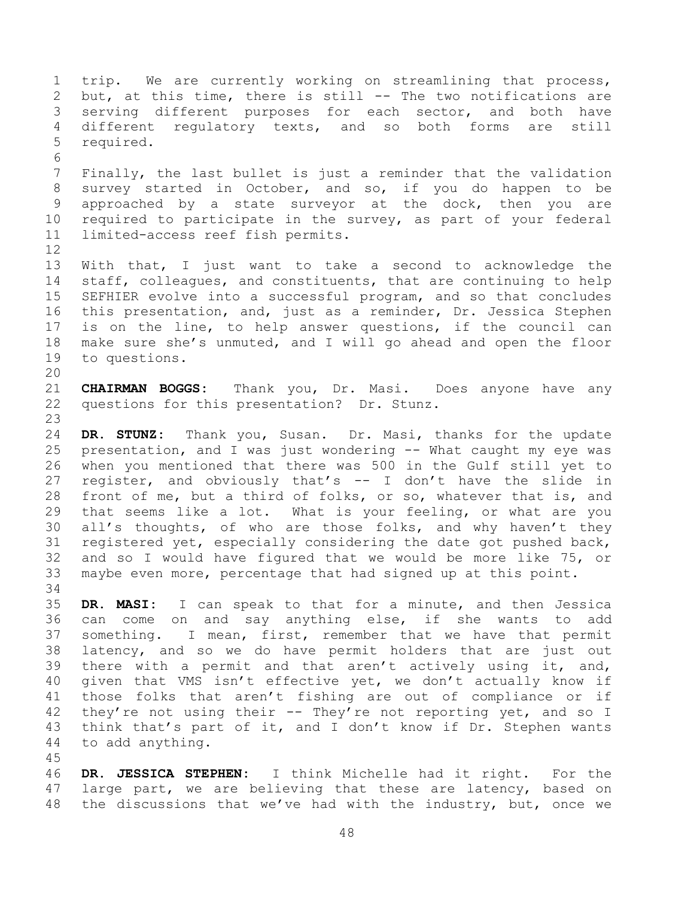1 trip. We are currently working on streamlining that process,<br>2 but, at this time, there is still -- The two notifications are 2 but, at this time, there is still -- The two notifications are<br>3 serving different purposes for each sector, and both have 3 serving different purposes for each sector, and both have<br>4 different regulatory texts, and so both forms are still 4 different regulatory texts, and so both forms<br>5 required. required. 6<br>7 Finally, the last bullet is just a reminder that the validation 8 survey started in October, and so, if you do happen to be 9 approached by a state surveyor at the dock, then you are<br>10 required to participate in the survey, as part of your federal 10 required to participate in the survey, as part of your federal<br>11 limited-access reef fish permits. limited-access reef fish permits. 12<br>13 13 With that, I just want to take a second to acknowledge the<br>14 staff, colleagues, and constituents, that are continuing to help 14 staff, colleagues, and constituents, that are continuing to help<br>15 SEFHIER evolve into a successful program, and so that concludes 15 SEFHIER evolve into a successful program, and so that concludes<br>16 this presentation, and, just as a reminder, Dr. Jessica Stephen this presentation, and, just as a reminder, Dr. Jessica Stephen 17 is on the line, to help answer questions, if the council can<br>18 make sure she's unmuted, and I will go ahead and open the floor 18 make sure she's unmuted, and I will go ahead and open the floor<br>19 to questions. to questions. 20<br>21 21 **CHAIRMAN BOGGS:** Thank you, Dr. Masi. Does anyone have any<br>22 questions for this presentation? Dr. Stunz. questions for this presentation? Dr. Stunz. 23 24 **DR. STUNZ:** Thank you, Susan. Dr. Masi, thanks for the update 25 presentation, and I was just wondering -- What caught my eye was<br>26 when you mentioned that there was 500 in the Gulf still yet to 26 when you mentioned that there was 500 in the Gulf still yet to<br>27 register, and obviously that's -- I don't have the slide in 27 register, and obviously that's -- I don't have the slide in<br>28 front of me, but a third of folks, or so, whatever that is, and 28 front of me, but a third of folks, or so, whatever that is, and<br>29 that seems like a lot. What is your feeling, or what are you 29 that seems like a lot. What is your feeling, or what are you<br>30 all's thoughts, of who are those folks, and why haven't they 30 all's thoughts, of who are those folks, and why haven't they<br>31 registered yet, especially considering the date got pushed back, registered yet, especially considering the date got pushed back, 32 and so I would have figured that we would be more like 75, or<br>33 maybe even more, percentage that had signed up at this point. maybe even more, percentage that had signed up at this point. 34<br>35 35 **DR. MASI:** I can speak to that for a minute, and then Jessica 36 can come on and say anything else, if she wants to add<br>37 something. I mean, first, remember that we have that permit 37 something. I mean, first, remember that we have that permit<br>38 latency, and so we do have permit holders that are just out 38 latency, and so we do have permit holders that are just out<br>39 there with a permit and that aren't actively using it, and, there with a permit and that aren't actively using it, and, 40 given that VMS isn't effective yet, we don't actually know if 41 those folks that aren't fishing are out of compliance or if<br>42 thev're not using their -- Thev're not reporting vet, and so I 42 they're not using their -- They're not reporting yet, and so I<br>43 think that's part of it, and I don't know if Dr. Stephen wants 43 think that's part of it, and I don't know if Dr. Stephen wants  $44$  to add anything. to add anything. 45

46 **DR. JESSICA STEPHEN:** I think Michelle had it right. For the large part, we are believing that these are latency, based on 48 the discussions that we've had with the industry, but, once we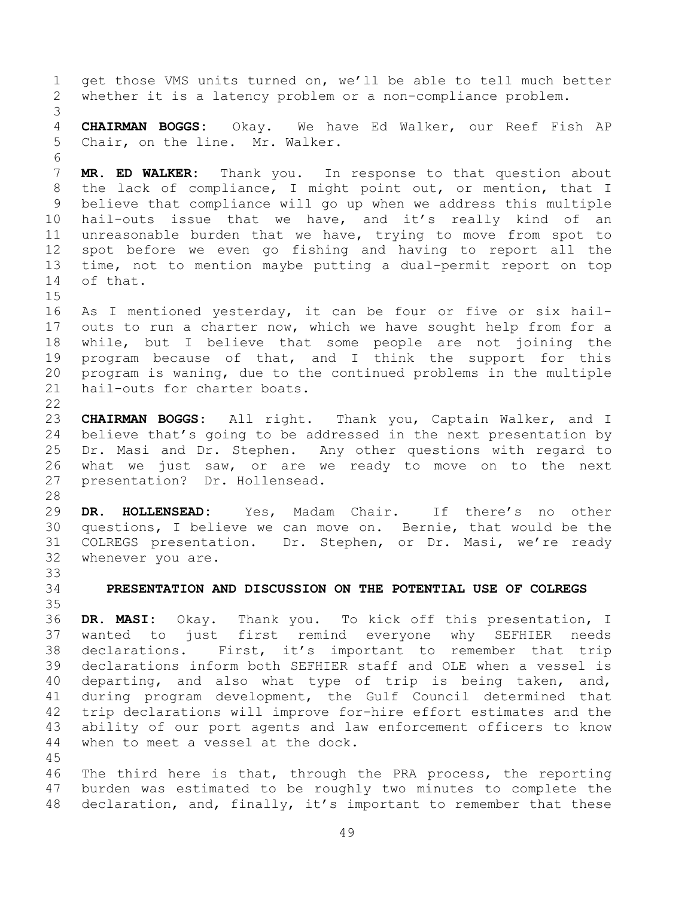1 get those VMS units turned on, we'll be able to tell much better<br>2 whether it is a latency problem or a non-compliance problem. whether it is a latency problem or a non-compliance problem. 3 4 **CHAIRMAN BOGGS:** Okay. We have Ed Walker, our Reef Fish AP Chair, on the line. Mr. Walker. 6<br>7 MR. ED WALKER: Thank you. In response to that question about 8 the lack of compliance, I might point out, or mention, that I 9 believe that compliance will go up when we address this multiple<br>10 hail-outs issue that we have, and it's really kind of an 10 hail-outs issue that we have, and it's really kind of an<br>11 unreasonable burden that we have, trying to move from spot to 11 unreasonable burden that we have, trying to move from spot to<br>12 spot before we even go fishing and having to report all the 12 spot before we even go fishing and having to report all the<br>13 time, not to mention mavbe putting a dual-permit report on top 13 time, not to mention maybe putting a dual-permit report on top<br>14 of that. of that.  $\frac{15}{16}$ As I mentioned yesterday, it can be four or five or six hail-17 outs to run a charter now, which we have sought help from for a<br>18 while, but I believe that some people are not joining the 18 while, but I believe that some people are not joining the<br>19 program because of that, and I think the support for this 19 program because of that, and I think the support for this<br>20 program is waning, due to the continued problems in the multiple 20 program is waning, due to the continued problems in the multiple<br>21 hail-outs for charter boats. hail-outs for charter boats.  $\frac{22}{23}$ 23 **CHAIRMAN BOGGS:** All right. Thank you, Captain Walker, and I 24 believe that's going to be addressed in the next presentation by<br>25 Dr. Masi and Dr. Stephen. Any other questions with regard to 25 Dr. Masi and Dr. Stephen. Any other questions with regard to<br>26 what we just saw, or are we ready to move on to the next 26 what we just saw, or are we ready to move on to the next<br>27 presentation? Dr. Hollensead. presentation? Dr. Hollensead. 28<br>29 29 **DR. HOLLENSEAD:** Yes, Madam Chair. If there's no other 30 questions, I believe we can move on. Bernie, that would be the<br>31 COLREGS presentation. Dr. Stephen, or Dr. Masi, we're ready COLREGS presentation. Dr. Stephen, or Dr. Masi, we're ready 32 whenever you are. 33<br>34 34 **PRESENTATION AND DISCUSSION ON THE POTENTIAL USE OF COLREGS** 35<br>36 36 **DR. MASI:** Okay. Thank you. To kick off this presentation, I 37 wanted to just first remind everyone why SEFHIER<br>38 declarations. First, it's important to remember that 38 declarations. First, it's important to remember that trip<br>39 declarations inform both SEFHIER staff and OLE when a vessel is declarations inform both SEFHIER staff and OLE when a vessel is 40 departing, and also what type of trip is being taken, and, 41 during program development, the Gulf Council determined that<br>42 trip declarations will improve for-hire effort estimates and the 42 trip declarations will improve for-hire effort estimates and the<br>43 ability of our port agents and law enforcement officers to know 43 ability of our port agents and law enforcement officers to know<br>44 when to meet a vessel at the dock. when to meet a vessel at the dock. 45 46 The third here is that, through the PRA process, the reporting<br>47 burden was estimated to be roughly two minutes to complete the burden was estimated to be roughly two minutes to complete the

49

<span id="page-48-0"></span>48 declaration, and, finally, it's important to remember that these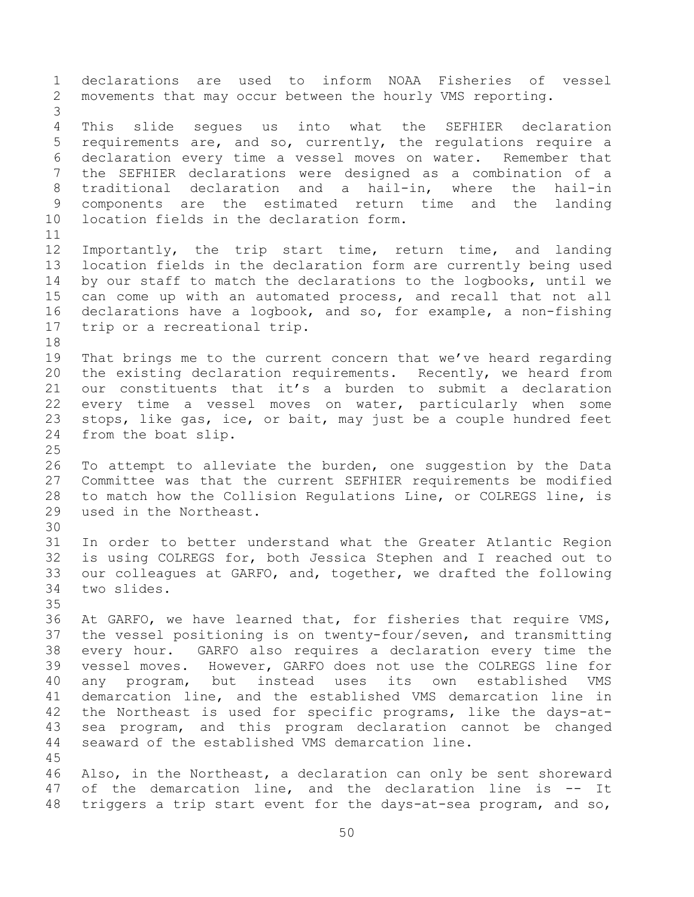1 declarations are used to inform NOAA Fisheries of vessel<br>2 movements that may occur between the hourly VMS reporting. movements that may occur between the hourly VMS reporting. 3 4 This slide segues us into what the SEFHIER declaration<br>5 requirements are, and so, currently, the requlations require a 5 requirements are, and so, currently, the regulations require a<br>6 declaration every time a vessel moves on water. Remember that 6 declaration every time a vessel moves on water.<br>7 the SEFHIER declarations were designed as a co 7 the SEFHIER declarations were designed as a combination of a 8 traditional declaration and a hail-in, where the hail-in 9 components are the estimated return time and the landing<br>10 location fields in the declaration form. 10 location fields in the declaration form. 11<br>12 12 Importantly, the trip start time, return time, and landing<br>13 location fields in the declaration form are currently being used 13 location fields in the declaration form are currently being used<br>14 by our staff to match the declarations to the logbooks, until we 14 by our staff to match the declarations to the logbooks, until we<br>15 can come up with an automated process, and recall that not all 15 can come up with an automated process, and recall that not all<br>16 declarations have a logbook, and so, for example, a non-fishing declarations have a logbook, and so, for example, a non-fishing 17 trip or a recreational trip. 18<br>19 19 That brings me to the current concern that we've heard regarding<br>20 the existing declaration requirements. Recently, we heard from 20 the existing declaration requirements. Recently, we heard from<br>21 our constituents that it's a burden to submit a declaration 21 our constituents that it's a burden to submit a declaration<br>22 every time a vessel moves on water, particularly when some 22 every time a vessel moves on water, particularly when some<br>23 stops, like gas, ice, or bait, may just be a couple hundred feet 23 stops, like gas, ice, or bait, may just be a couple hundred feet<br>24 from the boat slip. from the boat slip.  $\frac{25}{26}$ 26 To attempt to alleviate the burden, one suggestion by the Data<br>27 Committee was that the current SEFHIER requirements be modified 27 Committee was that the current SEFHIER requirements be modified<br>28 to match how the Collision Requlations Line, or COLREGS line, is 28 to match how the Collision Regulations Line, or COLREGS line, is<br>29 used in the Northeast. used in the Northeast. 30<br>31 In order to better understand what the Greater Atlantic Region 32 is using COLREGS for, both Jessica Stephen and I reached out to<br>33 our colleagues at GARFO, and, together, we drafted the following 33 our colleagues at GARFO, and, together, we drafted the following<br>34 two slides. two slides. 35<br>36 36 At GARFO, we have learned that, for fisheries that require VMS,<br>37 the vessel positioning is on twenty-four/seven, and transmitting 37 the vessel positioning is on twenty-four/seven, and transmitting<br>38 every hour. GARFO also requires a declaration every time the 38 every hour. GARFO also requires a declaration every time the<br>39 vessel moves. However, GARFO does not use the COLREGS line for vessel moves. However, GARFO does not use the COLREGS line for 40 any program, but instead uses its own established VMS 41 demarcation line, and the established VMS demarcation line in<br>42 the Northeast is used for specific programs, like the davs-at-42 the Northeast is used for specific programs, like the days-at-<br>43 sea program, and this program declaration cannot be changed 43 sea program, and this program declaration cannot be changed<br>44 seaward of the established VMS demarcation line. seaward of the established VMS demarcation line. 45<br>46 46 Also, in the Northeast, a declaration can only be sent shoreward<br>47 of the demarcation line, and the declaration line is -- It of the demarcation line, and the declaration line is -- It 48 triggers a trip start event for the days-at-sea program, and so,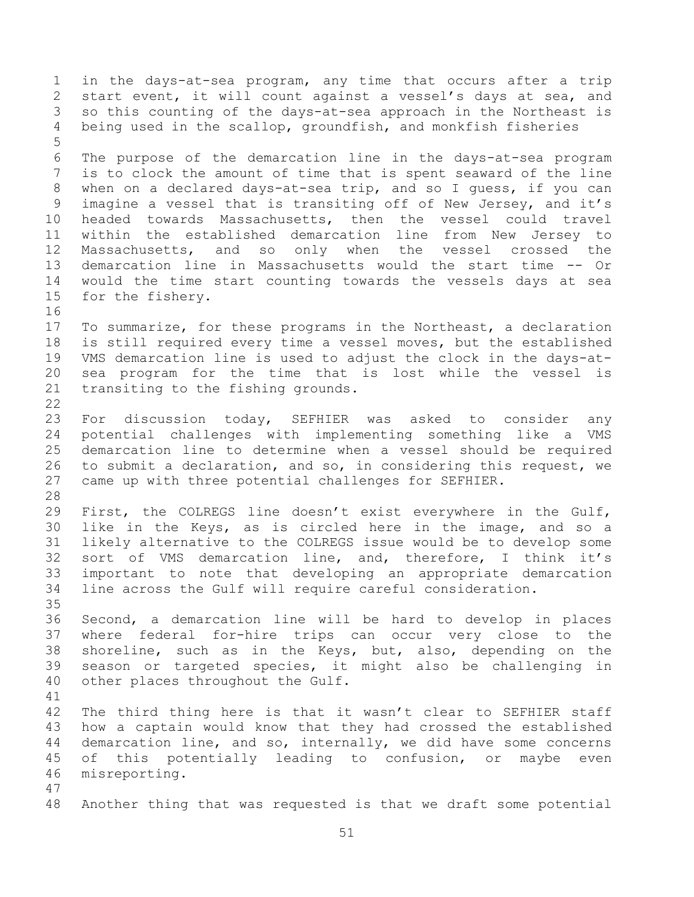1 in the days-at-sea program, any time that occurs after a trip<br>2 start event, it will count against a vessel's days at sea, and 2 start event, it will count against a vessel's days at sea, and<br>3 so this counting of the days-at-sea approach in the Northeast is 3 so this counting of the days-at-sea approach in the Northeast is<br>4 being used in the scallop, groundfish, and monkfish fisheries being used in the scallop, groundfish, and monkfish fisheries 5 6 The purpose of the demarcation line in the days-at-sea program<br>7 is to clock the amount of time that is spent seaward of the line is to clock the amount of time that is spent seaward of the line 8 when on a declared days-at-sea trip, and so I guess, if you can 9 imagine a vessel that is transiting off of New Jersey, and it's<br>10 headed towards Massachusetts, then the vessel could travel 10 headed towards Massachusetts, then the vessel could travel<br>11 within the established demarcation line from New Jersey to 11 within the established demarcation line from New Jersey to<br>12 Massachusetts, and so only when the vessel crossed the 12 Massachusetts, and so only when the<br>13 demarcation line in Massachusetts would t 13 demarcation line in Massachusetts would the start time -- Or<br>14 would the time start counting towards the vessels days at sea 14 would the time start counting towards the vessels days at sea<br>15 for the fisherv. for the fishery. 16 17 To summarize, for these programs in the Northeast, a declaration<br>18 is still required every time a vessel moves, but the established 18 is still required every time a vessel moves, but the established<br>19 VMS demarcation line is used to adjust the clock in the davs-at-19 VMS demarcation line is used to adjust the clock in the days-at-<br>20 sea program for the time that is lost while the vessel is 20 sea program for the time that is lost while the vessel is<br>21 transiting to the fishing grounds. transiting to the fishing grounds.  $\frac{22}{23}$ 23 For discussion today, SEFHIER was asked to consider any<br>24 potential challenges with implementing something like a VMS 24 potential challenges with implementing something like a VMS 25 demarcation line to determine when a vessel should be required<br>26 to submit a declaration, and so, in considering this request, we 26 to submit a declaration, and so, in considering this request, we<br>27 came up with three potential challenges for SEFHIER. came up with three potential challenges for SEFHIER. 28<br>29 29 First, the COLREGS line doesn't exist everywhere in the Gulf,<br>30 like in the Keys, as is circled here in the image, and so a 30 like in the Keys, as is circled here in the image, and so a<br>31 likely alternative to the COLREGS issue would be to develop some likely alternative to the COLREGS issue would be to develop some 32 sort of VMS demarcation line, and, therefore, I think it's<br>33 important to note that developing an appropriate demarcation 33 important to note that developing an appropriate demarcation<br>34 line across the Gulf will require careful consideration. line across the Gulf will require careful consideration. 35<br>36 36 Second, a demarcation line will be hard to develop in places<br>37 where federal for-hire trips can occur very close to the 37 where federal for-hire trips can occur very close to the<br>38 shoreline, such as in the Keys, but, also, depending on the 38 shoreline, such as in the Keys, but, also, depending on the<br>39 season or targeted species, it might also be challenging in season or targeted species, it might also be challenging in 40 other places throughout the Gulf. 41<br>42 42 The third thing here is that it wasn't clear to SEFHIER staff<br>43 how a captain would know that they had crossed the established 43 how a captain would know that they had crossed the established<br>44 demarcation line, and so, internally, we did have some concerns 44 demarcation line, and so, internally, we did have some concerns<br>45 of this potentially leading to confusion, or maybe even 45 of this potentially leading to confusion, or maybe even<br>46 misreporting. misreporting. 47 48 Another thing that was requested is that we draft some potential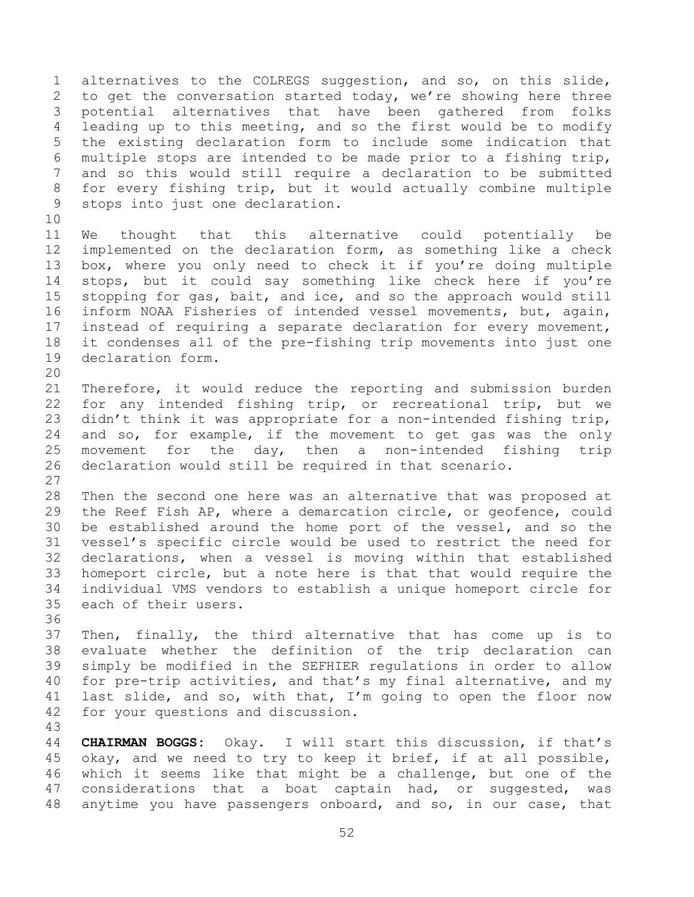1 alternatives to the COLREGS suggestion, and so, on this slide,<br>2 to get the conversation started today, we're showing here three 2 to get the conversation started today, we're showing here three<br>3 potential alternatives that have been gathered from folks 3 potential alternatives that have been gathered from folks<br>4 leading up to this meeting, and so the first would be to modify 4 leading up to this meeting, and so the first would be to modify<br>5 the existing declaration form to include some indication that 5 the existing declaration form to include some indication that<br>6 multiple stops are intended to be made prior to a fishing trip, 6 multiple stops are intended to be made prior to a fishing trip,<br>7 and so this would still require a declaration to be submitted and so this would still require a declaration to be submitted 8 for every fishing trip, but it would actually combine multiple 9 stops into just one declaration.

10<br>11 11 We thought that this alternative could potentially be<br>12 implemented on the declaration form, as something like a check 12 implemented on the declaration form, as something like a check<br>13 box, where you only need to check it if you're doing multiple 13 box, where you only need to check it if you're doing multiple<br>14 stops, but it could say something like check here if you're 14 stops, but it could say something like check here if you're<br>15 stopping for gas, bait, and ice, and so the approach would still 15 stopping for gas, bait, and ice, and so the approach would still<br>16 inform NOAA Fisheries of intended vessel movements, but, again, inform NOAA Fisheries of intended vessel movements, but, again, 17 instead of requiring a separate declaration for every movement,<br>18 it condenses all of the pre-fishing trip movements into just one 18 it condenses all of the pre-fishing trip movements into just one<br>19 declaration form. declaration form.

20<br>21 21 Therefore, it would reduce the reporting and submission burden<br>22 for any intended fishing trip, or recreational trip, but we 22 for any intended fishing trip, or recreational trip, but we<br>23 didn't think it was appropriate for a non-intended fishing trip, 23 didn't think it was appropriate for a non-intended fishing trip,<br>24 and so, for example, if the movement to get gas was the only 24 and so, for example, if the movement to get gas was the only<br>25 movement for the day, then a non-intended fishing trip 25 movement for the day, then a non-intended fishing trip<br>26 declaration would still be required in that scenario. declaration would still be required in that scenario.

 $\frac{27}{28}$ 28 Then the second one here was an alternative that was proposed at<br>29 the Reef Fish AP, where a demarcation circle, or geofence, could 29 the Reef Fish AP, where a demarcation circle, or geofence, could<br>30 be established around the home port of the vessel, and so the 30 be established around the home port of the vessel, and so the<br>31 vessel's specific circle would be used to restrict the need for vessel's specific circle would be used to restrict the need for 32 declarations, when a vessel is moving within that established<br>33 homeport circle, but a note here is that that would require the 33 homeport circle, but a note here is that that would require the<br>34 individual VMS vendors to establish a unique homeport circle for 34 individual VMS vendors to establish a unique homeport circle for each of their users.

36<br>37 37 Then, finally, the third alternative that has come up is to<br>38 evaluate whether the definition of the trip declaration can 38 evaluate whether the definition of the trip declaration can<br>39 simply be modified in the SEFHIER requlations in order to allow simply be modified in the SEFHIER regulations in order to allow 40 for pre-trip activities, and that's my final alternative, and my 41 last slide, and so, with that, I'm going to open the floor now<br>42 for vour questions and discussion. for your questions and discussion.

43 44 **CHAIRMAN BOGGS:** Okay. I will start this discussion, if that's 45 okay, and we need to try to keep it brief, if at all possible, 45 okay, and we need to try to keep it brief, if at all possible,<br>46 which it seems like that might be a challenge, but one of the 46 which it seems like that might be a challenge, but one of the<br>47 considerations that a boat captain had, or suggested, was considerations that a boat captain had, or suggested, was 48 anytime you have passengers onboard, and so, in our case, that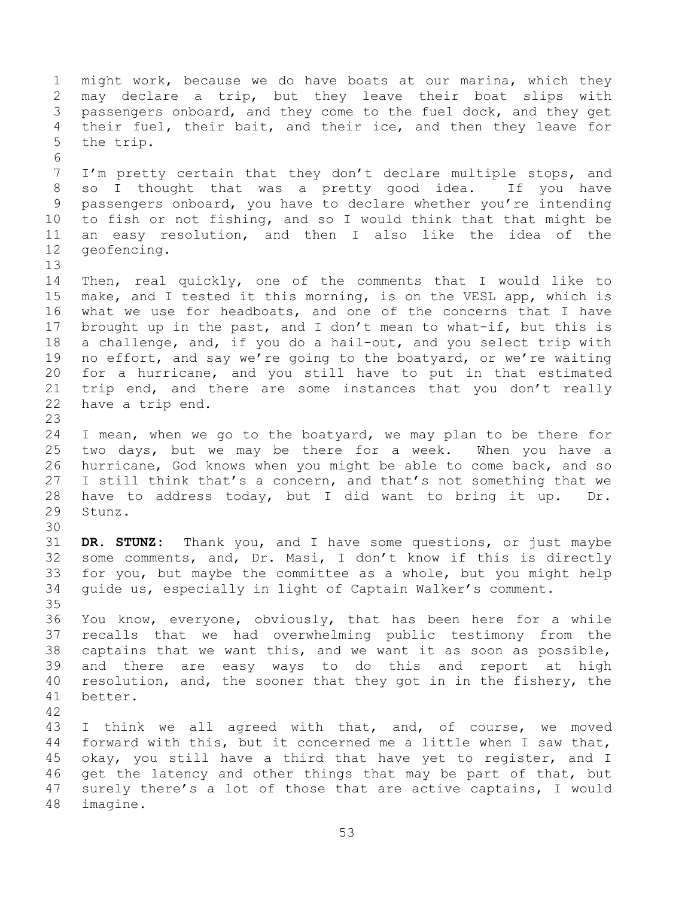1 might work, because we do have boats at our marina, which they<br>2 may declare a trip, but they leave their boat slips with 2 may declare a trip, but they leave their boat slips with<br>3 passengers onboard, and they come to the fuel dock, and they get 3 passengers onboard, and they come to the fuel dock, and they get<br>4 their fuel, their bait, and their ice, and then they leave for 4 their fuel, their bait, and their ice, and then they leave for<br>5 the trip. the trip. 6<br>7 I'm pretty certain that they don't declare multiple stops, and 8 so I thought that was a pretty good idea. If you have 9 passengers onboard, you have to declare whether you're intending<br>10 to fish or not fishing, and so I would think that that might be 10 to fish or not fishing, and so I would think that that might be<br>11 an easy resolution, and then I also like the idea of the 11 an easy resolution, and then I also like the idea of the<br>12 geofencing. geofencing. 13<br>14 14 Then, real quickly, one of the comments that I would like to<br>15 make, and I tested it this morning, is on the VESL app, which is 15 make, and I tested it this morning, is on the VESL app, which is<br>16 what we use for headboats, and one of the concerns that I have what we use for headboats, and one of the concerns that I have 17 brought up in the past, and I don't mean to what-if, but this is<br>18 a challenge, and, if you do a hail-out, and you select trip with 18 a challenge, and, if you do a hail-out, and you select trip with<br>19 no effort, and say we're going to the boatyard, or we're waiting 19 no effort, and say we're going to the boatyard, or we're waiting<br>20 for a hurricane, and you still have to put in that estimated 20 for a hurricane, and you still have to put in that estimated<br>21 trip end, and there are some instances that you don't really 21 trip end, and there are some instances that you don't really 22 have a trip end. have a trip end. 23 24 I mean, when we go to the boatyard, we may plan to be there for<br>25 two days, but we may be there for a week. When you have a 25 two days, but we may be there for a week. When you have a<br>26 hurricane, God knows when you might be able to come back, and so 26 hurricane, God knows when you might be able to come back, and so<br>27 I still think that's a concern, and that's not something that we 27 I still think that's a concern, and that's not something that we<br>28 have to address today, but I did want to bring it up. Dr. 28 have to address today, but I did want to bring it up. Dr.<br>29 Stunz. Stunz. 30<br>31 DR. STUNZ: Thank you, and I have some questions, or just maybe 32 some comments, and, Dr. Masi, I don't know if this is directly<br>33 for you, but maybe the committee as a whole, but you might help 33 for you, but maybe the committee as a whole, but you might help<br>34 quide us, especially in light of Captain Walker's comment. guide us, especially in light of Captain Walker's comment. 35<br>36 36 You know, everyone, obviously, that has been here for a while<br>37 recalls that we had overwhelming public testimony from the 37 recalls that we had overwhelming public testimony from the<br>38 captains that we want this, and we want it as soon as possible, 38 captains that we want this, and we want it as soon as possible,<br>39 and there are easy ways to do this and report at high and there are easy ways to do this and report at high 40 resolution, and, the sooner that they got in in the fishery, the 41 better. 42 43 I think we all agreed with that, and, of course, we moved<br>44 forward with this, but it concerned me a little when I saw that, 44 forward with this, but it concerned me a little when I saw that,<br>45 okay, you still have a third that have yet to register, and I 45 okay, you still have a third that have yet to register, and I<br>46 get the latency and other things that may be part of that, but 46 get the latency and other things that may be part of that, but<br>47 surely there's a lot of those that are active captains, I would surely there's a lot of those that are active captains, I would 48 imagine.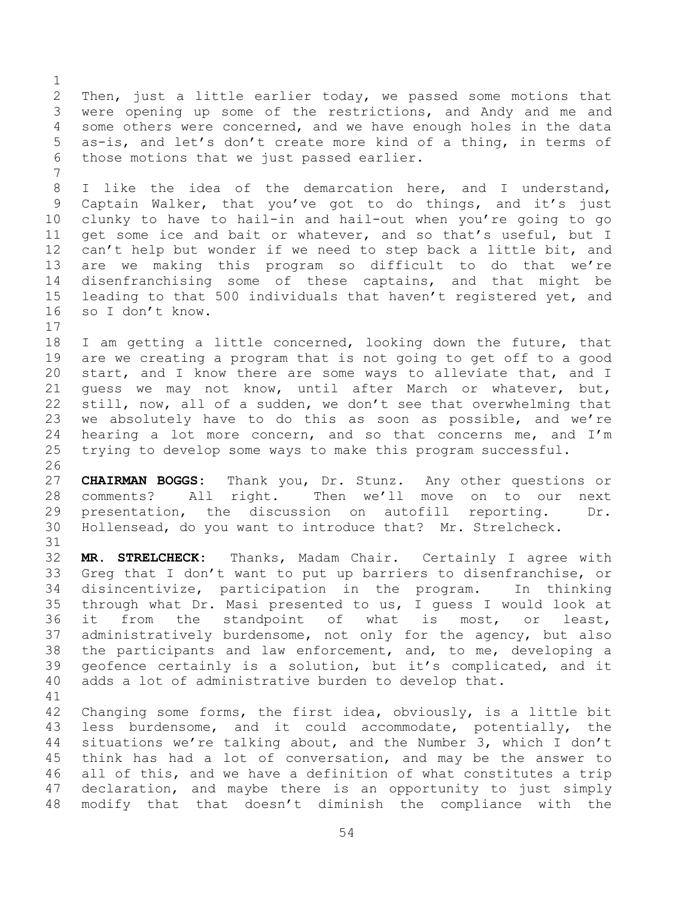$\frac{1}{2}$ 2 Then, just a little earlier today, we passed some motions that<br>3 were opening up some of the restrictions, and Andy and me and 3 were opening up some of the restrictions, and Andy and me and<br>4 some others were concerned, and we have enough holes in the data 4 some others were concerned, and we have enough holes in the data<br>5 as-is, and let's don't create more kind of a thing, in terms of 5 as-is, and let's don't create more kind of a thing, in terms of<br>6 those motions that we just passed earlier. those motions that we just passed earlier.

8 I like the idea of the demarcation here, and I understand, 9 Captain Walker, that you've got to do things, and it's just<br>10 clunky to have to hail-in and hail-out when you're going to go 10 clunky to have to hail-in and hail-out when you're going to go<br>11 get some ice and bait or whatever, and so that's useful, but I 11 get some ice and bait or whatever, and so that's useful, but I<br>12 can't help but wonder if we need to step back a little bit, and 12 can't help but wonder if we need to step back a little bit, and<br>13 are we making this program so difficult to do that we're 13 are we making this program so difficult to do that we're<br>14 disenfranchising some of these captains, and that might be 14 disenfranchising some of these captains, and that might be<br>15 leading to that 500 individuals that haven't registered vet, and 15 leading to that 500 individuals that haven't registered yet, and<br>16 so I don't know. so I don't know.

 $17$ <br> $18$ 18 I am getting a little concerned, looking down the future, that<br>19 are we creating a program that is not going to get off to a good 19 are we creating a program that is not going to get off to a good<br>20 start, and I know there are some ways to alleviate that, and I 20 start, and I know there are some ways to alleviate that, and I<br>21 quess we may not know, until after March or whatever, but, 21 guess we may not know, until after March or whatever, but,<br>22 still, now, all of a sudden, we don't see that overwhelming that 22 still, now, all of a sudden, we don't see that overwhelming that<br>23 we absolutely have to do this as soon as possible, and we're 23 we absolutely have to do this as soon as possible, and we're<br>24 hearing a lot more concern, and so that concerns me, and I'm 24 hearing a lot more concern, and so that concerns me, and I'm<br>25 trying to develop some ways to make this program successful. trying to develop some ways to make this program successful.

 $\frac{26}{27}$ 27 **CHAIRMAN BOGGS:** Thank you, Dr. Stunz. Any other questions or 28 comments? All right. Then we'll move on to our next<br>29 presentation, the discussion on autofill reporting. Dr. 29 presentation, the discussion on autofill reporting. Dr.<br>30 Hollensead, do vou want to introduce that? Mr. Strelcheck. Hollensead, do you want to introduce that? Mr. Strelcheck.

32 **MR. STRELCHECK:** Thanks, Madam Chair. Certainly I agree with 33 Greg that I don't want to put up barriers to disenfranchise, or<br>34 disincentivize, participation in the program. In thinking 34 disincentivize, participation in the program. In thinking<br>35 through what Dr. Masi presented to us, I quess I would look at 35 through what Dr. Masi presented to us, I guess I would look at<br>36 it from the standpoint of what is most, or least, 36 it from the standpoint of what is most, or least,<br>37 administratively burdensome, not only for the agency, but also 37 administratively burdensome, not only for the agency, but also<br>38 the participants and law enforcement, and, to me, developing a 38 the participants and law enforcement, and, to me, developing a<br>39 qeofence certainly is a solution, but it's complicated, and it geofence certainly is a solution, but it's complicated, and it 40 adds a lot of administrative burden to develop that.

31

7

41<br>42 42 Changing some forms, the first idea, obviously, is a little bit<br>43 less burdensome, and it could accommodate, potentially, the 43 less burdensome, and it could accommodate, potentially, the<br>44 situations we're talking about, and the Number 3, which I don't 44 situations we're talking about, and the Number 3, which I don't<br>45 think has had a lot of conversation, and may be the answer to 45 think has had a lot of conversation, and may be the answer to<br>46 all of this, and we have a definition of what constitutes a trip 46 all of this, and we have a definition of what constitutes a trip<br>47 declaration, and maybe there is an opportunity to just simply declaration, and maybe there is an opportunity to just simply 48 modify that that doesn't diminish the compliance with the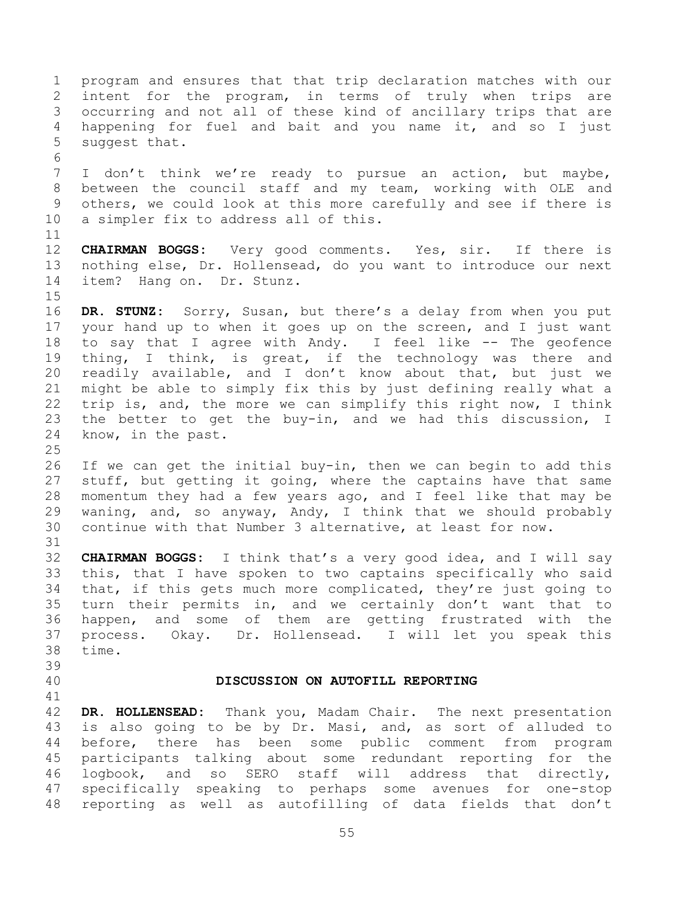<span id="page-54-0"></span>1 program and ensures that that trip declaration matches with our<br>2 intent for the program, in terms of truly when trips are 2 intent for the program, in terms of truly when trips are<br>3 occurring and not all of these kind of ancillary trips that are 3 occurring and not all of these kind of ancillary trips that are<br>4 happening for fuel and bait and you name it, and so I just 4 happening for fuel and bait and you name it, and so I just<br>5 suqqest that. suggest that. 6<br>7 I don't think we're ready to pursue an action, but maybe, 8 between the council staff and my team, working with OLE and 9 others, we could look at this more carefully and see if there is<br>10 a simpler fix to address all of this. a simpler fix to address all of this. 11<br>12 12 **CHAIRMAN BOGGS:** Very good comments. Yes, sir. If there is<br>13 nothing else, Dr. Hollensead, do you want to introduce our next 13 nothing else, Dr. Hollensead, do you want to introduce our next<br>14 item? Hang on. Dr. Stunz. item? Hang on. Dr. Stunz.  $15$ <br> $16$ DR. STUNZ: Sorry, Susan, but there's a delay from when you put 17 your hand up to when it goes up on the screen, and I just want<br>18 to say that I agree with Andy. I feel like -- The geofence 18 to say that I agree with Andy. I feel like -- The geofence<br>19 thing, I think, is great, if the technology was there and 19 thing, I think, is great, if the technology was there and<br>20 readily available, and I don't know about that, but just we 20 readily available, and I don't know about that, but just we<br>21 might be able to simply fix this by just defining really what a 21 might be able to simply fix this by just defining really what a<br>22 trip is, and, the more we can simplify this right now, I think 22 trip is, and, the more we can simplify this right now, I think<br>23 the better to get the buv-in, and we had this discussion, I 23 the better to get the buy-in, and we had this discussion, I<br>24 know, in the past. know, in the past.  $\frac{25}{26}$ 26 If we can get the initial buy-in, then we can begin to add this<br>27 stuff, but getting it going, where the captains have that same 27 stuff, but getting it going, where the captains have that same<br>28 momentum they had a few years ago, and I feel like that may be 28 momentum they had a few years ago, and I feel like that may be<br>29 waning, and, so anyway, Andy, I think that we should probably 29 waning, and, so anyway, Andy, I think that we should probably<br>30 continue with that Number 3 alternative, at least for now. continue with that Number 3 alternative, at least for now. 31 32 **CHAIRMAN BOGGS:** I think that's a very good idea, and I will say 33 this, that I have spoken to two captains specifically who said<br>34 that, if this gets much more complicated, they're just going to 34 that, if this gets much more complicated, they're just going to<br>35 turn their permits in, and we certainly don't want that to 35 turn their permits in, and we certainly don't want that to<br>36 happen, and some of them are getting frustrated with the 36 happen, and some of them are getting frustrated with the<br>37 process. Okay. Dr. Hollensead. I will let you speak this 37 process. Okay. Dr. Hollensead. I will let you speak this time. 39 40 **DISCUSSION ON AUTOFILL REPORTING** 41<br>42 42 **DR. HOLLENSEAD:** Thank you, Madam Chair. The next presentation 43 is also going to be by Dr. Masi, and, as sort of alluded to<br>44 before, there has been some public comment from program 44 before, there has been some public comment from program<br>45 participants talking about some redundant reporting for the 45 participants talking about some redundant reporting for the<br>46 logbook, and so SERO staff will address that directly, 46 logbook, and so SERO staff will address that directly,<br>47 specifically speaking to perhaps some avenues for one-stop specifically speaking to perhaps some avenues for one-stop 48 reporting as well as autofilling of data fields that don't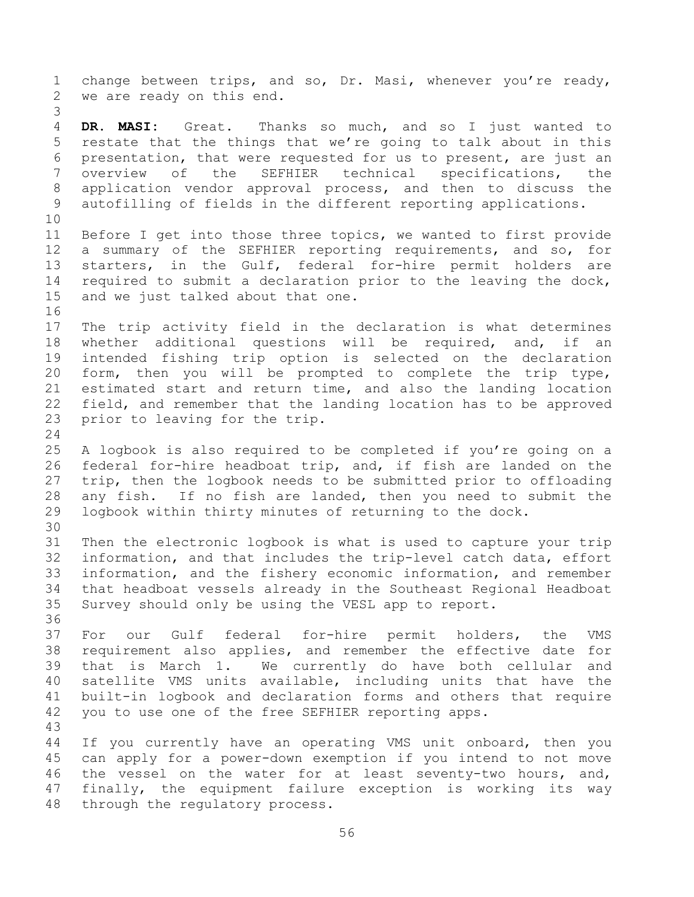1 change between trips, and so, Dr. Masi, whenever you're ready,<br>2 we are ready on this end. we are ready on this end. 3 4 **DR. MASI:** Great. Thanks so much, and so I just wanted to<br>5 restate that the things that we're going to talk about in this 5 restate that the things that we're going to talk about in this<br>6 presentation, that were requested for us to present, are just an 6 presentation, that were requested for us to present, are just an<br>7 overview of the SEFHIER technical specifications, the overview of the SEFHIER technical specifications, 8 application vendor approval process, and then to discuss the 9 autofilling of fields in the different reporting applications. 10<br>11 11 Before I get into those three topics, we wanted to first provide<br>12 a summary of the SEFHIER reporting requirements, and so, for 12 a summary of the SEFHIER reporting requirements, and so, for<br>13 starters, in the Gulf, federal for-hire permit holders are 13 starters, in the Gulf, federal for-hire permit holders are<br>14 required to submit a declaration prior to the leaving the dock, 14 required to submit a declaration prior to the leaving the dock,<br>15 and we just talked about that one. and we just talked about that one. 16<br>17 17 The trip activity field in the declaration is what determines<br>18 whether additional questions will be required, and, if an 18 whether additional questions will be required, and, if an<br>19 intended fishing trip option is selected on the declaration 19 intended fishing trip option is selected on the declaration<br>20 form, then you will be prompted to complete the trip type, 20 form, then you will be prompted to complete the trip type,<br>21 estimated start and return time, and also the landing location 21 estimated start and return time, and also the landing location<br>22 field, and remember that the landing location has to be approved 22 field, and remember that the landing location has to be approved<br>23 prior to leaving for the trip. prior to leaving for the trip.  $\frac{24}{25}$ 25 A logbook is also required to be completed if you're going on a<br>26 federal for-hire headboat trip, and, if fish are landed on the 26 federal for-hire headboat trip, and, if fish are landed on the<br>27 trip, then the logbook needs to be submitted prior to offloading 27 trip, then the logbook needs to be submitted prior to offloading<br>28 any fish. If no fish are landed, then you need to submit the 28 any fish. If no fish are landed, then you need to submit the<br>29 logbook within thirty minutes of returning to the dock. logbook within thirty minutes of returning to the dock. 30<br>31 Then the electronic logbook is what is used to capture your trip 32 information, and that includes the trip-level catch data, effort<br>33 information, and the fishery economic information, and remember 33 information, and the fishery economic information, and remember<br>34 that headboat vessels already in the Southeast Regional Headboat 34 that headboat vessels already in the Southeast Regional Headboat<br>35 Survey should only be using the VESL app to report. Survey should only be using the VESL app to report. 36<br>37 37 For our Gulf federal for-hire permit holders, the VMS<br>38 requirement also applies, and remember the effective date for 38 requirement also applies, and remember the effective date for<br>39 that is March 1. We currently do have both cellular and We currently do have both cellular 40 satellite VMS units available, including units that have the 41 built-in logbook and declaration forms and others that require<br>42 vou to use one of the free SEFHIER reporting apps. you to use one of the free SEFHIER reporting apps. 43 44 If you currently have an operating VMS unit onboard, then you<br>45 can apply for a power-down exemption if you intend to not move 45 can apply for a power-down exemption if you intend to not move<br>46 the vessel on the water for at least seventy-two hours, and, 46 the vessel on the water for at least seventy-two hours, and,<br>47 finally, the equipment failure exception is working its way finally, the equipment failure exception is working its way 48 through the regulatory process.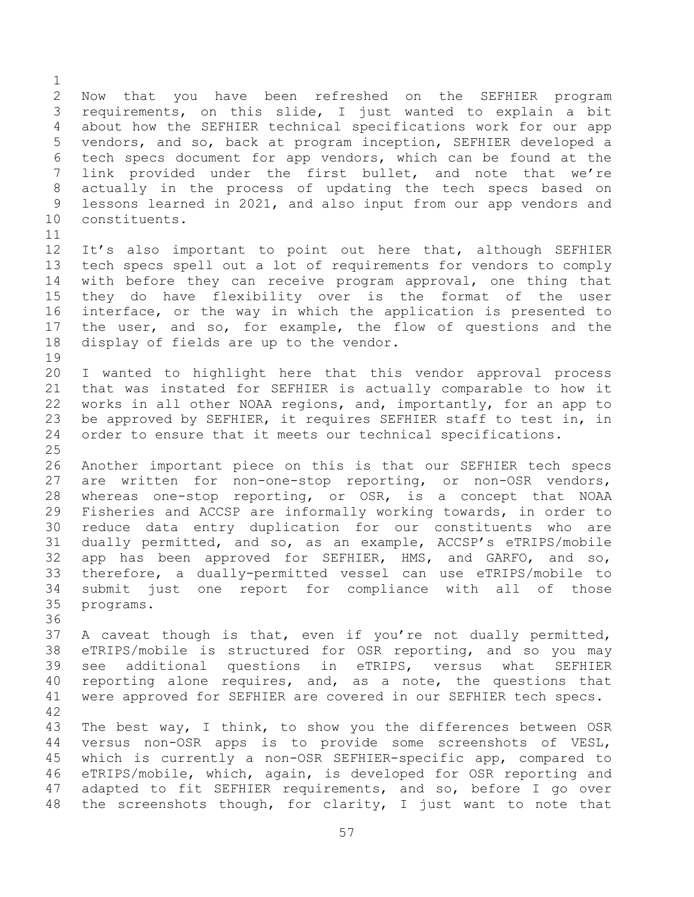$\frac{1}{2}$ 2 Now that you have been refreshed on the SEFHIER program<br>3 requirements, on this slide, I just wanted to explain a bit 3 requirements, on this slide, I just wanted to explain a bit<br>4 about how the SEFHIER technical specifications work for our app 4 about how the SEFHIER technical specifications work for our app<br>5 vendors, and so, back at program inception, SEFHIER developed a 5 vendors, and so, back at program inception, SEFHIER developed a<br>6 tech specs document for app vendors, which can be found at the 6 tech specs document for app vendors, which can be found at the<br>7 link provided under the first bullet, and note that we're link provided under the first bullet, and note that we're 8 actually in the process of updating the tech specs based on 9 lessons learned in 2021, and also input from our app vendors and<br>10 constituents. constituents.

11<br>12 12 It's also important to point out here that, although SEFHIER<br>13 tech specs spell out a lot of requirements for vendors to comply 13 tech specs spell out a lot of requirements for vendors to comply<br>14 with before they can receive program approval, one thing that 14 with before they can receive program approval, one thing that<br>15 they do have flexibility over is the format of the user 15 they do have flexibility over is the format of the user<br>16 interface, or the way in which the application is presented to interface, or the way in which the application is presented to 17 the user, and so, for example, the flow of questions and the<br>18 display of fields are up to the vendor. display of fields are up to the vendor.

19<br>20 20 I wanted to highlight here that this vendor approval process<br>21 that was instated for SEFHIER is actually comparable to how it 21 that was instated for SEFHIER is actually comparable to how it<br>22 works in all other NOAA regions, and, importantly, for an app to 22 works in all other NOAA regions, and, importantly, for an app to<br>23 be approved by SEFHIER, it requires SEFHIER staff to test in, in 23 be approved by SEFHIER, it requires SEFHIER staff to test in, in<br>24 order to ensure that it meets our technical specifications. order to ensure that it meets our technical specifications.

 $\frac{25}{26}$ 26 Another important piece on this is that our SEFHIER tech specs<br>27 are written for non-one-stop reporting, or non-OSR vendors, 27 are written for non-one-stop reporting, or non-OSR vendors,<br>28 whereas one-stop reporting, or OSR, is a concept that NOAA 28 whereas one-stop reporting, or OSR, is a concept that NOAA<br>29 Fisheries and ACCSP are informally working towards, in order to 29 Fisheries and ACCSP are informally working towards, in order to<br>30 reduce data entry duplication for our constituents who are 30 reduce data entry duplication for our constituents who are<br>31 dually permitted, and so, as an example, ACCSP's eTRIPS/mobile dually permitted, and so, as an example, ACCSP's eTRIPS/mobile 32 app has been approved for SEFHIER, HMS, and GARFO, and so,<br>33 therefore, a dually-permitted vessel can use eTRIPS/mobile to 33 therefore, a dually-permitted vessel can use eTRIPS/mobile to<br>34 submit just one report for compliance with all of those 34 submit just one report for compliance with all of those<br>35 programs. programs.

36<br>37 37 A caveat though is that, even if you're not dually permitted,<br>38 eTRIPS/mobile is structured for OSR reporting, and so you may 38 eTRIPS/mobile is structured for OSR reporting, and so you may<br>39 see additional questions in eTRIPS, versus what SEFHIER additional questions in eTRIPS, versus what SEFHIER 40 reporting alone requires, and, as a note, the questions that 41 were approved for SEFHIER are covered in our SEFHIER tech specs.

42 43 The best way, I think, to show you the differences between OSR<br>44 versus non-OSR apps is to provide some screenshots of VESL, 44 versus non-OSR apps is to provide some screenshots of VESL,<br>45 which is currently a non-OSR SEFHIER-specific app, compared to 45 which is currently a non-OSR SEFHIER-specific app, compared to<br>46 eTRIPS/mobile, which, again, is developed for OSR reporting and 46 eTRIPS/mobile, which, again, is developed for OSR reporting and<br>47 adapted to fit SEFHIER requirements, and so, before I go over adapted to fit SEFHIER requirements, and so, before I go over 48 the screenshots though, for clarity, I just want to note that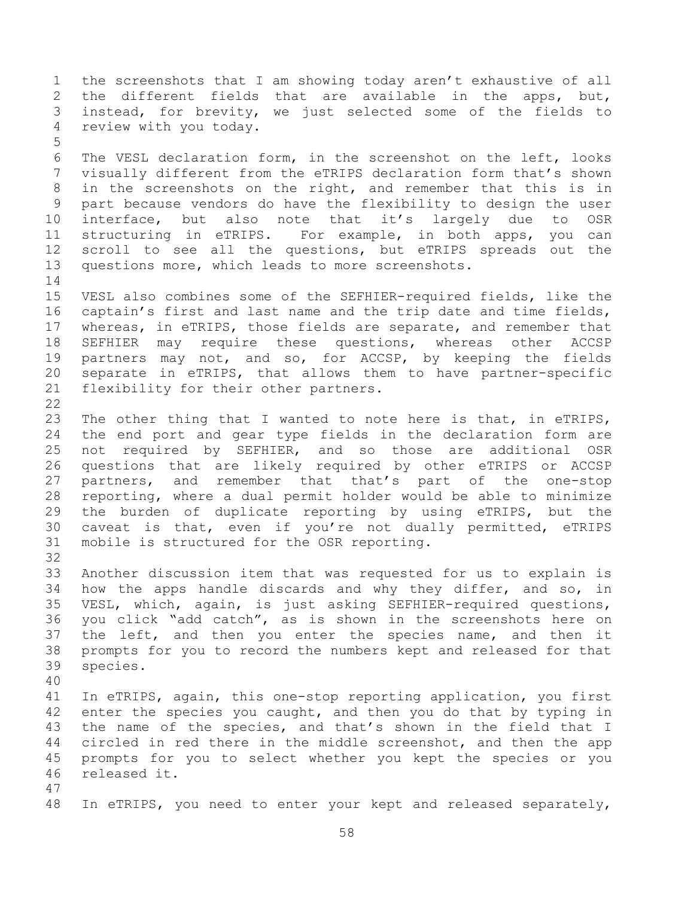1 the screenshots that I am showing today aren't exhaustive of all<br>2 the different fields that are available in the apps, but, 2 the different fields that are available<br>3 instead, for brevity, we just selected so 3 instead, for brevity, we just selected some of the fields to<br>4 review with you todav. review with you today. 5 6 The VESL declaration form, in the screenshot on the left, looks<br>7 visually different from the eTRIPS declaration form that's shown visually different from the eTRIPS declaration form that's shown 8 in the screenshots on the right, and remember that this is in 9 part because vendors do have the flexibility to design the user<br>10 interface, but also note that it's largely due to OSR 10 interface, but also note that it's largely due to OSR<br>11 structuring in eTRIPS. For example, in both apps, you can 11 structuring in eTRIPS. For example, in both apps, you can<br>12 scroll to see all the questions, but eTRIPS spreads out the 12 scroll to see all the questions, but eTRIPS spreads out the<br>13 questions more, which leads to more screenshots. questions more, which leads to more screenshots.  $\frac{14}{15}$ 15 VESL also combines some of the SEFHIER-required fields, like the<br>16 captain's first and last name and the trip date and time fields, captain's first and last name and the trip date and time fields, 17 whereas, in eTRIPS, those fields are separate, and remember that<br>18 SEFHIER may require these questions, whereas other ACCSP 18 SEFHIER may require these questions, whereas other ACCSP<br>19 partners may not, and so, for ACCSP, by keeping the fields 19 partners may not, and so, for ACCSP, by keeping the fields<br>20 separate in eTRIPS, that allows them to have partner-specific 20 separate in eTRIPS, that allows them to have partner-specific<br>21 flexibility for their other partners. flexibility for their other partners.  $\frac{22}{23}$ 23 The other thing that I wanted to note here is that, in eTRIPS,<br>24 the end port and gear type fields in the declaration form are 24 the end port and gear type fields in the declaration form are<br>25 not required by SEFHIER, and so those are additional OSR 25 not required by SEFHIER, and so those are additional OSR<br>26 questions that are likely required by other eTRIPS or ACCSP 26 questions that are likely required by other eTRIPS or ACCSP<br>27 partners, and remember that that's part of the one-stop 27 partners, and remember that that's part of the one-stop<br>28 reporting, where a dual permit holder would be able to minimize 28 reporting, where a dual permit holder would be able to minimize<br>29 the burden of duplicate reporting by using eTRIPS, but the 29 the burden of duplicate reporting by using eTRIPS, but the<br>30 caveat is that, even if you're not dually permitted, eTRIPS 30 caveat is that, even if you're not dually permitted, eTRIPS<br>31 mobile is structured for the OSR reporting. mobile is structured for the OSR reporting. 32<br>33 33 Another discussion item that was requested for us to explain is<br>34 how the apps handle discards and why they differ, and so, in 34 how the apps handle discards and why they differ, and so, in<br>35 VESL, which, again, is just asking SEFHIER-required questions, 35 VESL, which, again, is just asking SEFHIER-required questions,<br>36 vou click "add catch", as is shown in the screenshots here on 36 you click "add catch", as is shown in the screenshots here on<br>37 the left, and then you enter the species name, and then it 37 the left, and then you enter the species name, and then it<br>38 prompts for you to record the numbers kept and released for that 38 prompts for you to record the numbers kept and released for that species. 40 41 In eTRIPS, again, this one-stop reporting application, you first<br>42 enter the species vou caught, and then you do that by typing in 42 enter the species you caught, and then you do that by typing in<br>43 the name of the species, and that's shown in the field that I 43 the name of the species, and that's shown in the field that I<br>44 circled in red there in the middle screenshot, and then the app 44 circled in red there in the middle screenshot, and then the app<br>45 prompts for you to select whether you kept the species or you 45 prompts for you to select whether you kept the species or you<br>46 released it. released it. 47 48 In eTRIPS, you need to enter your kept and released separately,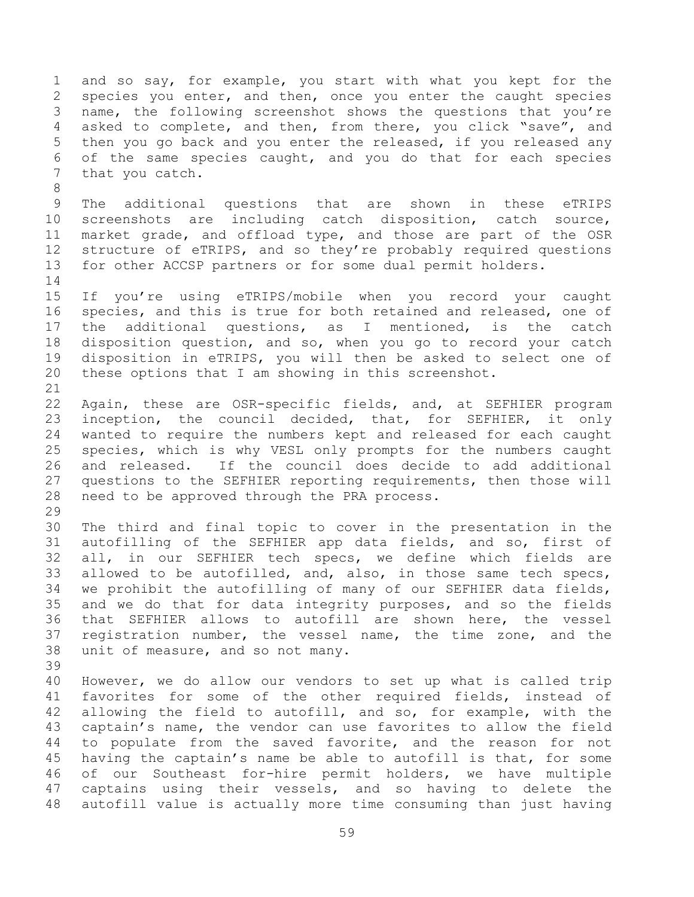1 and so say, for example, you start with what you kept for the<br>2 species you enter, and then, once you enter the caught species 2 species you enter, and then, once you enter the caught species<br>3 name, the following screenshot shows the questions that you're 3 name, the following screenshot shows the questions that you're<br>4 asked to complete, and then, from there, you click "save", and 4 asked to complete, and then, from there, you click "save", and<br>5 then you go back and you enter the released, if you released any 5 then you go back and you enter the released, if you released any<br>6 of the same species caught, and you do that for each species 6 of the same species caught, and you do that for each species<br>7 that you catch. that you catch.

9 The additional questions that are shown in these eTRIPS<br>10 screenshots are including catch disposition, catch source, 10 screenshots are including catch disposition, catch source,<br>11 market grade, and offload type, and those are part of the OSR 11 market grade, and offload type, and those are part of the OSR<br>12 structure of eTRIPS, and so they're probably required questions 12 structure of eTRIPS, and so they're probably required questions<br>13 for other ACCSP partners or for some dual permit holders. for other ACCSP partners or for some dual permit holders.

 $\frac{14}{15}$ 15 If you're using eTRIPS/mobile when you record your caught<br>16 species, and this is true for both retained and released, one of species, and this is true for both retained and released, one of 17 the additional questions, as I mentioned, is the catch<br>18 disposition question, and so, when you go to record your catch 18 disposition question, and so, when you go to record your catch<br>19 disposition in eTRIPS, you will then be asked to select one of 19 disposition in eTRIPS, you will then be asked to select one of<br>20 these options that I am showing in this screenshot. these options that I am showing in this screenshot.

21<br>22 22 Again, these are OSR-specific fields, and, at SEFHIER program<br>23 inception, the council decided, that, for SEFHIER, it only 23 inception, the council decided, that, for SEFHIER, it only<br>24 wanted to require the numbers kept and released for each caught 24 wanted to require the numbers kept and released for each caught<br>25 species, which is why VESL only prompts for the numbers caught 25 species, which is why VESL only prompts for the numbers caught<br>26 and released. If the council does decide to add additional 26 and released. If the council does decide to add additional<br>27 questions to the SEFHIER reporting requirements, then those will 27 questions to the SEFHIER reporting requirements, then those will<br>28 need to be approved through the PRA process. need to be approved through the PRA process.

29<br>30 30 The third and final topic to cover in the presentation in the<br>31 autofilling of the SEFHIER app data fields, and so, first of autofilling of the SEFHIER app data fields, and so, first of 32 all, in our SEFHIER tech specs, we define which fields are<br>33 allowed to be autofilled, and, also, in those same tech specs, 33 allowed to be autofilled, and, also, in those same tech specs,<br>34 we prohibit the autofilling of many of our SEFHIER data fields, 34 we prohibit the autofilling of many of our SEFHIER data fields,<br>35 and we do that for data integrity purposes, and so the fields 35 and we do that for data integrity purposes, and so the fields<br>36 that SEFHIER allows to autofill are shown here, the vessel 36 that SEFHIER allows to autofill are shown here, the vessel<br>37 registration number, the vessel name, the time zone, and the 37 registration number, the vessel name, the time zone, and the 38 unit of measure, and so not many. unit of measure, and so not many.

39

8

40 However, we do allow our vendors to set up what is called trip 41 favorites for some of the other required fields, instead of<br>42 allowing the field to autofill, and so, for example, with the 42 allowing the field to autofill, and so, for example, with the<br>43 captain's name, the vendor can use favorites to allow the field 43 captain's name, the vendor can use favorites to allow the field<br>44 to populate from the saved favorite, and the reason for not 44 to populate from the saved favorite, and the reason for not<br>45 having the captain's name be able to autofill is that, for some 45 having the captain's name be able to autofill is that, for some<br>46 of our Southeast for-hire permit holders, we have multiple 46 of our Southeast for-hire permit holders, we have multiple<br>47 captains using their vessels, and so having to delete the captains using their vessels, and so having to delete the 48 autofill value is actually more time consuming than just having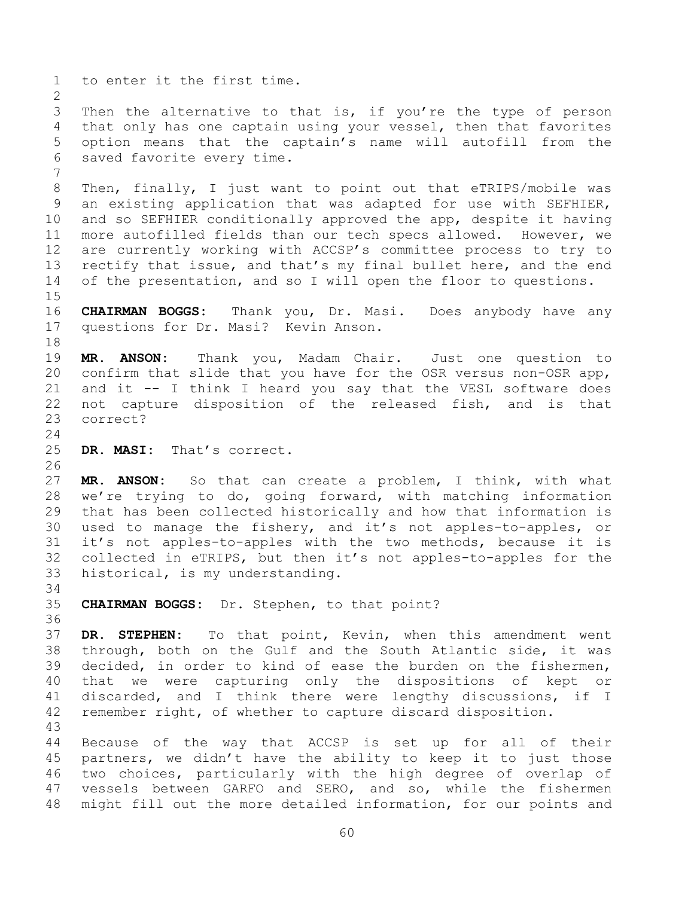1 to enter it the first time.  $\frac{2}{3}$ 3 Then the alternative to that is, if you're the type of person<br>4 that only has one captain using your vessel, then that favorites 4 that only has one captain using your vessel, then that favorites<br>5 option means that the captain's name will autofill from the 5 option means that the captain's name will autofill from the<br>6 saved favorite every time. saved favorite every time. 7 8 Then, finally, I just want to point out that eTRIPS/mobile was 9 an existing application that was adapted for use with SEFHIER,<br>10 and so SEFHIER conditionally approved the app, despite it having 10 and so SEFHIER conditionally approved the app, despite it having<br>11 more autofilled fields than our tech specs allowed. However, we 11 more autofilled fields than our tech specs allowed. However, we<br>12 are currently working with ACCSP's committee process to try to 12 are currently working with ACCSP's committee process to try to<br>13 rectify that issue, and that's my final bullet here, and the end 13 rectify that issue, and that's my final bullet here, and the end<br>14 of the presentation, and so I will open the floor to questions. of the presentation, and so I will open the floor to questions.  $15$ <br> $16$ 16 **CHAIRMAN BOGGS:** Thank you, Dr. Masi. Does anybody have any 17 questions for Dr. Masi? Kevin Anson. 18<br>19 19 **MR. ANSON:** Thank you, Madam Chair. Just one question to 20 confirm that slide that you have for the OSR versus non-OSR app,<br>21 and it -- I think I heard you sav that the VESL software does 21 and it -- I think I heard you say that the VESL software does<br>22 not capture disposition of the released fish, and is that 22 not capture disposition of the released fish, and is that<br>23 correct? correct?  $\frac{24}{25}$ DR. MASI: That's correct. 26<br>27 27 **MR. ANSON:** So that can create a problem, I think, with what<br>28 we're trying to do, going forward, with matching information 28 we're trying to do, going forward, with matching information<br>29 that has been collected historically and how that information is 29 that has been collected historically and how that information is<br>30 used to manage the fishery, and it's not apples-to-apples, or 30 used to manage the fishery, and it's not apples-to-apples, or<br>31 it's not apples-to-apples with the two methods, because it is it's not apples-to-apples with the two methods, because it is 32 collected in eTRIPS, but then it's not apples-to-apples for the<br>33 historical, is my understanding. historical, is my understanding. 34<br>35 35 **CHAIRMAN BOGGS:** Dr. Stephen, to that point? 36<br>37 37 **DR. STEPHEN:** To that point, Kevin, when this amendment went 38 through, both on the Gulf and the South Atlantic side, it was<br>39 decided, in order to kind of ease the burden on the fishermen, decided, in order to kind of ease the burden on the fishermen, 40 that we were capturing only the dispositions of kept or 41 discarded, and I think there were lengthy discussions, if I<br>42 remember right, of whether to capture discard disposition. remember right, of whether to capture discard disposition. 43 44 Because of the way that ACCSP is set up for all of their<br>45 partners, we didn't have the ability to keep it to just those 45 partners, we didn't have the ability to keep it to just those<br>46 two choices, particularly with the high degree of overlap of 46 two choices, particularly with the high degree of overlap of<br>47 vessels between GARFO and SERO, and so, while the fishermen vessels between GARFO and SERO, and so, while the fishermen

48 might fill out the more detailed information, for our points and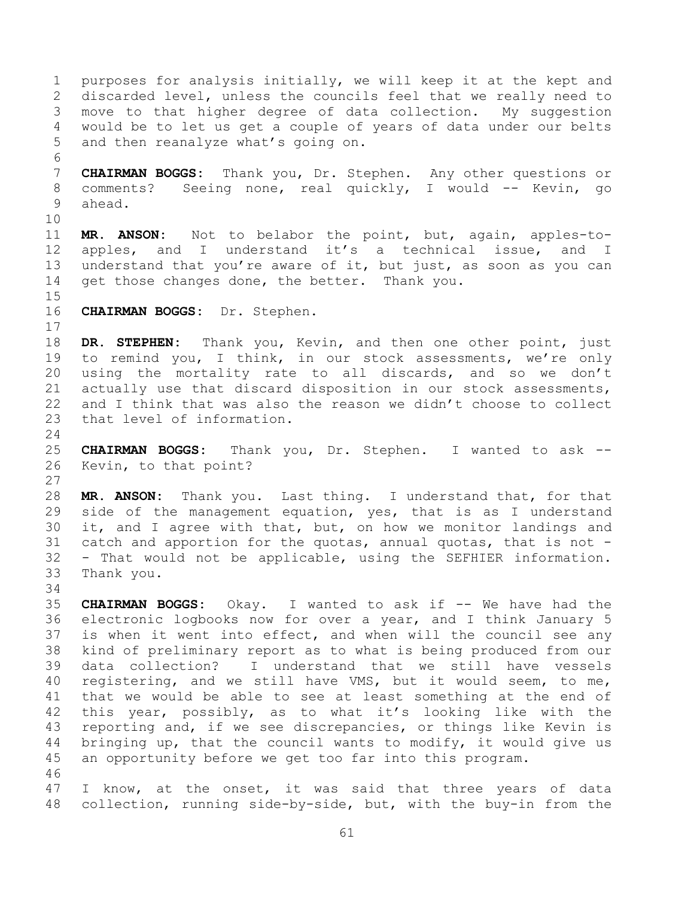1 purposes for analysis initially, we will keep it at the kept and<br>2 discarded level, unless the councils feel that we really need to 2 discarded level, unless the councils feel that we really need to<br>3 move to that higher degree of data collection. My suggestion 3 move to that higher degree of data collection. My suggestion<br>4 would be to let us get a couple of vears of data under our belts 4 would be to let us get a couple of years of data under our belts<br>5 and then reanalyze what's going on. and then reanalyze what's going on. 6<br>7 7 **CHAIRMAN BOGGS:** Thank you, Dr. Stephen. Any other questions or 8 comments? Seeing none, real quickly, I would -- Kevin, go 9 ahead. 10<br>11 11 **MR. ANSON:** Not to belabor the point, but, again, apples-to-12 apples, and I understand it's a technical issue, and I<br>13 understand that vou're aware of it, but just, as soon as vou can 13 understand that you're aware of it, but just, as soon as you can<br>14 qet those changes done, the better. Thank you. get those changes done, the better. Thank you.  $\frac{15}{16}$ 16 **CHAIRMAN BOGGS:** Dr. Stephen.  $\frac{17}{18}$ 18 DR. STEPHEN: Thank you, Kevin, and then one other point, just<br>19 to remind you, I think, in our stock assessments, we're only 19 to remind you, I think, in our stock assessments, we're only<br>20 using the mortality rate to all discards, and so we don't 20 using the mortality rate to all discards, and so we don't<br>21 actually use that discard disposition in our stock assessments. 21 actually use that discard disposition in our stock assessments,<br>22 and I think that was also the reason we didn't choose to collect 22 and I think that was also the reason we didn't choose to collect<br>23 that level of information. that level of information.  $\frac{24}{25}$ 25 **CHAIRMAN BOGGS:** Thank you, Dr. Stephen. I wanted to ask -- Kevin, to that point?  $\begin{array}{c} 27 \\ 28 \end{array}$ 28 **MR. ANSON:** Thank you. Last thing. I understand that, for that 29 side of the management equation, yes, that is as I understand<br>30 it, and I agree with that, but, on how we monitor landings and 30 it, and I agree with that, but, on how we monitor landings and<br>31 catch and apportion for the quotas, annual quotas, that is not catch and apportion for the quotas, annual quotas, that is not  $-$ 32 - That would not be applicable, using the SEFHIER information.<br>33 Thank you. Thank you. 34<br>35 35 **CHAIRMAN BOGGS:** Okay. I wanted to ask if -- We have had the 36 electronic logbooks now for over a year, and I think January 5<br>37 is when it went into effect, and when will the council see any 37 is when it went into effect, and when will the council see any<br>38 kind of preliminary report as to what is being produced from our 38 kind of preliminary report as to what is being produced from our data collection? I understand that we still have vessels 40 registering, and we still have VMS, but it would seem, to me, 41 that we would be able to see at least something at the end of<br>42 this year, possibly, as to what it's looking like with the 42 this year, possibly, as to what it's looking like with the<br>43 reporting and, if we see discrepancies, or things like Kevin is 43 reporting and, if we see discrepancies, or things like Kevin is<br>44 bringing up, that the council wants to modify, it would give us 44 bringing up, that the council wants to modify, it would give us<br>45 an opportunity before we get too far into this program. an opportunity before we get too far into this program. 46<br>47 I know, at the onset, it was said that three years of data

48 collection, running side-by-side, but, with the buy-in from the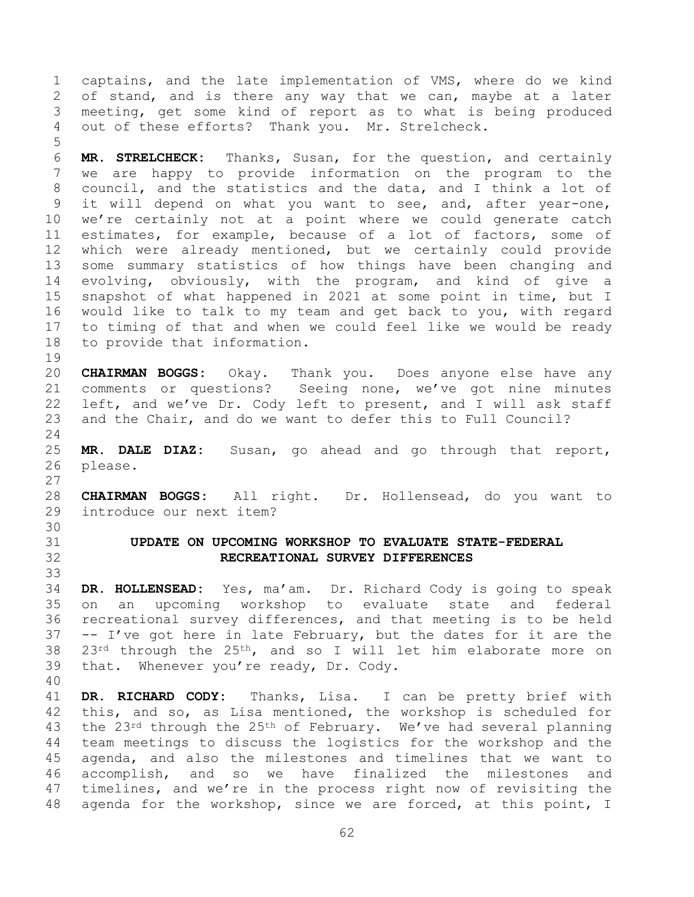1 captains, and the late implementation of VMS, where do we kind<br>2 of stand, and is there any way that we can, maybe at a later 2 of stand, and is there any way that we can, maybe at a later<br>3 meeting, get some kind of report as to what is being produced 3 meeting, get some kind of report as to what is being produced<br>4 out of these efforts? Thank vou. Mr. Strelcheck. out of these efforts? Thank you. Mr. Strelcheck.

5 6 **MR. STRELCHECK:** Thanks, Susan, for the question, and certainly we are happy to provide information on the program to the 8 council, and the statistics and the data, and I think a lot of 9 it will depend on what you want to see, and, after year-one,<br>10 we're certainly not at a point where we could generate catch 10 we're certainly not at a point where we could generate catch<br>11 estimates, for example, because of a lot of factors, some of 11 estimates, for example, because of a lot of factors, some of<br>12 which were already mentioned, but we certainly could provide 12 which were already mentioned, but we certainly could provide<br>13 some summary statistics of how things have been changing and 13 some summary statistics of how things have been changing and<br>14 evolving, obviously, with the program, and kind of give a 14 evolving, obviously, with the program, and kind of give a<br>15 snapshot of what happened in 2021 at some point in time, but I 15 snapshot of what happened in 2021 at some point in time, but I<br>16 would like to talk to my team and get back to you, with regard would like to talk to my team and get back to you, with regard 17 to timing of that and when we could feel like we would be ready<br>18 to provide that information. to provide that information.

- 19<br>20 20 **CHAIRMAN BOGGS:** Okay. Thank you. Does anyone else have any 21 comments or questions? Seeing none, we've got nine minutes<br>22 left, and we've Dr. Cody left to present, and I will ask staff 22 left, and we've Dr. Cody left to present, and I will ask staff<br>23 and the Chair, and do we want to defer this to Full Council? and the Chair, and do we want to defer this to Full Council?
- $\frac{24}{25}$ 25 **MR. DALE DIAZ:** Susan, go ahead and go through that report, please.
- $\frac{27}{28}$ 28 **CHAIRMAN BOGGS:** All right. Dr. Hollensead, do you want to introduce our next item?
- 30<br>31
- <span id="page-61-0"></span>31 **UPDATE ON UPCOMING WORKSHOP TO EVALUATE STATE-FEDERAL**  32 **RECREATIONAL SURVEY DIFFERENCES**
- 33<br>34 34 **DR. HOLLENSEAD:** Yes, ma'am. Dr. Richard Cody is going to speak 35 on an upcoming workshop to evaluate state and federal<br>36 recreational survey differences, and that meeting is to be held 36 recreational survey differences, and that meeting is to be held<br>37 -- I've got here in late February, but the dates for it are the 37 -- I've got here in late February, but the dates for it are the 38  $23^{rd}$  through the  $25^{th}$ , and so I will let him elaborate more on 38  $23^{rd}$  through the  $25^{th}$ , and so I will let him elaborate more on 39 that. Whenever you're ready, Dr. Cody. that. Whenever you're ready, Dr. Cody.
- 40

41 **DR. RICHARD CODY:** Thanks, Lisa. I can be pretty brief with 42 this, and so, as Lisa mentioned, the workshop is scheduled for<br>43 the 23<sup>rd</sup> through the 25<sup>th</sup> of February. We've had several planning 43 the  $23^{rd}$  through the  $25^{th}$  of February. We've had several planning<br>44 team meetings to discuss the logistics for the workshop and the 44 team meetings to discuss the logistics for the workshop and the<br>45 agenda, and also the milestones and timelines that we want to 45 agenda, and also the milestones and timelines that we want to<br>46 accomplish, and so we have finalized the milestones and 46 accomplish, and so we have finalized the milestones and<br>47 timelines, and we're in the process right now of revisiting the timelines, and we're in the process right now of revisiting the 48 agenda for the workshop, since we are forced, at this point, I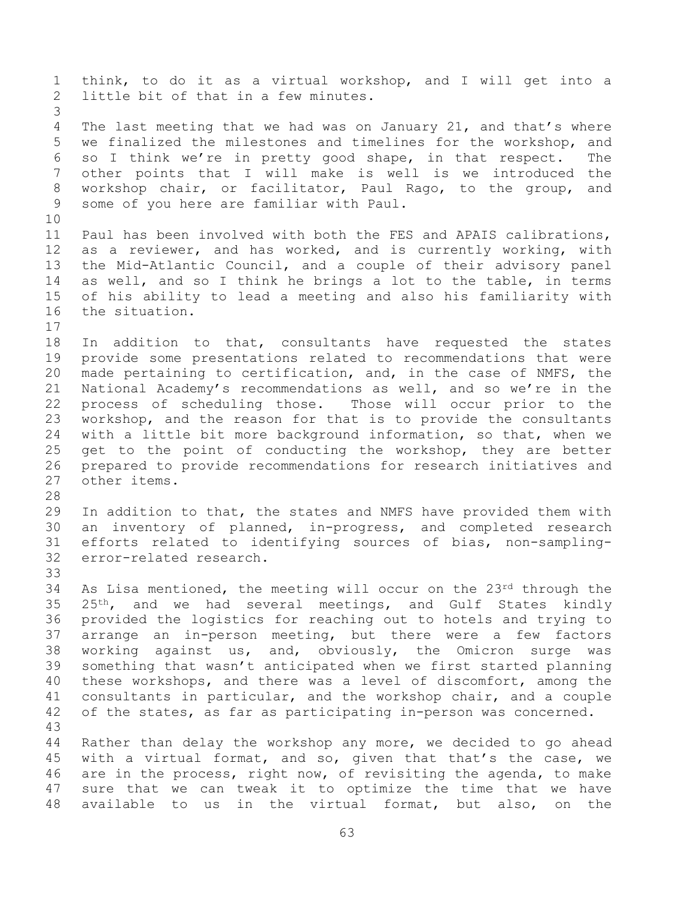1 think, to do it as a virtual workshop, and I will get into a<br>2 little bit of that in a few minutes. little bit of that in a few minutes. 3 4 The last meeting that we had was on January 21, and that's where<br>5 we finalized the milestones and timelines for the workshop, and 5 we finalized the milestones and timelines for the workshop, and<br>6 so I think we're in pretty good shape, in that respect. The 6 so I think we're in pretty good shape, in that respect. The<br>7 other points that I will make is well is we introduced the other points that I will make is well is we introduced the 8 workshop chair, or facilitator, Paul Rago, to the group, and 9 some of you here are familiar with Paul. 10<br>11 11 Paul has been involved with both the FES and APAIS calibrations,<br>12 as a reviewer, and has worked, and is currently working, with 12 as a reviewer, and has worked, and is currently working, with<br>13 the Mid-Atlantic Council, and a couple of their advisory panel 13 the Mid-Atlantic Council, and a couple of their advisory panel<br>14 as well, and so I think he brings a lot to the table, in terms 14 as well, and so I think he brings a lot to the table, in terms<br>15 of his ability to lead a meeting and also his familiarity with 15 of his ability to lead a meeting and also his familiarity with<br>16 the situation. the situation.  $\begin{array}{c} 17 \\ 18 \end{array}$ 18 In addition to that, consultants have requested the states<br>19 provide some presentations related to recommendations that were 19 provide some presentations related to recommendations that were<br>20 made pertaining to certification, and, in the case of NMFS, the 20 made pertaining to certification, and, in the case of NMFS, the<br>21 National Academy's recommendations as well, and so we're in the 21 National Academy's recommendations as well, and so we're in the<br>22 process of scheduling those. Those will occur prior to the 22 process of scheduling those. Those will occur prior to the<br>23 workshop, and the reason for that is to provide the consultants 23 workshop, and the reason for that is to provide the consultants<br>24 with a little bit more background information, so that, when we 24 with a little bit more background information, so that, when we<br>25 get to the point of conducting the workshop, they are better 25 get to the point of conducting the workshop, they are better<br>26 prepared to provide recommendations for research initiatives and 26 prepared to provide recommendations for research initiatives and<br>27 other items. other items. 28<br>29 29 In addition to that, the states and NMFS have provided them with<br>30 an inventory of planned, in-progress, and completed research 30 an inventory of planned, in-progress, and completed research<br>31 efforts related to identifying sources of bias, non-samplingefforts related to identifying sources of bias, non-sampling-32 error-related research. 33<br>34 34 As Lisa mentioned, the meeting will occur on the  $23^{rd}$  through the 35  $25^{th}$ , and we had several meetings, and Gulf States kindly 35 25<sup>th</sup>, and we had several meetings, and Gulf States kindly<br>36 provided the logistics for reaching out to hotels and trving to 36 provided the logistics for reaching out to hotels and trying to<br>37 arrange an in-person meeting, but there were a few factors 37 arrange an in-person meeting, but there were a few factors<br>38 working against us, and, obviously, the Omicron surge was 38 working against us, and, obviously, the Omicron surge was<br>39 something that wasn't anticipated when we first started planning something that wasn't anticipated when we first started planning 40 these workshops, and there was a level of discomfort, among the 41 consultants in particular, and the workshop chair, and a couple<br>42 of the states, as far as participating in-person was concerned. of the states, as far as participating in-person was concerned. 43 44 Rather than delay the workshop any more, we decided to go ahead<br>45 with a virtual format, and so, given that that's the case, we 45 with a virtual format, and so, given that that's the case, we<br>46 are in the process, right now, of revisiting the agenda, to make 46 are in the process, right now, of revisiting the agenda, to make<br>47 sure that we can tweak it to optimize the time that we have sure that we can tweak it to optimize the time that we have 48 available to us in the virtual format, but also, on the